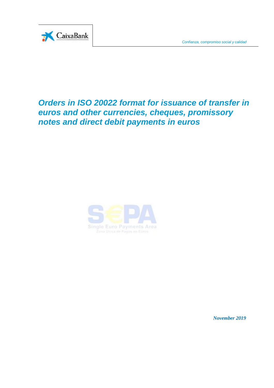

# *Orders in ISO 20022 format for issuance of transfer in euros and other currencies, cheques, promissory notes and direct debit payments in euros*



*November 2019*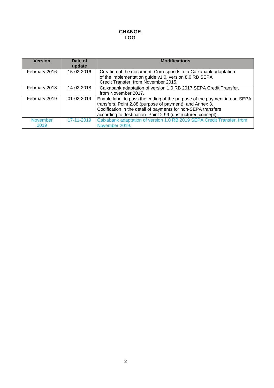## **CHANGE LOG**

| <b>Version</b>          | Date of<br>update | <b>Modifications</b>                                                                                                                                                                                                                                                   |  |
|-------------------------|-------------------|------------------------------------------------------------------------------------------------------------------------------------------------------------------------------------------------------------------------------------------------------------------------|--|
| February 2016           | 15-02-2016        | Creation of the document. Corresponds to a Caixabank adaptation<br>of the implementation guide v1.0, version 8.0 RB SEPA<br>Credit Transfer, from November 2015.                                                                                                       |  |
| February 2018           | 14-02-2018        | Caixabank adaptation of version 1.0 RB 2017 SEPA Credit Transfer,<br>from November 2017.                                                                                                                                                                               |  |
| February 2019           | 01-02-2019        | Enable label to pass the coding of the purpose of the payment in non-SEPA<br>transfers. Point 2.88 (purpose of payment), and Annex 3.<br>Codification in the detail of payments for non-SEPA transfers<br>according to destination. Point 2.99 (unstructured concept). |  |
| <b>November</b><br>2019 | 17-11-2019        | Caixabank adaptation of version 1.0 RB 2019 SEPA Credit Transfer, from<br>November 2019.                                                                                                                                                                               |  |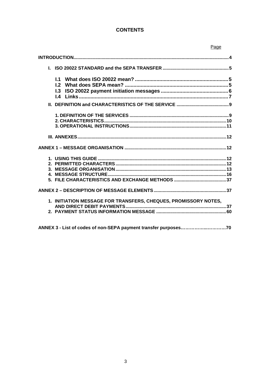# **CONTENTS**

|                                                                 | Page           |
|-----------------------------------------------------------------|----------------|
|                                                                 |                |
|                                                                 |                |
| $\mathsf{L}2$                                                   |                |
|                                                                 |                |
|                                                                 |                |
|                                                                 |                |
|                                                                 |                |
|                                                                 |                |
|                                                                 |                |
| 1. INITIATION MESSAGE FOR TRANSFERS, CHEQUES, PROMISSORY NOTES, |                |
| $\mathbf{H}$                                                    | $\overline{z}$ |

ANNEX 3 - List of codes of non-SEPA payment transfer purposes..............................70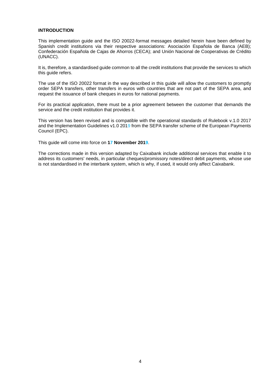#### **INTRODUCTION**

This implementation guide and the ISO 20022-format messages detailed herein have been defined by Spanish credit institutions via their respective associations: Asociación Española de Banca (AEB); Confederación Española de Cajas de Ahorros (CECA); and Unión Nacional de Cooperativas de Crédito (UNACC).

It is, therefore, a standardised guide common to all the credit institutions that provide the services to which this guide refers.

The use of the ISO 20022 format in the way described in this guide will allow the customers to promptly order SEPA transfers, other transfers in euros with countries that are not part of the SEPA area, and request the issuance of bank cheques in euros for national payments.

For its practical application, there must be a prior agreement between the customer that demands the service and the credit institution that provides it.

This version has been revised and is compatible with the operational standards of Rulebook v.1.0 2017 and the Implementation Guidelines v1.0 2019 from the SEPA transfer scheme of the European Payments Council (EPC).

This guide will come into force on **17 November 2019**.

The corrections made in this version adapted by Caixabank include additional services that enable it to address its customers' needs, in particular cheques/promissory notes/direct debit payments, whose use is not standardised in the interbank system, which is why, if used, it would only affect Caixabank.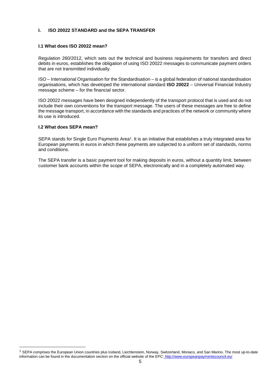## **I. ISO 20022 STANDARD and the SEPA TRANSFER**

#### **I.1 What does ISO 20022 mean?**

Regulation 260/2012, which sets out the technical and business requirements for transfers and direct debits in euros, establishes the obligation of using ISO 20022 messages to communicate payment orders that are not transmitted individually.

ISO – International Organisation for the Standardisation – is a global federation of national standardisation organisations, which has developed the international standard **ISO 20022** – Universal Financial Industry message scheme – for the financial sector.

ISO 20022 messages have been designed independently of the transport protocol that is used and do not include their own conventions for the transport message. The users of these messages are free to define the message transport, in accordance with the standards and practices of the network or community where its use is introduced.

#### **I.2 What does SEPA mean?**

SEPA stands for Single Euro Payments Area<sup>1</sup>. It is an initiative that establishes a truly integrated area for European payments in euros in which these payments are subjected to a uniform set of standards, norms and conditions.

The SEPA transfer is a basic payment tool for making deposits in euros, without a quantity limit, between customer bank accounts within the scope of SEPA, electronically and in a completely automated way.

<sup>&</sup>lt;sup>1</sup> SEPA comprises the European Union countries plus Iceland, Liechtenstein, Norway, Switzerland, Monaco, and San Marino. The most up-to-date information can be found in the documentation section on the official website of the EPC: http://www.europeanpaymentscouncil.eu/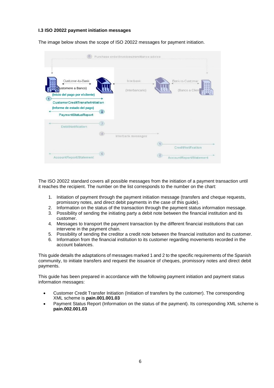## **I.3 ISO 20022 payment initiation messages**

The image below shows the scope of ISO 20022 messages for payment initiation.

|                                                                                                |                    | Purchase order/invoices/remittance advice |                                                           |
|------------------------------------------------------------------------------------------------|--------------------|-------------------------------------------|-----------------------------------------------------------|
| Customer-to-Bank<br>ustomere a Banco)<br>(Inicio del pago por el cliente)                      |                    | Interbank<br>(Interbancario)              | Bank-to-Customer<br>(Banco a Client                       |
| (1)<br>CustomerCreditTransferinitiation<br>(Informe de estado del pago)<br>PaymentStatusReport | $\overline{2}$     |                                           |                                                           |
| <b>DebitNotification</b>                                                                       | 3)<br>$ 40\rangle$ | Interbank messages                        |                                                           |
| AccountReport/Statement                                                                        | 6)                 |                                           | (5)<br>CreditNotification<br>6<br>AccountReport/Statement |

The ISO 20022 standard covers all possible messages from the initiation of a payment transaction until it reaches the recipient. The number on the list corresponds to the number on the chart:

- 1. Initiation of payment through the payment initiation message (transfers and cheque requests, promissory notes, and direct debit payments in the case of this guide).
- 2. Information on the status of the transaction through the payment status information message.
- 3. Possibility of sending the initiating party a debit note between the financial institution and its customer.
- 4. Messages to transport the payment transaction by the different financial institutions that can intervene in the payment chain.
- 5. Possibility of sending the creditor a credit note between the financial institution and its customer.
- 6. Information from the financial institution to its customer regarding movements recorded in the account balances.

This guide details the adaptations of messages marked 1 and 2 to the specific requirements of the Spanish community, to initiate transfers and request the issuance of cheques, promissory notes and direct debit payments.

This guide has been prepared in accordance with the following payment initiation and payment status information messages:

- Customer Credit Transfer Initiation (Initiation of transfers by the customer). The corresponding XML scheme is **pain.001.001.03**
- Payment Status Report (Information on the status of the payment). Its corresponding XML scheme is **pain.002.001.03**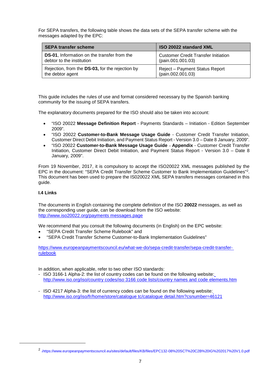For SEPA transfers, the following table shows the data sets of the SEPA transfer scheme with the messages adapted by the EPC:

| <b>SEPA transfer scheme</b>                         | <b>ISO 20022 standard XML</b>              |  |
|-----------------------------------------------------|--------------------------------------------|--|
| <b>DS-01</b> , Information on the transfer from the | <b>Customer Credit Transfer Initiation</b> |  |
| debtor to the institution                           | (pain.001.001.03)                          |  |
| Rejection, from the DS-03, for the rejection by     | Reject - Payment Status Report             |  |
| the debtor agent                                    | (pain.002.001.03)                          |  |

This guide includes the rules of use and format considered necessary by the Spanish banking community for the issuing of SEPA transfers.

The explanatory documents prepared for the ISO should also be taken into account:

- "ISO 20022 **Message Definition Report** Payments Standards Initiation Edition September 2009".
- "ISO 20022 **Customer-to-Bank Message Usage Guide** Customer Credit Transfer Initiation, Customer Direct Debit Initiation, and Payment Status Report - Version 3.0 – Date 8 January, 2009".
- "ISO 20022 **Customer-to-Bank Message Usage Guide Appendix** Customer Credit Transfer Initiation, Customer Direct Debit Initiation, and Payment Status Report - Version 3.0 – Date 8 January, 2009".

From 19 November, 2017, it is compulsory to accept the ISO20022 XML messages published by the EPC in the document: "SEPA Credit Transfer Scheme Customer to Bank Implementation Guidelines"<sup>2</sup> . This document has been used to prepare the IS020022 XML SEPA transfers messages contained in this guide.

## **I.4 Links**

The documents in English containing the complete definition of the ISO **20022** messages, as well as the corresponding user guide, can be download from the ISO website: http://www.iso20022.org/payments messages.page

We recommend that you consult the following documents (in English) on the EPC website:

- "SEPA Credit Transfer Scheme Rulebook" and
- "SEPA Credit Transfer Scheme Customer-to-Bank Implementation Guidelines"

https://www.europeanpaymentscouncil.eu/what-we-do/sepa-credit-transfer/sepa-credit-transferrulebook

In addition, when applicable, refer to two other ISO standards:

- ISO 3166-1 Alpha-2: the list of country codes can be found on the following website: http://www.iso.org/iso/country codes/iso 3166 code lists/country names and code elements.htm
- ISO 4217 Alpha-3: the list of currency codes can be found on the following website: http://www.iso.org/iso/fr/home/store/catalogue tc/catalogue detail.htm?csnumber=46121

<sup>2</sup> 3https://www.europeanpaymentscouncil.eu/sites/default/files/KB/files/EPC132-08%20SCT%20C2B%20IG%202017%20V1.0.pdf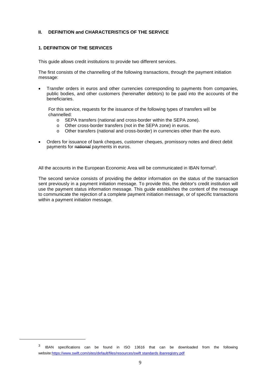## **II. DEFINITION and CHARACTERISTICS OF THE SERVICE**

## **1. DEFINITION OF THE SERVICES**

This guide allows credit institutions to provide two different services.

The first consists of the channelling of the following transactions, through the payment initiation message:

 Transfer orders in euros and other currencies corresponding to payments from companies, public bodies, and other customers (hereinafter debtors) to be paid into the accounts of the beneficiaries.

For this service, requests for the issuance of the following types of transfers will be channelled:

- o SEPA transfers (national and cross-border within the SEPA zone).
- o Other cross-border transfers (not in the SEPA zone) in euros.
- o Other transfers (national and cross-border) in currencies other than the euro.
- Orders for issuance of bank cheques, customer cheques, promissory notes and direct debit payments for national payments in euros.

All the accounts in the European Economic Area will be communicated in IBAN format<sup>3</sup>.

The second service consists of providing the debtor information on the status of the transaction sent previously in a payment initiation message. To provide this, the debtor's credit institution will use the payment status information message. This guide establishes the content of the message to communicate the rejection of a complete payment initiation message, or of specific transactions within a payment initiation message.

<sup>3</sup> IBAN specifications can be found in ISO 13616 that can be downloaded from the following website:https://www.swift.com/sites/default/files/resources/swift standards ibanregistry.pdf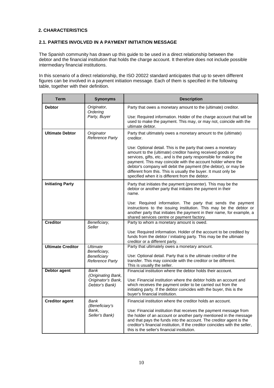## **2. CHARACTERISTICS**

## **2.1. PARTIES INVOLVED IN A PAYMENT INITIATION MESSAGE**

The Spanish community has drawn up this guide to be used in a direct relationship between the debtor and the financial institution that holds the charge account. It therefore does not include possible intermediary financial institutions.

In this scenario of a direct relationship, the ISO 20022 standard anticipates that up to seven different figures can be involved in a payment initiation message. Each of them is specified in the following table, together with their definition.

| <b>Term</b>              | <b>Synonyms</b>                                   | <b>Description</b>                                                                                                                                                                                                                                                                                                                                                                                                                                        |
|--------------------------|---------------------------------------------------|-----------------------------------------------------------------------------------------------------------------------------------------------------------------------------------------------------------------------------------------------------------------------------------------------------------------------------------------------------------------------------------------------------------------------------------------------------------|
| <b>Debtor</b>            | Originator,<br>Ordering                           | Party that owes a monetary amount to the (ultimate) creditor.                                                                                                                                                                                                                                                                                                                                                                                             |
|                          | Party, Buyer                                      | Use: Required information. Holder of the charge account that will be<br>used to make the payment. This may, or may not, coincide with the<br>ultimate debtor.                                                                                                                                                                                                                                                                                             |
| <b>Ultimate Debtor</b>   | Originator<br>Reference Party                     | Party that ultimately owes a monetary amount to the (ultimate)<br>creditor.                                                                                                                                                                                                                                                                                                                                                                               |
|                          |                                                   | Use: Optional detail. This is the party that owes a monetary<br>amount to the (ultimate) creditor having received goods or<br>services, gifts, etc., and is the party responsible for making the<br>payment. This may coincide with the account holder where the<br>debtor's company will debit the payment (the debtor), or may be<br>different from this. This is usually the buyer. It must only be<br>specified when it is different from the debtor. |
| <b>Initiating Party</b>  |                                                   | Party that initiates the payment (presenter). This may be the<br>debtor or another party that initiates the payment in their<br>name.                                                                                                                                                                                                                                                                                                                     |
|                          |                                                   | Use: Required information. The party that sends the payment<br>instructions to the issuing institution. This may be the debtor or<br>another party that initiates the payment in their name, for example, a<br>shared services centre or payment factory.                                                                                                                                                                                                 |
| <b>Creditor</b>          | Beneficiary,<br>Seller                            | Party to whom a monetary amount is owed.                                                                                                                                                                                                                                                                                                                                                                                                                  |
|                          |                                                   | Use: Required information. Holder of the account to be credited by<br>funds from the debtor / initiating party. This may be the ultimate<br>creditor or a different party.                                                                                                                                                                                                                                                                                |
| <b>Ultimate Creditor</b> | <b>Ultimate</b><br>Beneficiary,                   | Party that ultimately owes a monetary amount.                                                                                                                                                                                                                                                                                                                                                                                                             |
|                          | Beneficiary<br>Reference Party                    | Use: Optional detail. Party that is the ultimate creditor of the<br>transfer. This may coincide with the creditor or be different.<br>This is usually the seller.                                                                                                                                                                                                                                                                                         |
| <b>Debtor agent</b>      | <b>Bank</b><br>(Originating Bank,                 | Financial institution where the debtor holds their account.                                                                                                                                                                                                                                                                                                                                                                                               |
|                          | Originator's Bank,<br>Debtor's Bank)              | Use: Financial institution where the debtor holds an account and<br>which receives the payment order to be carried out from the<br>initiating party. If the debtor coincides with the buyer, this is the<br>buyer's financial institution.                                                                                                                                                                                                                |
| <b>Creditor agent</b>    | Bank<br>(Beneficiary's<br>Bank,<br>Seller's Bank) | Financial institution where the creditor holds an account.<br>Use: Financial institution that receives the payment message from<br>the holder of an account or another party mentioned in the message<br>and that pays the funds into the account. The creditor agent is the<br>creditor's financial institution, If the creditor coincides with the seller,<br>this is the seller's financial institution.                                               |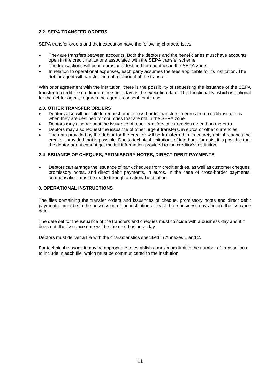## **2.2. SEPA TRANSFER ORDERS**

SEPA transfer orders and their execution have the following characteristics:

- They are transfers between accounts. Both the debtors and the beneficiaries must have accounts open in the credit institutions associated with the SEPA transfer scheme.
- The transactions will be in euros and destined for countries in the SEPA zone.
- In relation to operational expenses, each party assumes the fees applicable for its institution. The debtor agent will transfer the entire amount of the transfer.

With prior agreement with the institution, there is the possibility of requesting the issuance of the SEPA transfer to credit the creditor on the same day as the execution date. This functionality, which is optional for the debtor agent, requires the agent's consent for its use.

## **2.3. OTHER TRANSFER ORDERS**

- Debtors also will be able to request other cross-border transfers in euros from credit institutions when they are destined for countries that are not in the SEPA zone.
- Debtors may also request the issuance of other transfers in currencies other than the euro.
- Debtors may also request the issuance of other urgent transfers, in euros or other currencies.
- The data provided by the debtor for the creditor will be transferred in its entirety until it reaches the creditor, provided that is possible. Due to technical limitations of interbank formats, it is possible that the debtor agent cannot get the full information provided to the creditor's institution.

## **2.4 ISSUANCE OF CHEQUES, PROMISSORY NOTES, DIRECT DEBIT PAYMENTS**

 Debtors can arrange the issuance of bank cheques from credit entities, as well as customer cheques, promissory notes, and direct debit payments, in euros. In the case of cross-border payments, compensation must be made through a national institution.

## **3. OPERATIONAL INSTRUCTIONS**

The files containing the transfer orders and issuances of cheque, promissory notes and direct debit payments, must be in the possession of the institution at least three business days before the issuance date.

The date set for the issuance of the transfers and cheques must coincide with a business day and if it does not, the issuance date will be the next business day.

Debtors must deliver a file with the characteristics specified in Annexes 1 and 2.

For technical reasons it may be appropriate to establish a maximum limit in the number of transactions to include in each file, which must be communicated to the institution.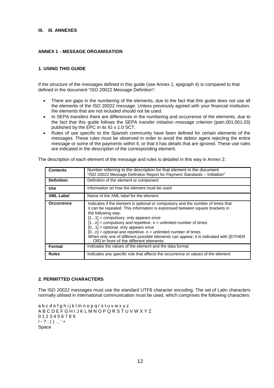#### **III. IIl. ANNEXES**

#### **ANNEX 1 – MESSAGE ORGANISATION**

## **1. USING THIS GUIDE**

If the structure of the messages defined in this guide (see Annex 1, epigraph 4) is compared to that defined in the document "ISO 20022 Message Definition":

- There are gaps in the numbering of the elements, due to the fact that this guide does not use all the elements of the ISO 20022 message. Unless previously agreed with your financial institution, the elements that are not included should not be used.
- In SEPA transfers there are differences in the numbering and occurrence of the elements, due to the fact that this guide follows the SEPA transfer initiation message criterion (pain.001.001.03) published by the EPC in its IG v 1.0 SCT.
- Rules of use specific to the Spanish community have been defined for certain elements of the messages. These rules must be observed in order to avoid the debtor agent rejecting the entire message or some of the payments within it, or that it has details that are ignored. These use rules are indicated in the description of the corresponding element.

| <b>Contents</b>   | Number referring to the description for that element in the document<br>"ISO 20022 Message Definition Report for Payment Standards - Initiation"                                                                                                                                                                                                                                                                                                                                                                                                       |
|-------------------|--------------------------------------------------------------------------------------------------------------------------------------------------------------------------------------------------------------------------------------------------------------------------------------------------------------------------------------------------------------------------------------------------------------------------------------------------------------------------------------------------------------------------------------------------------|
| <b>Definition</b> | Definition of the element or component                                                                                                                                                                                                                                                                                                                                                                                                                                                                                                                 |
| <b>Use</b>        | Information on how the element must be used                                                                                                                                                                                                                                                                                                                                                                                                                                                                                                            |
| <b>XML Label</b>  | Name of the XML label for the element                                                                                                                                                                                                                                                                                                                                                                                                                                                                                                                  |
| <b>Occurrence</b> | Indicates if the element is optional or compulsory and the number of times that<br>it can be repeated. This information is expressed between square brackets in<br>the following way:<br>$[11]$ = compulsory, only appears once<br>$[1n]$ = compulsory and repetitive. $n =$ unlimited number of times<br>$[01]$ = optional, only appears once<br>$[0n]$ = optional and repetitive. $n =$ unlimited number of times<br>When only one of different possible elements can appear, it is indicated with {EITHER<br>OR} in front of the different elements |
| Format            | Indicates the values of the element and the data format                                                                                                                                                                                                                                                                                                                                                                                                                                                                                                |
| <b>Rules</b>      | Indicates any specific rule that affects the occurrence or values of the element                                                                                                                                                                                                                                                                                                                                                                                                                                                                       |

The description of each element of the message and rules is detailed in this way in Annex 2:

#### **2. PERMITTED CHARACTERS**

The ISO 20022 messages must use the standard UTF8 character encoding. The set of Latin characters normally utilised in international communication must be used, which comprises the following characters:

a b c d e f g h i j k l m n o p q r s t u v w x y z A B C D E F G H I J K L M N O P Q R S T U V W X Y Z 0 1 2 3 4 5 6 7 8 9  $/ - ? : () . , ' +$ Space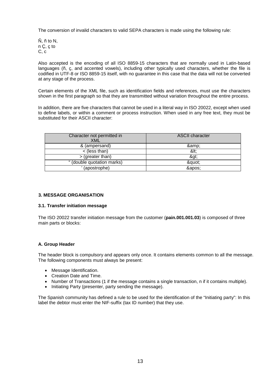The conversion of invalid characters to valid SEPA characters is made using the following rule:

 $\tilde{N}$ ,  $\tilde{n}$  to N, n Ç, ç to C, c

Also accepted is the encoding of all ISO 8859-15 characters that are normally used in Latin-based languages (ñ, ç, and accented vowels), including other typically used characters, whether the file is codified in UTF-8 or ISO 8859-15 itself, with no guarantee in this case that the data will not be converted at any stage of the process.

Certain elements of the XML file, such as identification fields and references, must use the characters shown in the first paragraph so that they are transmitted without variation throughout the entire process.

In addition, there are five characters that cannot be used in a literal way in ISO 20022, except when used to define labels, or within a comment or process instruction. When used in any free text, they must be substituted for their ASCII character:

| Character not permitted in<br><b>XML</b> | <b>ASCII</b> character |
|------------------------------------------|------------------------|
| & (ampersand)                            | &                      |
| $<$ (less than)                          | <:                     |
| >(greater than)                          | >                      |
| " (double quotation marks)               | "                      |
| (apostrophe)                             | '                      |

## **3. MESSAGE ORGANISATION**

#### **3.1. Transfer initiation message**

The ISO 20022 transfer initiation message from the customer (**pain.001.001.03**) is composed of three main parts or blocks:

## **A. Group Header**

The header block is compulsory and appears only once. It contains elements common to all the message. The following components must always be present:

- Message Identification.
- Creation Date and Time.
- Number of Transactions (1 if the message contains a single transaction, n if it contains multiple).
- Initiating Party (presenter, party sending the message).

The Spanish community has defined a rule to be used for the identification of the "Initiating party": In this label the debtor must enter the NIF-suffix (tax ID number) that they use.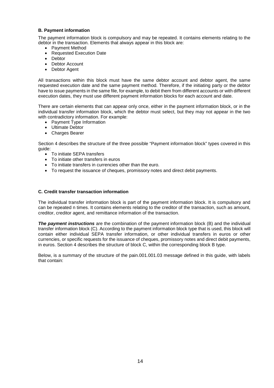#### **B. Payment information**

The payment information block is compulsory and may be repeated. It contains elements relating to the debtor in the transaction. Elements that always appear in this block are:

- Payment Method
- Requested Execution Date
- Debtor
- Debtor Account
- Debtor Agent

All transactions within this block must have the same debtor account and debtor agent, the same requested execution date and the same payment method. Therefore, if the initiating party or the debtor have to issue payments in the same file, for example, to debit them from different accounts or with different execution dates, they must use different payment information blocks for each account and date.

There are certain elements that can appear only once, either in the payment information block, or in the individual transfer information block, which the debtor must select, but they may not appear in the two with contradictory information. For example:

- Payment Type Information
- Ultimate Debtor
- Charges Bearer

Section 4 describes the structure of the three possible "Payment information block" types covered in this guide:

- To initiate SEPA transfers
- To initiate other transfers in euros
- To initiate transfers in currencies other than the euro.
- To request the issuance of cheques, promissory notes and direct debit payments.

#### **C. Credit transfer transaction information**

The individual transfer information block is part of the payment information block. It is compulsory and can be repeated n times. It contains elements relating to the creditor of the transaction, such as amount, creditor, creditor agent, and remittance information of the transaction.

*The payment instructions* are the combination of the payment information block (B) and the individual transfer information block (C). According to the payment information block type that is used, this block will contain either individual SEPA transfer information, or other individual transfers in euros or other currencies, or specific requests for the issuance of cheques, promissory notes and direct debit payments, in euros. Section 4 describes the structure of block C, within the corresponding block B type.

Below, is a summary of the structure of the pain.001.001.03 message defined in this guide, with labels that contain: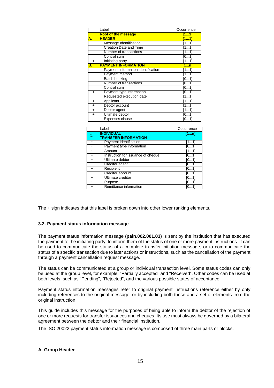|           | Label                              | Occurrence |
|-----------|------------------------------------|------------|
|           | <b>Root of the message</b>         | [11]       |
| А.        | <b>HEADER</b>                      | [11]       |
|           | Message Identification             | [11]       |
|           | <b>Creation Date and Time</b>      | [11]       |
|           | Number of transactions             | [11]       |
|           | Control sum                        | [01]       |
| $+$       | Initiating party                   | [11]       |
| В.        | <b>PAYMENT INFORMATION</b>         | 1n         |
|           | Payment information identification | [11]       |
|           | Payment method                     | [11]       |
|           | Batch booking                      | [01]       |
|           | Number of transactions             | [01]       |
|           | Control sum                        | [01]       |
| $+$       | Payment type information           | [01]       |
|           | Requested execution date           | [11]       |
| $\ddot{}$ | Applicant                          | [1…1]      |
| $\ddot{}$ | Debtor account                     | [1…1]      |
| $\ddot{}$ | Debtor agent                       | [11]       |
| $\ddot{}$ | Ultimate debtor                    | [0…1]      |
|           | Expenses clause                    | [0…1]      |

|           | Label                                            | Occurrence |
|-----------|--------------------------------------------------|------------|
| С.        | <b>INDIVIDUAL</b><br><b>TRANSFER INFORMATION</b> | [1n]       |
| $\div$    | Payment identification                           | [11]       |
| ÷         | Payment type information                         | [01]       |
|           | Amount                                           | [11]       |
| $\div$    | Instruction for issuance of cheque               | [0…1       |
| $\div$    | Ultimate debtor                                  | [01]       |
|           | Creditor agent                                   | [01]       |
| ÷         | Recipient                                        | [01]       |
|           | Creditor account                                 | [01]       |
|           | Ultimate creditor                                | [01]       |
| $\ddot{}$ | Purpose                                          | [01]       |
|           | Remittance information                           |            |

The + sign indicates that this label is broken down into other lower ranking elements.

#### **3.2. Payment status information message**

The payment status information message (**pain.002.001.03**) is sent by the institution that has executed the payment to the initiating party, to inform them of the status of one or more payment instructions. It can be used to communicate the status of a complete transfer initiation message, or to communicate the status of a specific transaction due to later actions or instructions, such as the cancellation of the payment through a payment cancellation request message.

The status can be communicated at a group or individual transaction level. Some status codes can only be used at the group level, for example, "Partially accepted" and "Received". Other codes can be used at both levels, such as "Pending", "Rejected", and the various possible states of acceptance.

Payment status information messages refer to original payment instructions reference either by only including references to the original message, or by including both these and a set of elements from the original instruction.

This guide includes this message for the purposes of being able to inform the debtor of the rejection of one or more requests for transfer issuances and cheques. Its use must always be governed by a bilateral agreement between the debtor and their financial institution.

The ISO 20022 payment status information message is composed of three main parts or blocks.

#### **A. Group Header**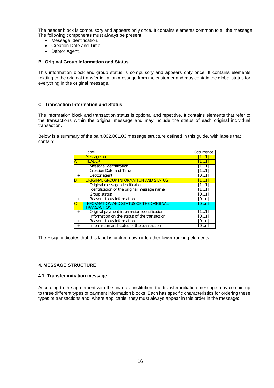The header block is compulsory and appears only once. It contains elements common to all the message. The following components must always be present:

- Message Identification.
- Creation Date and Time.
- Debtor Agent.

#### **B. Original Group Information and Status**

This information block and group status is compulsory and appears only once. It contains elements relating to the original transfer initiation message from the customer and may contain the global status for everything in the original message.

## **C. Transaction Information and Status**

The information block and transaction status is optional and repetitive. It contains elements that refer to the transactions within the original message and may include the status of each original individual transaction.

Below is a summary of the pain.002.001.03 message structure defined in this guide, with labels that contain:

|                | Label                                                 | Occurrence |
|----------------|-------------------------------------------------------|------------|
|                | Message root                                          | [11]       |
| A.             | <b>HEADER</b>                                         | [11]       |
|                | Message Identification                                | [1…1]      |
|                | <b>Creation Date and Time</b>                         | [11]       |
| $+$            | Debtor agent                                          | [0…1]      |
| В.             | <b>ORIGINAL GROUP INFORMATION AND STATUS</b>          | [11]       |
|                | Original message identification                       | [1…1]      |
|                | Identification of the original message name           | [11]       |
|                | Group status                                          | [01]       |
| $+$            | Reason status information                             | [0…n]      |
|                | INFORMATION AND STATUS OF THE ORIGINAL<br>TRANSACTION | [0n]       |
| $\overline{+}$ | Original payment information identification           | [11]       |
|                | Information on the status of the transaction          | [01]       |
| $+$            | Reason status information                             | [0…n]      |
| $^{+}$         | Information and status of the transaction             | [0…n]      |

The + sign indicates that this label is broken down into other lower ranking elements.

## **4. MESSAGE STRUCTURE**

#### **4.1. Transfer initiation message**

According to the agreement with the financial institution, the transfer initiation message may contain up to three different types of payment information blocks. Each has specific characteristics for ordering these types of transactions and, where applicable, they must always appear in this order in the message: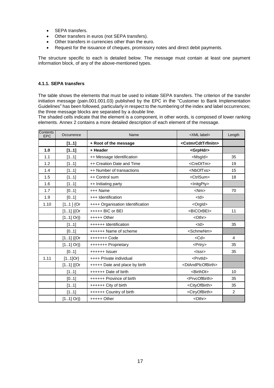- SEPA transfers.
- Other transfers in euros (not SEPA transfers).
- Other transfers in currencies other than the euro.
- Request for the issuance of cheques, promissory notes and direct debit payments.

The structure specific to each is detailed below. The message must contain at least one payment information block, of any of the above-mentioned types.

## **4.1.1. SEPA transfers**

The table shows the elements that must be used to initiate SEPA transfers. The criterion of the transfer initiation message (pain.001.001.03) published by the EPC in the "Customer to Bank Implementation Guidelines" has been followed, particularly in respect to the numbering of the index and label occurrences; the three message blocks are separated by a double line.

The shaded cells indicate that the element is a component, in other words, is composed of lower ranking elements. Annex 2 contains a more detailed description of each element of the message.

| Contents<br><b>EPC</b> | Occurrence  | Name                             | <xml label=""></xml>                  | Length         |
|------------------------|-------------|----------------------------------|---------------------------------------|----------------|
|                        | [11]        | + Root of the message            | <cstmrcdttrfinitn></cstmrcdttrfinitn> |                |
| 1.0                    | [11]        | + Header                         | <grphdr></grphdr>                     |                |
| 1.1                    | [11]        | ++ Message Identification        | <msgld></msgld>                       | 35             |
| 1.2                    | [11]        | ++ Creation Date and Time        | <credttm></credttm>                   | 19             |
| 1.4                    | [11]        | ++ Number of transactions        | <nboftxs></nboftxs>                   | 15             |
| 1.5                    | [11]        | ++ Control sum                   | <ctrlsum></ctrlsum>                   | 18             |
| 1.6                    | [11]        | ++ Initiating party              | <lnitgpty></lnitgpty>                 |                |
| 1.7                    | [01]        | +++ Name                         | $<$ Nm $>$                            | 70             |
| 1.9                    | [01]        | +++ Identification               | $<$ ld $>$                            |                |
| 1.10                   | $[11]$ {Or  | ++++ Organisation Identification | <orgld></orgld>                       |                |
|                        | $[11]$ {{Or | $++++$ BIC or BEI                | <bicorbei></bicorbei>                 | 11             |
|                        | $[11]$ Or}} | $++++$ Other                     | <othr></othr>                         |                |
|                        | [11]        | ++++++ Identification            | $<$ ld $>$                            | 35             |
|                        | [01]        | ++++++ Name of scheme            | <schmenm></schmenm>                   |                |
|                        | $[11]$ {{Or | +++++++ Code                     | $<$ Cd $>$                            | $\overline{4}$ |
|                        | $[11]$ Or}} | +++++++ Proprietary              | <prtry></prtry>                       | 35             |
|                        | [01]        | ++++++ Issuer                    | $<$ Issr $>$                          | 35             |
| 1.11                   | $[11]$ Or}  | ++++ Private individual          | <prvtld></prvtld>                     |                |
|                        | $[11]$ {{Or | +++++ Date and place by birth    | <dtandplcofbirth></dtandplcofbirth>   |                |
|                        | [11]        | ++++++ Date of birth             | <birthdt></birthdt>                   | 10             |
|                        | [01]        | ++++++ Province of birth         | <prvcofbirth></prvcofbirth>           | 35             |
|                        | [11]        | ++++++ City of birth             | <cityofbirth></cityofbirth>           | 35             |
|                        | [11]        | ++++++ Country of birth          | <ctryofbirth></ctryofbirth>           | 2              |
|                        | $[11]$ Or}} | $++++$ Other                     | <othr></othr>                         |                |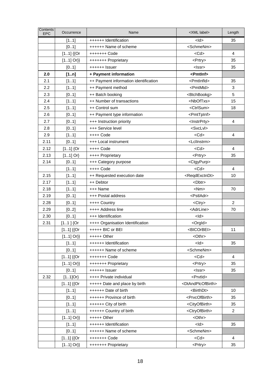| Contents<br><b>EPC</b> | Occurrence  | Name                                  | <xml label=""></xml>                | Length         |
|------------------------|-------------|---------------------------------------|-------------------------------------|----------------|
|                        | [11]        | ++++++ Identification                 | $<$ ld>                             | 35             |
|                        | [01]        | ++++++ Name of scheme                 | <schmenm></schmenm>                 |                |
|                        | $[11]$ {{Or | +++++++ Code                          | $<$ Cd $>$                          | 4              |
|                        | $[11]$ Or}} | +++++++ Proprietary                   | <prtry></prtry>                     | 35             |
|                        | [01]        | ++++++ Issuer                         | $<$ Issr $>$                        | 35             |
| 2.0                    | [1n]        | + Payment information                 | <pmtlnf></pmtlnf>                   |                |
| 2.1                    | [11]        | ++ Payment information identification | <pmtlnfld></pmtlnfld>               | 35             |
| 2.2                    | [11]        | ++ Payment method                     | <pmtmtd></pmtmtd>                   | 3              |
| 2.3                    | [01]        | ++ Batch booking                      | <btchbookg></btchbookg>             | 5              |
| 2.4                    | [11]        | ++ Number of transactions             | <nboftxs></nboftxs>                 | 15             |
| 2.5                    | [11]        | ++ Control sum                        | <ctrlsum></ctrlsum>                 | 18             |
| 2.6                    | [01]        | ++ Payment type information           | <pmttpinf></pmttpinf>               |                |
| 2.7                    | [01]        | +++ Instruction priority              | <lnstrprty></lnstrprty>             | 4              |
| 2.8                    | [01]        | +++ Service level                     | <svclvl></svclvl>                   |                |
| 2.9                    | [11]        | $++++$ Code                           | $<$ Cd $>$                          | 4              |
| 2.11                   | [01]        | +++ Local instrument                  | <lcllnstrm></lcllnstrm>             |                |
| 2.12                   | $[11]$ {Or  | ++++ Code                             | $<$ Cd $>$                          | 4              |
| 2.13                   | $[11]$ Or}  | ++++ Proprietary                      | <prtry></prtry>                     | 35             |
| 2.14                   | [01]        | +++ Category purpose                  | <ctgypurp></ctgypurp>               |                |
|                        | [11]        | ++++ Code                             | $<$ Cd $>$                          | 4              |
| 2.15                   | [11]        | ++ Requested execution date           | <reqdexctndt></reqdexctndt>         | 10             |
| 2.17                   | [11]        | ++ Debtor                             | <dbtr></dbtr>                       |                |
| 2.18                   | [11]        | +++ Name                              | $<$ Nm $>$                          | 70             |
| 2.19                   | [01]        | +++ Postal address                    | <pstladr></pstladr>                 |                |
| 2.28                   | [01]        | ++++ Country                          | <ctry></ctry>                       | 2              |
| 2.29                   | [02]        | ++++ Address line                     | <adrline></adrline>                 | 70             |
| 2.30                   | [01]        | +++ Identification                    | <ld></ld>                           |                |
| 2.31                   | $[11]$ {Or  | ++++ Organisation Identification      | <orgld></orgld>                     |                |
|                        | $[11]$ {{Or | +++++ BIC or BEI                      | <bicorbei></bicorbei>               | 11             |
|                        | $[11]$ Or}} | $++++$ Other                          | <othr></othr>                       |                |
|                        | [11]        | ++++++ Identification                 | <ld></ld>                           | 35             |
|                        | [01]        | ++++++ Name of scheme                 | <schmenm></schmenm>                 |                |
|                        | $[11]$ {{Or | +++++++ Code                          | $<$ Cd $>$                          | $\overline{4}$ |
|                        | $[11]$ Or}} | +++++++ Proprietary                   | <prtry></prtry>                     | 35             |
|                        | [01]        | ++++++ Issuer                         | <lssr></lssr>                       | 35             |
| 2.32                   | $[11]$ Or}  | ++++ Private individual               | <prvtld></prvtld>                   |                |
|                        | $[11]$ {{Or | +++++ Date and place by birth         | <dtandplcofbirth></dtandplcofbirth> |                |
|                        | [11]        | ++++++ Date of birth                  | <birthdt></birthdt>                 | 10             |
|                        | [01]        | ++++++ Province of birth              | <prvcofbirth></prvcofbirth>         | 35             |
|                        | [11]        | ++++++ City of birth                  | <cityofbirth></cityofbirth>         | 35             |
|                        | [11]        | ++++++ Country of birth               | <ctryofbirth></ctryofbirth>         | 2              |
|                        | $[11]$ Or}} | $++++$ Other                          | <othr></othr>                       |                |
|                        | [11]        | ++++++ Identification                 | $<$ ld $>$                          | 35             |
|                        | [01]        | ++++++ Name of scheme                 | <schmenm></schmenm>                 |                |
|                        | $[11]$ {{Or | +++++++ Code                          | $<$ Cd $>$                          | 4              |
|                        | $[11]$ Or}} | +++++++ Proprietary                   | <prtry></prtry>                     | 35             |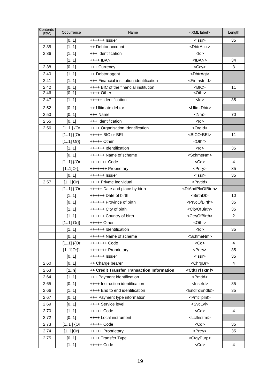| Contents<br><b>EPC</b> | Occurrence  | Name                                       | <xml label=""></xml>                | Length         |
|------------------------|-------------|--------------------------------------------|-------------------------------------|----------------|
|                        | [01]        | ++++++ Issuer                              | <lssr></lssr>                       | 35             |
| 2.35                   | [11]        | ++ Debtor account                          | <dbtracct></dbtracct>               |                |
| 2.36                   | [11]        | +++ Identification                         | $<$ ld $>$                          |                |
|                        | [11]        | ++++ IBAN                                  | $<$ IBAN $>$                        | 34             |
| 2.38                   | [01]        | +++ Currency                               | $<$ Ccy $>$                         | 3              |
| 2.40                   | [11]        | ++ Debtor agent                            | <dbtragt></dbtragt>                 |                |
| 2.41                   | [11]        | +++ Financial institution identification   | <fininstnid></fininstnid>           |                |
| 2.42                   | [01]        | ++++ BIC of the financial institution      | $<$ BIC $>$                         | 11             |
| 2.46                   | [01]        | $++++$ Other                               | <othr></othr>                       |                |
| 2.47                   | [11]        | +++++ Identification                       | $<$ ld>                             | 35             |
| 2.52                   | [01]        | ++ Ultimate debtor                         | <ultmtdbtr></ultmtdbtr>             |                |
| 2.53                   | [01]        | +++ Name                                   | $<$ Nm $>$                          | 70             |
| 2.55                   | [01]        | +++ Identification                         | $<$ ld $>$                          |                |
| 2.56                   | $[11]$ {Or  | ++++ Organisation Identification           | <orgld></orgld>                     |                |
|                        | $[11]$ {{Or | +++++ BIC or BEI                           | <bicorbei></bicorbei>               | 11             |
|                        | $[11]$ Or}} | $++++$ Other                               | <othr></othr>                       |                |
|                        | [11]        | ++++++ Identification                      | $<$ ld $>$                          | 35             |
|                        | [01]        | ++++++ Name of scheme                      | <schmenm></schmenm>                 |                |
|                        | $[11]$ {{Or | +++++++ Code                               | $<$ Cd $>$                          | 4              |
|                        | $[11]Or\}$  | +++++++ Proprietary                        | <prtry></prtry>                     | 35             |
|                        | [01]        | ++++++ Issuer                              | <lssr></lssr>                       | 35             |
| 2.57                   | $[11]$ Or}  | ++++ Private individual                    | <prvtld></prvtld>                   |                |
|                        | $[11]$ {{Or | +++++ Date and place by birth              | <dtandplcofbirth></dtandplcofbirth> |                |
|                        | [11]        | ++++++ Date of birth                       | <birthdt></birthdt>                 | 10             |
|                        | [01]        | ++++++ Province of birth                   | <prvcofbirth></prvcofbirth>         | 35             |
|                        | [11]        | ++++++ City of birth                       | <cityofbirth></cityofbirth>         | 35             |
|                        | [11]        | ++++++ Country of birth                    | <ctryofbirth></ctryofbirth>         | $\overline{2}$ |
|                        | $[11]$ Or}} | $++++$ Other                               | $<$ Othr $>$                        |                |
|                        | [11]        | ++++++ Identification                      | $<$ ld $>$                          | 35             |
|                        | [01]        | ++++++ Name of scheme                      | <schmenm></schmenm>                 |                |
|                        | $[11]$ {{Or | +++++++ Code                               | $<$ Cd $>$                          | 4              |
|                        | $[11]Or\}$  | +++++++ Proprietary                        | <prtry></prtry>                     | 35             |
|                        | [01]        | ++++++ Issuer                              | <lssr></lssr>                       | 35             |
| 2.60                   | [01]        | ++ Charge bearer                           | <chrgbr></chrgbr>                   | 4              |
| 2.63                   | [1n]        | ++ Credit Transfer Transaction Information | <cdttrftxinf></cdttrftxinf>         |                |
| 2.64                   | [11]        | +++ Payment identification                 | <pmtld></pmtld>                     |                |
| 2.65                   | [01]        | ++++ Instruction identification            | <lnstrld></lnstrld>                 | 35             |
| 2.66                   | [11]        | ++++ End to end identification             | <endtoendid></endtoendid>           | 35             |
| 2.67                   | [01]        | +++ Payment type information               | <pmttpinf></pmttpinf>               |                |
| 2.69                   | [01]        | ++++ Service level                         | <svclvl></svclvl>                   |                |
| 2.70                   | [11]        | +++++ Code                                 | $<$ Cd $>$                          | 4              |
| 2.72                   | [01]        | ++++ Local instrument                      | <lclinstrm></lclinstrm>             |                |
| 2.73                   | $[11]$ {Or  | +++++ Code                                 | $<$ Cd $>$                          | 35             |
| 2.74                   | $[11]$ Or}  | +++++ Proprietary                          | <prtry></prtry>                     | 35             |
| 2.75                   | [01]        | ++++ Transfer Type                         | <ctgypurp></ctgypurp>               |                |
|                        | [11]        | +++++ Code                                 | $<$ Cd $>$                          | 4              |
|                        |             |                                            |                                     |                |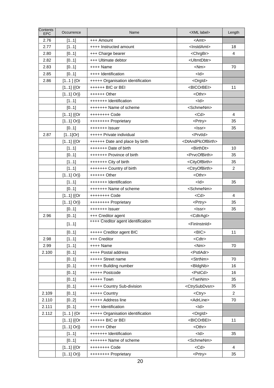| Contents<br><b>EPC</b> | Occurrence  | Name                               | <xml label=""></xml>                | Length         |
|------------------------|-------------|------------------------------------|-------------------------------------|----------------|
| 2.76                   | [11]        | +++ Amount                         | <amt></amt>                         |                |
| 2.77                   | [11]        | ++++ Instructed amount             | <lnstdamt></lnstdamt>               | 18             |
| 2.80                   | [01]        | +++ Charge bearer                  | <chrgbr></chrgbr>                   | 4              |
| 2.82                   | [01]        | +++ Ultimate debtor                | <ultmtdbtr></ultmtdbtr>             |                |
| 2.83                   | [01]        | $++++$ Name                        | $<$ Nm $>$                          | 70             |
| 2.85                   | [01]        | ++++ Identification                | $<$ ld $>$                          |                |
| 2.86                   | $[11]$ {Or  | +++++ Organisation identification  | <orgld></orgld>                     |                |
|                        | $[11]$ {{Or | ++++++ BIC or BEI                  | <bicorbei></bicorbei>               | 11             |
|                        | $[11]$ Or}} | $+++++O$ ther                      | <othr></othr>                       |                |
|                        | [11]        | +++++++ Identification             | $<$ ld $>$                          |                |
|                        | [01]        | +++++++ Name of scheme             | <schmenm></schmenm>                 |                |
|                        | $[11]$ {{Or | ++++++++ Code                      | $<$ Cd $>$                          | $\overline{4}$ |
|                        | $[11]$ Or}} | ++++++++ Proprietary               | <prtry></prtry>                     | 35             |
|                        | [01]        | $++++++$ Issuer                    | $<$ Issr $>$                        | 35             |
| 2.87                   | $[11]$ Or}  | +++++ Private individual           | <prvtld></prvtld>                   |                |
|                        | $[11]$ {{Or | ++++++ Date and place by birth     | <dtandplcofbirth></dtandplcofbirth> |                |
|                        | [11]        | +++++++ Date of birth              | <birthdt></birthdt>                 | 10             |
|                        | [01]        | +++++++ Province of birth          | <prvcofbirth></prvcofbirth>         | 35             |
|                        | [11]        | +++++++ City of birth              | <cityofbirth></cityofbirth>         | 35             |
|                        | [11]        | +++++++ Country of birth           | <ctryofbirth></ctryofbirth>         | $\overline{2}$ |
|                        | $[11]$ Or}} | $+++++O$ ther                      | <othr></othr>                       |                |
|                        | [11]        | +++++++ Identification             | $<$ ld $>$                          | 35             |
|                        | [01]        | +++++++ Name of scheme             | <schmenm></schmenm>                 |                |
|                        | $[11]$ {{Or | ++++++++ Code                      | <cd></cd>                           | 4              |
|                        | $[11]$ Or}} | ++++++++ Proprietary               | <prtry></prtry>                     | 35             |
|                        | [01]        |                                    | $<$ Issr $>$                        | 35             |
| 2.96                   | [01]        | +++ Creditor agent                 | <cdtragt></cdtragt>                 |                |
|                        | [11]        | ++++ Creditor agent identification | <fininstnid></fininstnid>           |                |
|                        | [01]        | +++++ Creditor agent BIC           | >BIC                                | 11             |
| 2.98                   | [11]        | +++ Creditor                       | <cdtr></cdtr>                       |                |
| 2.99                   | [11]        | ++++ Name                          | $<$ Nm $>$                          | 70             |
| 2.100                  | [01]        | ++++ Postal address                | <pstladr></pstladr>                 |                |
|                        | [01]        | +++++ Street name                  | <strtnm></strtnm>                   | 70             |
|                        | [01]        | +++++ Building number              | <bldgnb></bldgnb>                   | 16             |
|                        | [01]        | +++++ Postcode                     | <pstcd></pstcd>                     | 16             |
|                        | [01]        | +++++ Town                         | <twnnm></twnnm>                     | 35             |
|                        | [01]        | +++++ Country Sub-division         | <ctrysubdvsn></ctrysubdvsn>         | 35             |
| 2.109                  | [01]        | +++++ Country                      | <ctry></ctry>                       | 2              |
| 2.110                  | [02]        | +++++ Address line                 | <adrline></adrline>                 | 70             |
| 2.111                  | [01]        | ++++ Identification                | <ld></ld>                           |                |
| 2.112                  | $[11]$ {Or  | +++++ Organisation identification  | <orgld></orgld>                     |                |
|                        | $[11]$ {{Or | ++++++ BIC or BEI                  | <bicorbei></bicorbei>               | 11             |
|                        | $[11]$ Or}} | ++++++ Other                       | <othr></othr>                       |                |
|                        | [11]        | +++++++ Identification             | <ld></ld>                           | 35             |
|                        | [01]        | +++++++ Name of scheme             | <schmenm></schmenm>                 |                |
|                        | $[11]$ {{Or | ++++++++ Code                      | $<$ Cd $>$                          | $\overline{4}$ |
|                        | $[11]$ Or}} | ++++++++ Proprietary               | <prtry></prtry>                     | 35             |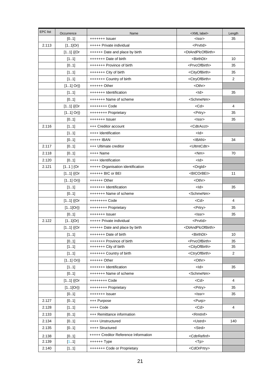| +++++++ Issuer<br><lssr><br/>[01]<br/>2.113<br/><math>[11]</math>Or}<br/><prvtid><br/>+++++ Private individual<br/><dtandplcofbirth><br/><math>[11]</math> {{Or<br/>++++++ Date and place by birth<br/>+++++++ Date of birth<br/><birthdt><br/>[11]<br/><prvcofbirth><br/>[0.1]<br/>+++++++ Province of birth<br/>+++++++ City of birth<br/><cityofbirth><br/>[11]<br/><math>\overline{2}</math><br/>[11]<br/>+++++++ Country of birth<br/><ctryofbirth><br/><math>[11]</math> Or}}<br/>++++++ Other<br/><othr><br/><math>&lt;</math>ld&gt;<br/>[11]<br/>+++++++ Identification<br/><schmenm><br/>[0.1]<br/>+++++++ Name of scheme<br/><math>&lt;</math>Cd<math>&gt;</math><br/><math>[11]</math> {{Or<br/>++++++++ Code<br/>4<br/><math>[11]</math> Or}}<br/><prtry><br/>++++++++ Proprietary<br/>[0.1]<br/>+++++++ Issuer<br/><lssr><br/>2.116<br/>[11]<br/>+++ Creditor account<br/><cdtracct><br/>++++ Identification<br/><ld><br/>[11]<br/>+++++ IBAN<br/><math>&lt;</math>IBAN<math>&gt;</math><br/>[01]<br/>2.117<br/>+++ Ultimate creditor<br/><ultmtcdtr><br/>[01]<br/>2.118<br/>[01]<br/>++++ Name<br/><nm></nm></ultmtcdtr></ld></cdtracct></lssr></prtry></schmenm></othr></ctryofbirth></cityofbirth></prvcofbirth></birthdt></dtandplcofbirth></prvtid></lssr> | Length |
|------------------------------------------------------------------------------------------------------------------------------------------------------------------------------------------------------------------------------------------------------------------------------------------------------------------------------------------------------------------------------------------------------------------------------------------------------------------------------------------------------------------------------------------------------------------------------------------------------------------------------------------------------------------------------------------------------------------------------------------------------------------------------------------------------------------------------------------------------------------------------------------------------------------------------------------------------------------------------------------------------------------------------------------------------------------------------------------------------------------------------------------------------------------------------------------------------------------------------------------------------------------------------|--------|
|                                                                                                                                                                                                                                                                                                                                                                                                                                                                                                                                                                                                                                                                                                                                                                                                                                                                                                                                                                                                                                                                                                                                                                                                                                                                              | 35     |
|                                                                                                                                                                                                                                                                                                                                                                                                                                                                                                                                                                                                                                                                                                                                                                                                                                                                                                                                                                                                                                                                                                                                                                                                                                                                              |        |
|                                                                                                                                                                                                                                                                                                                                                                                                                                                                                                                                                                                                                                                                                                                                                                                                                                                                                                                                                                                                                                                                                                                                                                                                                                                                              |        |
|                                                                                                                                                                                                                                                                                                                                                                                                                                                                                                                                                                                                                                                                                                                                                                                                                                                                                                                                                                                                                                                                                                                                                                                                                                                                              | 10     |
|                                                                                                                                                                                                                                                                                                                                                                                                                                                                                                                                                                                                                                                                                                                                                                                                                                                                                                                                                                                                                                                                                                                                                                                                                                                                              | 35     |
|                                                                                                                                                                                                                                                                                                                                                                                                                                                                                                                                                                                                                                                                                                                                                                                                                                                                                                                                                                                                                                                                                                                                                                                                                                                                              | 35     |
|                                                                                                                                                                                                                                                                                                                                                                                                                                                                                                                                                                                                                                                                                                                                                                                                                                                                                                                                                                                                                                                                                                                                                                                                                                                                              |        |
|                                                                                                                                                                                                                                                                                                                                                                                                                                                                                                                                                                                                                                                                                                                                                                                                                                                                                                                                                                                                                                                                                                                                                                                                                                                                              |        |
|                                                                                                                                                                                                                                                                                                                                                                                                                                                                                                                                                                                                                                                                                                                                                                                                                                                                                                                                                                                                                                                                                                                                                                                                                                                                              | 35     |
|                                                                                                                                                                                                                                                                                                                                                                                                                                                                                                                                                                                                                                                                                                                                                                                                                                                                                                                                                                                                                                                                                                                                                                                                                                                                              |        |
|                                                                                                                                                                                                                                                                                                                                                                                                                                                                                                                                                                                                                                                                                                                                                                                                                                                                                                                                                                                                                                                                                                                                                                                                                                                                              |        |
|                                                                                                                                                                                                                                                                                                                                                                                                                                                                                                                                                                                                                                                                                                                                                                                                                                                                                                                                                                                                                                                                                                                                                                                                                                                                              | 35     |
|                                                                                                                                                                                                                                                                                                                                                                                                                                                                                                                                                                                                                                                                                                                                                                                                                                                                                                                                                                                                                                                                                                                                                                                                                                                                              | 35     |
|                                                                                                                                                                                                                                                                                                                                                                                                                                                                                                                                                                                                                                                                                                                                                                                                                                                                                                                                                                                                                                                                                                                                                                                                                                                                              |        |
|                                                                                                                                                                                                                                                                                                                                                                                                                                                                                                                                                                                                                                                                                                                                                                                                                                                                                                                                                                                                                                                                                                                                                                                                                                                                              |        |
|                                                                                                                                                                                                                                                                                                                                                                                                                                                                                                                                                                                                                                                                                                                                                                                                                                                                                                                                                                                                                                                                                                                                                                                                                                                                              | 34     |
|                                                                                                                                                                                                                                                                                                                                                                                                                                                                                                                                                                                                                                                                                                                                                                                                                                                                                                                                                                                                                                                                                                                                                                                                                                                                              |        |
|                                                                                                                                                                                                                                                                                                                                                                                                                                                                                                                                                                                                                                                                                                                                                                                                                                                                                                                                                                                                                                                                                                                                                                                                                                                                              | 70     |
| $<$ ld $>$<br>2.120<br>++++ Identification<br>[01]                                                                                                                                                                                                                                                                                                                                                                                                                                                                                                                                                                                                                                                                                                                                                                                                                                                                                                                                                                                                                                                                                                                                                                                                                           |        |
| 2.121<br>$[11]$ {Or<br>+++++ Organisation identification<br><orgld></orgld>                                                                                                                                                                                                                                                                                                                                                                                                                                                                                                                                                                                                                                                                                                                                                                                                                                                                                                                                                                                                                                                                                                                                                                                                  |        |
| $[11]$ {{Or<br>++++++ BIC or BEI<br><bicorbei><br/>11</bicorbei>                                                                                                                                                                                                                                                                                                                                                                                                                                                                                                                                                                                                                                                                                                                                                                                                                                                                                                                                                                                                                                                                                                                                                                                                             |        |
| $[11]$ Or}}<br>$<$ Othr $>$<br>++++++ Other                                                                                                                                                                                                                                                                                                                                                                                                                                                                                                                                                                                                                                                                                                                                                                                                                                                                                                                                                                                                                                                                                                                                                                                                                                  |        |
| [11]<br>+++++++ Identification<br>$<$ ld>                                                                                                                                                                                                                                                                                                                                                                                                                                                                                                                                                                                                                                                                                                                                                                                                                                                                                                                                                                                                                                                                                                                                                                                                                                    | 35     |
| [0.1]<br><schmenm><br/>+++++++ Name of scheme</schmenm>                                                                                                                                                                                                                                                                                                                                                                                                                                                                                                                                                                                                                                                                                                                                                                                                                                                                                                                                                                                                                                                                                                                                                                                                                      |        |
| $[11]$ {{Or<br>+++++++++ Code<br><cd><br/>4</cd>                                                                                                                                                                                                                                                                                                                                                                                                                                                                                                                                                                                                                                                                                                                                                                                                                                                                                                                                                                                                                                                                                                                                                                                                                             |        |
| $[11]Or\}$<br>++++++++ Proprietary<br><prtry></prtry>                                                                                                                                                                                                                                                                                                                                                                                                                                                                                                                                                                                                                                                                                                                                                                                                                                                                                                                                                                                                                                                                                                                                                                                                                        | 35     |
| [01]<br>$+++++$ Issuer<br>$<$ Issr $>$                                                                                                                                                                                                                                                                                                                                                                                                                                                                                                                                                                                                                                                                                                                                                                                                                                                                                                                                                                                                                                                                                                                                                                                                                                       | 35     |
| $[11]$ Or}<br><prvtid><br/>2.122<br/>+++++ Private individual</prvtid>                                                                                                                                                                                                                                                                                                                                                                                                                                                                                                                                                                                                                                                                                                                                                                                                                                                                                                                                                                                                                                                                                                                                                                                                       |        |
| <dtandplcofbirth><br/><math>[11]</math> {{Or<br/>++++++ Date and place by birth</dtandplcofbirth>                                                                                                                                                                                                                                                                                                                                                                                                                                                                                                                                                                                                                                                                                                                                                                                                                                                                                                                                                                                                                                                                                                                                                                            |        |
| [11]<br>+++++++ Date of birth<br><birthdt></birthdt>                                                                                                                                                                                                                                                                                                                                                                                                                                                                                                                                                                                                                                                                                                                                                                                                                                                                                                                                                                                                                                                                                                                                                                                                                         | 10     |
| [01]<br>+++++++ Province of birth<br><prvcofbirth></prvcofbirth>                                                                                                                                                                                                                                                                                                                                                                                                                                                                                                                                                                                                                                                                                                                                                                                                                                                                                                                                                                                                                                                                                                                                                                                                             | 35     |
| +++++++ City of birth<br><cityofbirth><br/>[11]</cityofbirth>                                                                                                                                                                                                                                                                                                                                                                                                                                                                                                                                                                                                                                                                                                                                                                                                                                                                                                                                                                                                                                                                                                                                                                                                                | 35     |
| [11]<br>+++++++ Country of birth<br><ctryofbirth><br/><math>\overline{2}</math></ctryofbirth>                                                                                                                                                                                                                                                                                                                                                                                                                                                                                                                                                                                                                                                                                                                                                                                                                                                                                                                                                                                                                                                                                                                                                                                |        |
| $[11]$ Or}}<br>++++++ Other<br><othr></othr>                                                                                                                                                                                                                                                                                                                                                                                                                                                                                                                                                                                                                                                                                                                                                                                                                                                                                                                                                                                                                                                                                                                                                                                                                                 |        |
| $<$ ld $>$<br>[11]<br>+++++++ Identification                                                                                                                                                                                                                                                                                                                                                                                                                                                                                                                                                                                                                                                                                                                                                                                                                                                                                                                                                                                                                                                                                                                                                                                                                                 | 35     |
| [01]<br>+++++++ Name of scheme<br><schmenm></schmenm>                                                                                                                                                                                                                                                                                                                                                                                                                                                                                                                                                                                                                                                                                                                                                                                                                                                                                                                                                                                                                                                                                                                                                                                                                        |        |
| $[11]$ {{Or<br>++++++++ Code<br>$<$ Cd $>$<br>4                                                                                                                                                                                                                                                                                                                                                                                                                                                                                                                                                                                                                                                                                                                                                                                                                                                                                                                                                                                                                                                                                                                                                                                                                              |        |
| $[11]$ Or}}<br>++++++++ Proprietary<br><prtry></prtry>                                                                                                                                                                                                                                                                                                                                                                                                                                                                                                                                                                                                                                                                                                                                                                                                                                                                                                                                                                                                                                                                                                                                                                                                                       | 35     |
| [01]<br>+++++++ Issuer<br><lssr></lssr>                                                                                                                                                                                                                                                                                                                                                                                                                                                                                                                                                                                                                                                                                                                                                                                                                                                                                                                                                                                                                                                                                                                                                                                                                                      | 35     |
| 2.127<br>[01]<br><purp><br/>+++ Purpose</purp>                                                                                                                                                                                                                                                                                                                                                                                                                                                                                                                                                                                                                                                                                                                                                                                                                                                                                                                                                                                                                                                                                                                                                                                                                               |        |
| 2.128<br>++++ Code<br><cd><br/>[11]<br/>4</cd>                                                                                                                                                                                                                                                                                                                                                                                                                                                                                                                                                                                                                                                                                                                                                                                                                                                                                                                                                                                                                                                                                                                                                                                                                               |        |
| +++ Remittance information<br><rmtlnf><br/>2.133<br/>[01]</rmtlnf>                                                                                                                                                                                                                                                                                                                                                                                                                                                                                                                                                                                                                                                                                                                                                                                                                                                                                                                                                                                                                                                                                                                                                                                                           |        |
| 2.134<br>++++ Unstructured<br><ustrd><br/>[01]</ustrd>                                                                                                                                                                                                                                                                                                                                                                                                                                                                                                                                                                                                                                                                                                                                                                                                                                                                                                                                                                                                                                                                                                                                                                                                                       | 140    |
| <strd><br/>2.135<br/>[01]<br/>++++ Structured</strd>                                                                                                                                                                                                                                                                                                                                                                                                                                                                                                                                                                                                                                                                                                                                                                                                                                                                                                                                                                                                                                                                                                                                                                                                                         |        |
| +++++ Creditor Reference Information<br><cdtrrefinf><br/>2.138<br/>[01]</cdtrrefinf>                                                                                                                                                                                                                                                                                                                                                                                                                                                                                                                                                                                                                                                                                                                                                                                                                                                                                                                                                                                                                                                                                                                                                                                         |        |
| 2.139<br>$+++++$ Type<br>[11]<br>$<$ Tp $>$                                                                                                                                                                                                                                                                                                                                                                                                                                                                                                                                                                                                                                                                                                                                                                                                                                                                                                                                                                                                                                                                                                                                                                                                                                  |        |
| 2.140<br>+++++++ Code or Proprietary<br><cdorprtry><br/>[11]</cdorprtry>                                                                                                                                                                                                                                                                                                                                                                                                                                                                                                                                                                                                                                                                                                                                                                                                                                                                                                                                                                                                                                                                                                                                                                                                     |        |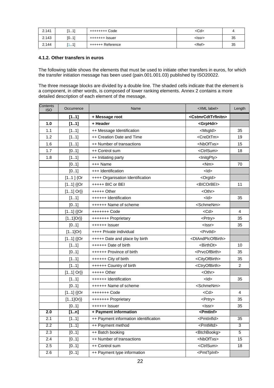| 2.141 | -41<br><b>M</b><br>. | ++++++++ Code    | <cd></cd>     |    |
|-------|----------------------|------------------|---------------|----|
| 2.143 | [01]                 | +++++++ Issuer   | <lssr></lssr> | 35 |
| 2.144 | - 41<br>.            | ++++++ Reference | <ref></ref>   | 35 |

#### **4.1.2. Other transfers in euros**

The following table shows the elements that must be used to initiate other transfers in euros, for which the transfer initiation message has been used (pain.001.001.03) published by ISO20022.

The three message blocks are divided by a double line. The shaded cells indicate that the element is a component, in other words, is composed of lower ranking elements. Annex 2 contains a more detailed description of each element of the message.

| <b>Contents</b><br><b>ISO</b> | Occurrence  | Name                                  | <xml label=""></xml>                  | Length          |
|-------------------------------|-------------|---------------------------------------|---------------------------------------|-----------------|
|                               | [11]        | + Message root                        | <cstmrcdttrfinitn></cstmrcdttrfinitn> |                 |
| 1.0                           | [11]        | + Header                              | <grphdr></grphdr>                     |                 |
| 1.1                           | [11]        | ++ Message Identification             | <msgld></msgld>                       | 35              |
| 1.2                           | [11]        | ++ Creation Date and Time             | <credttm></credttm>                   | 19              |
| 1.6                           | [11]        | ++ Number of transactions             | <nboftxs></nboftxs>                   | 15              |
| 1.7                           | [01]        | ++ Control sum                        | <ctrlsum></ctrlsum>                   | 18              |
| 1.8                           | [11]        | ++ Initiating party                   | <lnitgpty></lnitgpty>                 |                 |
|                               | [01]        | +++ Name                              | $<$ Nm $>$                            | 70              |
|                               | [01]        | +++ Identification                    | $<$ ld $>$                            |                 |
|                               | $[11]$ {Or  | ++++ Organisation Identification      | <orgld></orgld>                       |                 |
|                               | $[11]$ {{Or | +++++ BIC or BEI                      | <bicorbei></bicorbei>                 | 11              |
|                               | $[11]$ Or}} | $++++$ Other                          | <othr></othr>                         |                 |
|                               | [11]        | ++++++ Identification                 | $<$ ld $>$                            | 35              |
|                               | [01]        | ++++++ Name of scheme                 | <schmenm></schmenm>                   |                 |
|                               | $[11]$ {{Or | +++++++ Code                          | $<$ Cd $>$                            | 4               |
|                               | $[11]Or\}$  | +++++++ Proprietary                   | <prtry></prtry>                       | 35              |
|                               | [01]        | ++++++ Issuer                         | <lssr></lssr>                         | 35              |
|                               | $[11]$ Or}  | ++++ Private individual               | <prvtld></prvtld>                     |                 |
|                               | $[11]$ {{Or | +++++ Date and place by birth         | <dtandplcofbirth></dtandplcofbirth>   |                 |
|                               | [11]        | ++++++ Date of birth                  | <birthdt></birthdt>                   | 10              |
|                               | [01]        | ++++++ Province of birth              | <prvcofbirth></prvcofbirth>           | 35              |
|                               | [11]        | ++++++ City of birth                  | <cityofbirth></cityofbirth>           | 35              |
|                               | [11]        | ++++++ Country of birth               | <ctryofbirth></ctryofbirth>           | $\overline{2}$  |
|                               | $[11]$ Or}} | +++++ Other                           | <othr></othr>                         |                 |
|                               | [11]        | ++++++ Identification                 | $<$ ld>                               | 35              |
|                               | [01]        | ++++++ Name of scheme                 | <schmenm></schmenm>                   |                 |
|                               | $[11]$ {{Or | +++++++ Code                          | $<$ Cd $>$                            | 4               |
|                               | $[11]Or\}$  | +++++++ Proprietary                   | <prtry></prtry>                       | 35              |
|                               | [01]        | ++++++ Issuer                         | <lssr></lssr>                         | 35              |
| 2.0                           | [1n]        | + Payment information                 | <pmtlnf></pmtlnf>                     |                 |
| 2.1                           | [11]        | ++ Payment information identification | <pmtlnfld></pmtlnfld>                 | $\overline{35}$ |
| 2.2                           | [11]        | ++ Payment method                     | <pmtmtd></pmtmtd>                     | $\overline{3}$  |
| 2.3                           | [01]        | ++ Batch booking                      | <btchbookg></btchbookg>               | $\overline{5}$  |
| 2.4                           | [01]        | ++ Number of transactions             | <nboftxs></nboftxs>                   | 15              |
| 2.5                           | [01]        | ++ Control sum                        | <ctrlsum></ctrlsum>                   | 18              |
| 2.6                           | [01]        | ++ Payment type information           | <pmttpinf></pmttpinf>                 |                 |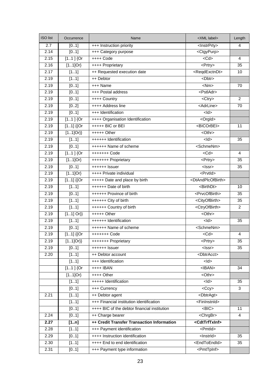| <b>ISO</b> list | Occurrence        | Name                                         | <xml label=""></xml>                        | Length          |
|-----------------|-------------------|----------------------------------------------|---------------------------------------------|-----------------|
| 2.7             | [01]              | +++ Instruction priority                     | <lnstrprty></lnstrprty>                     | $\overline{4}$  |
| 2.14            | [01]              | +++ Category purpose                         | <ctgypurp></ctgypurp>                       |                 |
| 2.15            | $[11]$ {Or        | ++++ Code                                    | $<$ Cd $>$                                  | 4               |
| 2.16            | $[11]$ Or}        | ++++ Proprietary                             | <prtry></prtry>                             | 35              |
| 2.17            | [11]              | ++ Requested execution date                  | <reqdexctndt></reqdexctndt>                 | $\overline{10}$ |
| 2.19            | [11]              | ++ Debtor                                    | <dbtr></dbtr>                               |                 |
| 2.19            | [01]              | +++ Name                                     | $<$ Nm $>$                                  | 70              |
| 2.19            | [01]              | +++ Postal address                           | <pstladr></pstladr>                         |                 |
| 2.19            | [01]              | ++++ Country                                 | <ctry></ctry>                               | $\overline{2}$  |
| 2.19            | [02]              | ++++ Address line                            | <adrline></adrline>                         | 70              |
| 2.19            | [01]              | +++ Identification                           | $\frac{1}{2}$                               |                 |
| 2.19            | $[11]$ {Or        | ++++ Organisation Identification             | <orgld></orgld>                             |                 |
| 2.19            | $[11]$ {{Or       | +++++ BIC or BEI                             | <bicorbei></bicorbei>                       | 11              |
| 2.19            | $[11]$ Or}}       | $++++$ Other                                 | <othr></othr>                               |                 |
| 2.19            | [11]              | ++++++ Identification                        | $\frac{1}{2}$                               | 35              |
| 2.19            | [01]              | ++++++ Name of scheme                        | <schmenm></schmenm>                         |                 |
| 2.19            | $[11]$ {Or        | +++++++ Code                                 | $<$ Cd $>$                                  | 4               |
| 2.19            | $[11]$ Or}        | +++++++ Proprietary                          | <prtry></prtry>                             | 35              |
| 2.19            | [01]              | $++++++$ Issuer                              | <lssr></lssr>                               | 35              |
| 2.19            | $[11]$ Or}        | ++++ Private individual                      | <prvtld></prvtld>                           |                 |
| 2.19            | $[11]$ {{Or       | +++++ Date and place by birth                | <dtandplcofbirth></dtandplcofbirth>         |                 |
| 2.19            | [11]              | ++++++ Date of birth                         | <birthdt></birthdt>                         | 10              |
| 2.19            | [01]              | ++++++ Province of birth                     | <prvcofbirth></prvcofbirth>                 | 35              |
| 2.19            | [11]              | ++++++ City of birth                         | <cityofbirth></cityofbirth>                 | 35              |
| 2.19            | [11]              | ++++++ Country of birth                      | <ctryofbirth></ctryofbirth>                 | $\overline{2}$  |
| 2.19            | $[11]$ Or}}       | $++++$ Other                                 | $\overline{\text{<}^{\text{-}}\text{Othr}}$ |                 |
| 2.19            | [11]              | ++++++ Identification                        | $\frac{1}{2}$                               | 35              |
| 2.19            | [01]              | ++++++ Name of scheme                        | <schmenm></schmenm>                         |                 |
| 2.19            | $[11]$ {{Or       | +++++++ Code                                 | $<$ Cd $>$                                  | $\overline{4}$  |
| 2.19            | $[11]$ Or}}       | +++++++ Proprietary                          | $\overline{\leq$ Prtry>                     | $\overline{35}$ |
| 2.19            | [01]              | ++++++ Issuer                                | <lssr></lssr>                               | 35              |
| 2.20            | [11]              | ++ Debtor account                            | <dbtracct></dbtracct>                       |                 |
|                 | [11]              | +++ Identification                           | $<$ ld $>$                                  |                 |
|                 | $[11]$ {Or        | $++++IBAN$                                   | $<$ <b>IBAN&gt;</b>                         | 34              |
|                 | $[11]$ Or}        | ++++ Other                                   | <othr></othr>                               |                 |
|                 | [11]              | +++++ Identification                         | $\frac{1}{2}$                               | 35              |
|                 | $\overline{[01]}$ | +++ Currency                                 | $<$ Ccy $>$                                 | 3               |
| 2.21            | [11]              | ++ Debtor agent                              | <dbtragt></dbtragt>                         |                 |
|                 | [11]              | +++ Financial institution identification     | <fininstnid></fininstnid>                   |                 |
|                 | [01]              | ++++ BIC of the debtor financial institution | $-BIC$                                      | 11              |
| 2.24            | [01]              | ++ Charge bearer                             | <chrgbr></chrgbr>                           | $\overline{4}$  |
| 2.27            | [1n]              | ++ Credit Transfer Transaction Information   | <cdttrftxinf></cdttrftxinf>                 |                 |
| 2.28            | [11]              | +++ Payment identification                   | <pmtld></pmtld>                             |                 |
| 2.29            | [01]              | ++++ Instruction identification              | <lnstrld></lnstrld>                         | 35              |
| 2.30            | [11]              | ++++ End to end identification               | <endtoendid></endtoendid>                   | 35              |
| 2.31            | [01]              | +++ Payment type information                 | <pmttpinf></pmttpinf>                       |                 |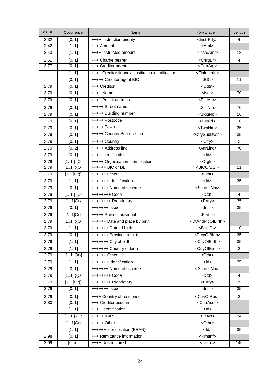| <b>ISO</b> list | Occurrence  | Name                                               | <xml label=""></xml>                | Length          |
|-----------------|-------------|----------------------------------------------------|-------------------------------------|-----------------|
| 2.32            | [01]        | ++++ Instruction priority                          | <lnstrprty></lnstrprty>             | $\overline{4}$  |
| 2.42            | [11]        | +++ Amount                                         | <amt></amt>                         |                 |
| 2.43            | [11]        | ++++ Instructed amount                             | <lnstdamt></lnstdamt>               | 18              |
| 2.51            | [01]        | +++ Charge bearer                                  | <chrgbr></chrgbr>                   | $\overline{4}$  |
| 2.77            | [01]        | +++ Creditor agent                                 | <cdtragt></cdtragt>                 |                 |
|                 | [11]        | ++++ Creditor financial institution identification | <fininstnid></fininstnid>           |                 |
|                 | [01]        | +++++ Creditor agent BIC                           | $-BIC$                              | 11              |
| 2.79            | [01]        | +++ Creditor                                       | <cdtr></cdtr>                       |                 |
| 2.79            | [01]        | ++++ Name                                          | $\overline{\text{N}}$ m>            | 70              |
| 2.79            | [01]        | ++++ Postal address                                | <pstladr></pstladr>                 |                 |
| 2.79            | [01]        | +++++ Street name                                  | <strtnm></strtnm>                   | 70              |
| 2.79            | [01]        | +++++ Building number                              | <bldgnb></bldgnb>                   | 16              |
| 2.79            | [01]        | +++++ Postcode                                     | <pstcd></pstcd>                     | 16              |
| 2.79            | [01]        | +++++ Town                                         | <twnnm></twnnm>                     | 35              |
| 2.79            | [01]        | +++++ Country Sub-division                         | <ctrysubdvsn></ctrysubdvsn>         | 35              |
| 2.79            | [01]        | +++++ Country                                      | <ctry></ctry>                       | 2               |
| 2.79            | [02]        | +++++ Address line                                 | <adrline></adrline>                 | 70              |
| 2.79            | [01]        | ++++ Identification                                | $<$ ld $>$                          |                 |
| 2.79            | $[11]$ {Or  | +++++ Organisation identification                  | <orgld></orgld>                     |                 |
| 2.79            | $[11]$ {{Or | ++++++ BIC or BEI                                  | <bicorbei></bicorbei>               | 11              |
| 2.79            | $[11]Or\}$  | $+++++Other$                                       | <othr></othr>                       |                 |
| 2.79            | [11]        | +++++++ Identification                             | $<$ ld $>$                          | 35              |
| 2.79            | [01]        | +++++++ Name of scheme                             | <schmenm></schmenm>                 |                 |
| 2.79            | $[11]$ {Or  | ++++++++ Code                                      | $<$ Cd>                             | $\overline{4}$  |
| 2.79            | $[11]$ Or}  | ++++++++ Proprietary                               | <prtry></prtry>                     | 35              |
| 2.79            | [01]        | +++++++ Issuer                                     | <lssr></lssr>                       | $\overline{35}$ |
| 2.79            | $[11]$ Or}  | +++++ Private individual                           | <prvtld></prvtld>                   |                 |
| 2.79            | $[11]$ {{Or | ++++++ Date and place by birth                     | <dtandplcofbirth></dtandplcofbirth> |                 |
| 2.79            | [11]        | +++++++ Date of birth                              | <birthdt></birthdt>                 | 10              |
| 2.79            | [01]        | +++++++ Province of birth                          | <prvcofbirth></prvcofbirth>         | $\overline{35}$ |
| 2.79            | [11]        | +++++++ City of birth                              | <cityofbirth></cityofbirth>         | 35              |
| 2.79            | [11]        | +++++++ Country of birth                           | <ctryofbirth></ctryofbirth>         | $\overline{2}$  |
| 2.79            | $[11]$ Or}} | ++++++ Other                                       | <othr></othr>                       |                 |
| 2.79            | [11]        | +++++++ Identification                             | $<$ ld>                             | 35              |
| 2.79            | [01]        | +++++++ Name of scheme                             | <schmenm></schmenm>                 |                 |
| 2.79            | $[11]$ {{Or | ++++++++ Code                                      | $<$ Cd $>$                          | $\overline{4}$  |
| 2.79            | $[11]$ Or}} | ++++++++ Proprietary                               | <prtry></prtry>                     | $\overline{35}$ |
| 2.79            | [01]        | +++++++ Issuer                                     | <lssr></lssr>                       | $\overline{35}$ |
| 2.79            | [01]        | ++++ Country of residence                          | <ctryofres></ctryofres>             | $\mathbf{2}$    |
| 2.80            | [01]        | +++ Creditor account                               | <cdtracct></cdtracct>               |                 |
|                 | [11]        | ++++ Identification                                | $\frac{1}{2}$                       |                 |
|                 | $[11]$ {Or  | +++++ IBAN                                         | $<$ IBAN $>$                        | 34              |
|                 | $[11]$ Or}  | +++++ Other                                        | <othr></othr>                       |                 |
|                 | [11]        | ++++++ Identification (BBAN)                       | $\frac{1}{2}$                       | 35              |
| 2.98            | [01]        | +++ Remittance information                         | <rmtlnf></rmtlnf>                   |                 |
| 2.99            | [0n]        | ++++ Unstructured                                  | <ustrd></ustrd>                     | 140             |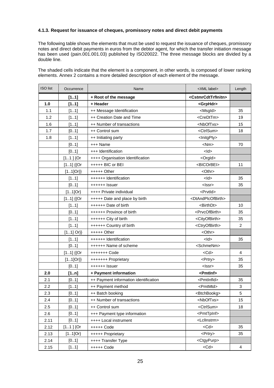## **4.1.3. Request for issuance of cheques, promissory notes and direct debit payments**

The following table shows the elements that must be used to request the issuance of cheques, promissory notes and direct debit payments in euros from the debtor agent, for which the transfer initiation message has been used (pain.001.001.03) published by ISO20022. The three message blocks are divided by a double line.

The shaded cells indicate that the element is a component, in other words, is composed of lower ranking elements. Annex 2 contains a more detailed description of each element of the message.

| <b>ISO</b> list | Occurrence  | Name                                  | <xml label=""></xml>                  | Length         |
|-----------------|-------------|---------------------------------------|---------------------------------------|----------------|
|                 | [11]        | + Root of the message                 | <cstmrcdttrfinitn></cstmrcdttrfinitn> |                |
| 1.0             | [11]        | + Header                              | <grphdr></grphdr>                     |                |
| 1.1             | [11]        | ++ Message Identification             | <msgld></msgld>                       | 35             |
| 1.2             | [11]        | ++ Creation Date and Time             | <credttm></credttm>                   | 19             |
| 1.6             | [11]        | ++ Number of transactions             | <nboftxs></nboftxs>                   | 15             |
| 1.7             | [01]        | ++ Control sum                        | <ctrlsum></ctrlsum>                   | 18             |
| 1.8             | [11]        | ++ Initiating party                   | <lnitgpty></lnitgpty>                 |                |
|                 | [01]        | +++ Name                              | <nm></nm>                             | 70             |
|                 | [01]        | +++ Identification                    | $<$ ld $>$                            |                |
|                 | $[11]$ {Or  | ++++ Organisation Identification      | <orgld></orgld>                       |                |
|                 | $[11]$ {{Or | +++++ BIC or BEI                      | <bicorbei></bicorbei>                 | 11             |
|                 | $[11]Or\}$  | $++++$ Other                          | <othr></othr>                         |                |
|                 | [11]        | ++++++ Identification                 | $<$ ld>                               | 35             |
|                 | [01]        | ++++++ Issuer                         | <lssr></lssr>                         | 35             |
|                 | $[11]$ Or}  | ++++ Private individual               | <prvtld></prvtld>                     |                |
|                 | $[11]$ {{Or | +++++ Date and place by birth         | <dtandplcofbirth></dtandplcofbirth>   |                |
|                 | [11]        | ++++++ Date of birth                  | <birthdt></birthdt>                   | 10             |
|                 | [01]        | ++++++ Province of birth              | <prvcofbirth></prvcofbirth>           | 35             |
|                 | [11]        | ++++++ City of birth                  | <cityofbirth></cityofbirth>           | 35             |
|                 | [11]        | ++++++ Country of birth               | <ctryofbirth></ctryofbirth>           | 2              |
|                 | $[11]$ Or}} | $++++$ Other                          | <othr></othr>                         |                |
|                 | [11]        | ++++++ Identification                 | $<$ ld>                               | 35             |
|                 | [01]        | ++++++ Name of scheme                 | <schmenm></schmenm>                   |                |
|                 | $[11]$ {{Or | +++++++ Code                          | $<$ Cd $>$                            | $\overline{4}$ |
|                 | $[11]Or\}$  | +++++++ Proprietary                   | <prtry></prtry>                       | 35             |
|                 | [01]        | ++++++ Issuer                         | <lssr></lssr>                         | 35             |
| 2.0             | [1n]        | + Payment information                 | <pmtlnf></pmtlnf>                     |                |
| 2.1             | [01]        | ++ Payment information identification | <pmtlnfld></pmtlnfld>                 | 35             |
| 2.2             | [11]        | ++ Payment method                     | <pmtmtd></pmtmtd>                     | 3              |
| 2.3             | [01]        | ++ Batch booking                      | <btchbookg></btchbookg>               | 5              |
| 2.4             | [01]        | ++ Number of transactions             | <nboftxs></nboftxs>                   | 15             |
| 2.5             | [01]        | ++ Control sum                        | <ctrlsum></ctrlsum>                   | 18             |
| 2.6             | [01]        | +++ Payment type information          | <pmttpinf></pmttpinf>                 |                |
| 2.11            | [01]        | ++++ Local instrument                 | <lcllnstrm></lcllnstrm>               |                |
| 2.12            | $[11]$ {Or  | +++++ Code                            | $<$ Cd $>$                            | 35             |
| 2.13            | $[11]$ Or}  | +++++ Proprietary                     | <prtry></prtry>                       | 35             |
| 2.14            | [01]        | ++++ Transfer Type                    | <ctgypurp></ctgypurp>                 |                |
| 2.15            | [11]        | +++++ Code                            | $<$ Cd $>$                            | 4              |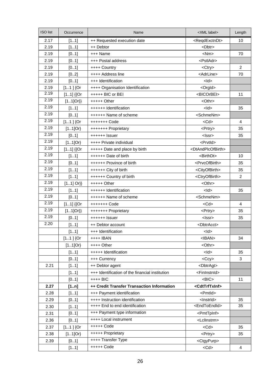| <b>ISO</b> list | Occurrence  | Name                                            | <xml label=""></xml>                | Length                  |
|-----------------|-------------|-------------------------------------------------|-------------------------------------|-------------------------|
| 2.17            | [11]        | ++ Requested execution date                     | <reqdexctndt></reqdexctndt>         | 10                      |
| 2.19            | [11]        | ++ Debtor                                       | <dbtr></dbtr>                       |                         |
| 2.19            | [01]        | +++ Name                                        | $<$ Nm $>$                          | 70                      |
| 2.19            | [01]        | +++ Postal address                              | <pstladr></pstladr>                 |                         |
| 2.19            | [01]        | ++++ Country                                    | <ctry></ctry>                       | 2                       |
| 2.19            | [02]        | ++++ Address line                               | <adrline></adrline>                 | 70                      |
| 2.19            | [01]        | +++ Identification                              | $<$ ld $>$                          |                         |
| 2.19            | $[11]$ {Or  | ++++ Organisation Identification                | <orgld></orgld>                     |                         |
| 2.19            | $[11]$ {{Or | +++++ BIC or BEI                                | <bicorbei></bicorbei>               | 11                      |
| 2.19            | $[11]Or\}$  | $++++$ Other                                    | <othr></othr>                       |                         |
| 2.19            | [11]        | ++++++ Identification                           | $<$ ld $>$                          | 35                      |
| 2.19            | [01]        | ++++++ Name of scheme                           | <schmenm></schmenm>                 |                         |
| 2.19            | $[11]$ {Or  | +++++++ Code                                    | $<$ Cd $>$                          | $\overline{\mathbf{4}}$ |
| 2.19            | $[11]$ Or}  | +++++++ Proprietary                             | <prtry></prtry>                     | 35                      |
| 2.19            | [01]        | ++++++ Issuer                                   | <lssr></lssr>                       | 35                      |
| 2.19            | $[11]$ Or}  | ++++ Private individual                         | <prvtid></prvtid>                   |                         |
| 2.19            | $[11]$ {{Or | +++++ Date and place by birth                   | <dtandplcofbirth></dtandplcofbirth> |                         |
| 2.19            | [11]        | ++++++ Date of birth                            | <birthdt></birthdt>                 | 10                      |
| 2.19            | [01]        | ++++++ Province of birth                        | <prvcofbirth></prvcofbirth>         | 35                      |
| 2.19            | [11]        | ++++++ City of birth                            | <cityofbirth></cityofbirth>         | 35                      |
| 2.19            | [11]        | ++++++ Country of birth                         | <ctryofbirth></ctryofbirth>         | $\overline{2}$          |
| 2.19            | $[11]$ Or}} | $++++$ Other                                    | <othr></othr>                       |                         |
| 2.19            | [11]        | ++++++ Identification                           | $<$ ld $>$                          | 35                      |
| 2.19            | [01]        | ++++++ Name of scheme                           | <schmenm></schmenm>                 |                         |
| 2.19            | $[11]$ {{Or | +++++++ Code                                    | $<$ Cd $>$                          | $\overline{4}$          |
| 2.19            | $[11]Or\}$  | +++++++ Proprietary                             | <prtry></prtry>                     | 35                      |
| 2.19            | [01]        | ++++++ Issuer                                   | <lssr></lssr>                       | 35                      |
| 2.20            | [11]        | ++ Debtor account                               | <dbtracct></dbtracct>               |                         |
|                 | [11]        | +++ Identification                              | $<$ ld>                             |                         |
|                 | $[11]$ {Or  | ++++ IBAN                                       | $<$ IBAN $>$                        | 34                      |
|                 | $[11]$ Or}  | ++++ Other                                      | <othr></othr>                       |                         |
|                 | [11]        | +++++ Identification                            | $<$ ld $>$                          | 35                      |
|                 | [01]        | +++ Currency                                    | $<$ Ccy $>$                         | 3                       |
| 2.21            | [11]        | ++ Debtor agent                                 | <dbtragt></dbtragt>                 |                         |
|                 | [11]        | +++ Identification of the financial institution | <fininstnid></fininstnid>           |                         |
|                 | [01]        | ++++ BIC                                        | $<$ BIC $>$                         | 11                      |
| 2.27            | [1n]        | ++ Credit Transfer Transaction Information      | <cdttrftxinf></cdttrftxinf>         |                         |
| 2.28            | [11]        | +++ Payment identification                      | <pmtld></pmtld>                     |                         |
| 2.29            | [01]        | ++++ Instruction identification                 | <lnstrld></lnstrld>                 | 35                      |
| 2.30            | [11]        | ++++ End to end identification                  | <endtoendid></endtoendid>           | 35                      |
| 2.31            | [01]        | +++ Payment type information                    | <pmttpinf></pmttpinf>               |                         |
| 2.36            | [01]        | ++++ Local instrument                           | <lcllnstrm></lcllnstrm>             |                         |
| 2.37            | $[11]$ {Or  | +++++ Code                                      | $<$ Cd $>$                          | 35                      |
| 2.38            | $[11]$ Or}  | +++++ Proprietary                               | <prtry></prtry>                     | 35                      |
| 2.39            | [01]        | ++++ Transfer Type                              | <ctgypurp></ctgypurp>               |                         |
|                 | [11]        | +++++ Code                                      | $<$ Cd $>$                          | 4                       |
|                 |             |                                                 |                                     |                         |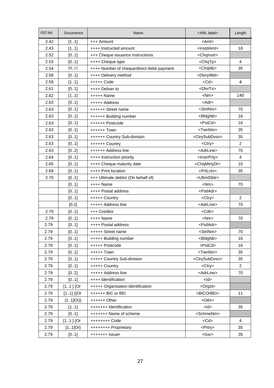| 2.42<br>+++ Amount<br><amt><br/>[11]<br/>2.43<br/>[11]<br/><lnstdamt><br/>++++ Instructed amount<br/>18<br/>2.52<br/>[01]<br/><chqinstr><br/>+++ Cheque issuance instructions<br/>2.53<br/>[01]<br/><chqtp><br/>4<br/>++++ Cheque type<br/>[0.1]<br/>++++ Number of cheque/direct debit payment<br/><chqnb><br/>35<br/>2.54<br/>2.58<br/>++++ Delivery method<br/><dlvrymtd><br/>[01]<br/><math>&lt;</math>Cd<math>&gt;</math><br/>2.59<br/>[11]<br/><math>++++</math>Code<br/>4<br/><dlvrto><br/>2.61<br/>[01]<br/>++++ Deliver to<br/>2.62<br/><math>&lt;</math>Nm<math>&gt;</math><br/>[11]<br/>140<br/><math>++++</math> Name<br/><math>&lt;</math>Adr<math>&gt;</math><br/>2.63<br/>[01]<br/>+++++ Address<br/>2.63<br/><strtnm><br/>[01]<br/>70<br/>++++++ Street name<br/>2.63<br/><bldgnb><br/>16<br/>[01]<br/>++++++ Building number<br/><pstcd><br/>2.63<br/>[01]<br/>++++++ Postcode<br/>16<br/><twnnm><br/>[01]<br/>35<br/>2.63<br/>++++++ Town<br/>2.63<br/>[01]<br/><ctrysubdvsn><br/>35<br/>++++++ Country Sub-division<br/><math>\overline{2}</math><br/><ctry><br/>2.63<br/>[01]<br/>++++++ Country<br/><adrline><br/>70<br/>2.63<br/>[02]<br/>++++++ Address line<br/>2.64<br/>[01]<br/>4<br/>++++ Instruction priority<br/><lnstrprty><br/>10<br/>[01]<br/>++++ Cheque maturity date<br/><chqmtrtydt><br/>2.65<br/>2.69<br/>++++ Print location<br/><prtlctn><br/>35<br/>[01]<br/>2.70<br/>[01]<br/>+++ Ultimate debtor (On behalf of)<br/><ultmtdbtr><br/>[01]<br/><math>++++</math> Name<br/><math>&lt;</math>Nm<math>&gt;</math><br/>70<br/>++++ Postal address<br/><pstladr><br/>[01]<br/>[01]<br/><ctry><br/><math>\overline{2}</math><br/>+++++ Country<br/>+++++ Address line<br/><adrline><br/>70<br/>[0.2]<br/>2.79<br/>[01]<br/>+++ Creditor<br/><math>&lt;</math>Cdtr<math>&gt;</math><br/>2.79<br/><math>++++</math> Name<br/><math>&lt;</math>Nm<math>&gt;</math><br/>70<br/>[01]<br/><pstladr><br/>2.79<br/>[01]<br/>++++ Postal address<br/>2.79<br/>[01]<br/><strtnm><br/>70<br/>+++++ Street name<br/>2.79<br/>[01]<br/>+++++ Building number<br/><bldgnb><br/>16<br/><pstcd><br/>2.79<br/>[01]<br/>+++++ Postcode<br/>16<br/><twnnm><br/>2.79<br/>[01]<br/>+++++ Town<br/>35<br/>2.79<br/>[01]<br/><ctrysubdvsn><br/>35<br/>+++++ Country Sub-division<br/>2.79<br/>[01]<br/>+++++ Country<br/><ctry><br/><math>\overline{2}</math><br/><adrline><br/>2.79<br/>[02]<br/>+++++ Address line<br/>70<br/>2.79<br/>++++ Identification<br/><math>&lt;</math>ld<math>&gt;</math><br/>[01]<br/>2.79<br/><orgld><br/><math>[11]</math> {Or<br/>+++++ Organisation identification<br/>2.79<br/><math>[11]</math> {{Or<br/>++++++ BIC or BEI<br/><bicorbei><br/>11<br/>2.79<br/><math>[11]Or\}</math><br/><math>+++++O</math>ther<br/><othr><br/>2.79<br/>[11]<br/>+++++++ Identification<br/><math>&lt;</math>ld<math>&gt;</math><br/>35<br/>2.79<br/><schmenm><br/>[01]<br/>+++++++ Name of scheme<br/>2.79<br/><math>[11]</math> {Or<br/>++++++++ Code<br/><math>&lt;</math>Cd<math>&gt;</math><br/>4<br/>2.79<br/><math>[11]</math>Or}<br/>++++++++ Proprietary<br/><prtry><br/>35</prtry></schmenm></othr></bicorbei></orgld></adrline></ctry></ctrysubdvsn></twnnm></pstcd></bldgnb></strtnm></pstladr></adrline></ctry></pstladr></ultmtdbtr></prtlctn></chqmtrtydt></lnstrprty></adrline></ctry></ctrysubdvsn></twnnm></pstcd></bldgnb></strtnm></dlvrto></dlvrymtd></chqnb></chqtp></chqinstr></lnstdamt></amt> | <b>ISO</b> list | Occurrence | Name | <xml label=""></xml> | Length |
|------------------------------------------------------------------------------------------------------------------------------------------------------------------------------------------------------------------------------------------------------------------------------------------------------------------------------------------------------------------------------------------------------------------------------------------------------------------------------------------------------------------------------------------------------------------------------------------------------------------------------------------------------------------------------------------------------------------------------------------------------------------------------------------------------------------------------------------------------------------------------------------------------------------------------------------------------------------------------------------------------------------------------------------------------------------------------------------------------------------------------------------------------------------------------------------------------------------------------------------------------------------------------------------------------------------------------------------------------------------------------------------------------------------------------------------------------------------------------------------------------------------------------------------------------------------------------------------------------------------------------------------------------------------------------------------------------------------------------------------------------------------------------------------------------------------------------------------------------------------------------------------------------------------------------------------------------------------------------------------------------------------------------------------------------------------------------------------------------------------------------------------------------------------------------------------------------------------------------------------------------------------------------------------------------------------------------------------------------------------------------------------------------------------------------------------------------------------------------------------------------------------------------------------------------------------------------------------------------------------------------------------------------------------------------------------------------------------------------------------------------------------------------------------------------------------------------------------------------------------------------------------------------------------------------------------------------------------------------------------------------------------------------------------------------------------------------------------------------------------------------------------------------------------------------------------------------------------------------------------------------------------------------------------------------------------------------------------------------------------------------------------------------------------------------------------------------|-----------------|------------|------|----------------------|--------|
|                                                                                                                                                                                                                                                                                                                                                                                                                                                                                                                                                                                                                                                                                                                                                                                                                                                                                                                                                                                                                                                                                                                                                                                                                                                                                                                                                                                                                                                                                                                                                                                                                                                                                                                                                                                                                                                                                                                                                                                                                                                                                                                                                                                                                                                                                                                                                                                                                                                                                                                                                                                                                                                                                                                                                                                                                                                                                                                                                                                                                                                                                                                                                                                                                                                                                                                                                                                                                                                      |                 |            |      |                      |        |
|                                                                                                                                                                                                                                                                                                                                                                                                                                                                                                                                                                                                                                                                                                                                                                                                                                                                                                                                                                                                                                                                                                                                                                                                                                                                                                                                                                                                                                                                                                                                                                                                                                                                                                                                                                                                                                                                                                                                                                                                                                                                                                                                                                                                                                                                                                                                                                                                                                                                                                                                                                                                                                                                                                                                                                                                                                                                                                                                                                                                                                                                                                                                                                                                                                                                                                                                                                                                                                                      |                 |            |      |                      |        |
|                                                                                                                                                                                                                                                                                                                                                                                                                                                                                                                                                                                                                                                                                                                                                                                                                                                                                                                                                                                                                                                                                                                                                                                                                                                                                                                                                                                                                                                                                                                                                                                                                                                                                                                                                                                                                                                                                                                                                                                                                                                                                                                                                                                                                                                                                                                                                                                                                                                                                                                                                                                                                                                                                                                                                                                                                                                                                                                                                                                                                                                                                                                                                                                                                                                                                                                                                                                                                                                      |                 |            |      |                      |        |
|                                                                                                                                                                                                                                                                                                                                                                                                                                                                                                                                                                                                                                                                                                                                                                                                                                                                                                                                                                                                                                                                                                                                                                                                                                                                                                                                                                                                                                                                                                                                                                                                                                                                                                                                                                                                                                                                                                                                                                                                                                                                                                                                                                                                                                                                                                                                                                                                                                                                                                                                                                                                                                                                                                                                                                                                                                                                                                                                                                                                                                                                                                                                                                                                                                                                                                                                                                                                                                                      |                 |            |      |                      |        |
|                                                                                                                                                                                                                                                                                                                                                                                                                                                                                                                                                                                                                                                                                                                                                                                                                                                                                                                                                                                                                                                                                                                                                                                                                                                                                                                                                                                                                                                                                                                                                                                                                                                                                                                                                                                                                                                                                                                                                                                                                                                                                                                                                                                                                                                                                                                                                                                                                                                                                                                                                                                                                                                                                                                                                                                                                                                                                                                                                                                                                                                                                                                                                                                                                                                                                                                                                                                                                                                      |                 |            |      |                      |        |
|                                                                                                                                                                                                                                                                                                                                                                                                                                                                                                                                                                                                                                                                                                                                                                                                                                                                                                                                                                                                                                                                                                                                                                                                                                                                                                                                                                                                                                                                                                                                                                                                                                                                                                                                                                                                                                                                                                                                                                                                                                                                                                                                                                                                                                                                                                                                                                                                                                                                                                                                                                                                                                                                                                                                                                                                                                                                                                                                                                                                                                                                                                                                                                                                                                                                                                                                                                                                                                                      |                 |            |      |                      |        |
|                                                                                                                                                                                                                                                                                                                                                                                                                                                                                                                                                                                                                                                                                                                                                                                                                                                                                                                                                                                                                                                                                                                                                                                                                                                                                                                                                                                                                                                                                                                                                                                                                                                                                                                                                                                                                                                                                                                                                                                                                                                                                                                                                                                                                                                                                                                                                                                                                                                                                                                                                                                                                                                                                                                                                                                                                                                                                                                                                                                                                                                                                                                                                                                                                                                                                                                                                                                                                                                      |                 |            |      |                      |        |
|                                                                                                                                                                                                                                                                                                                                                                                                                                                                                                                                                                                                                                                                                                                                                                                                                                                                                                                                                                                                                                                                                                                                                                                                                                                                                                                                                                                                                                                                                                                                                                                                                                                                                                                                                                                                                                                                                                                                                                                                                                                                                                                                                                                                                                                                                                                                                                                                                                                                                                                                                                                                                                                                                                                                                                                                                                                                                                                                                                                                                                                                                                                                                                                                                                                                                                                                                                                                                                                      |                 |            |      |                      |        |
|                                                                                                                                                                                                                                                                                                                                                                                                                                                                                                                                                                                                                                                                                                                                                                                                                                                                                                                                                                                                                                                                                                                                                                                                                                                                                                                                                                                                                                                                                                                                                                                                                                                                                                                                                                                                                                                                                                                                                                                                                                                                                                                                                                                                                                                                                                                                                                                                                                                                                                                                                                                                                                                                                                                                                                                                                                                                                                                                                                                                                                                                                                                                                                                                                                                                                                                                                                                                                                                      |                 |            |      |                      |        |
|                                                                                                                                                                                                                                                                                                                                                                                                                                                                                                                                                                                                                                                                                                                                                                                                                                                                                                                                                                                                                                                                                                                                                                                                                                                                                                                                                                                                                                                                                                                                                                                                                                                                                                                                                                                                                                                                                                                                                                                                                                                                                                                                                                                                                                                                                                                                                                                                                                                                                                                                                                                                                                                                                                                                                                                                                                                                                                                                                                                                                                                                                                                                                                                                                                                                                                                                                                                                                                                      |                 |            |      |                      |        |
|                                                                                                                                                                                                                                                                                                                                                                                                                                                                                                                                                                                                                                                                                                                                                                                                                                                                                                                                                                                                                                                                                                                                                                                                                                                                                                                                                                                                                                                                                                                                                                                                                                                                                                                                                                                                                                                                                                                                                                                                                                                                                                                                                                                                                                                                                                                                                                                                                                                                                                                                                                                                                                                                                                                                                                                                                                                                                                                                                                                                                                                                                                                                                                                                                                                                                                                                                                                                                                                      |                 |            |      |                      |        |
|                                                                                                                                                                                                                                                                                                                                                                                                                                                                                                                                                                                                                                                                                                                                                                                                                                                                                                                                                                                                                                                                                                                                                                                                                                                                                                                                                                                                                                                                                                                                                                                                                                                                                                                                                                                                                                                                                                                                                                                                                                                                                                                                                                                                                                                                                                                                                                                                                                                                                                                                                                                                                                                                                                                                                                                                                                                                                                                                                                                                                                                                                                                                                                                                                                                                                                                                                                                                                                                      |                 |            |      |                      |        |
|                                                                                                                                                                                                                                                                                                                                                                                                                                                                                                                                                                                                                                                                                                                                                                                                                                                                                                                                                                                                                                                                                                                                                                                                                                                                                                                                                                                                                                                                                                                                                                                                                                                                                                                                                                                                                                                                                                                                                                                                                                                                                                                                                                                                                                                                                                                                                                                                                                                                                                                                                                                                                                                                                                                                                                                                                                                                                                                                                                                                                                                                                                                                                                                                                                                                                                                                                                                                                                                      |                 |            |      |                      |        |
|                                                                                                                                                                                                                                                                                                                                                                                                                                                                                                                                                                                                                                                                                                                                                                                                                                                                                                                                                                                                                                                                                                                                                                                                                                                                                                                                                                                                                                                                                                                                                                                                                                                                                                                                                                                                                                                                                                                                                                                                                                                                                                                                                                                                                                                                                                                                                                                                                                                                                                                                                                                                                                                                                                                                                                                                                                                                                                                                                                                                                                                                                                                                                                                                                                                                                                                                                                                                                                                      |                 |            |      |                      |        |
|                                                                                                                                                                                                                                                                                                                                                                                                                                                                                                                                                                                                                                                                                                                                                                                                                                                                                                                                                                                                                                                                                                                                                                                                                                                                                                                                                                                                                                                                                                                                                                                                                                                                                                                                                                                                                                                                                                                                                                                                                                                                                                                                                                                                                                                                                                                                                                                                                                                                                                                                                                                                                                                                                                                                                                                                                                                                                                                                                                                                                                                                                                                                                                                                                                                                                                                                                                                                                                                      |                 |            |      |                      |        |
|                                                                                                                                                                                                                                                                                                                                                                                                                                                                                                                                                                                                                                                                                                                                                                                                                                                                                                                                                                                                                                                                                                                                                                                                                                                                                                                                                                                                                                                                                                                                                                                                                                                                                                                                                                                                                                                                                                                                                                                                                                                                                                                                                                                                                                                                                                                                                                                                                                                                                                                                                                                                                                                                                                                                                                                                                                                                                                                                                                                                                                                                                                                                                                                                                                                                                                                                                                                                                                                      |                 |            |      |                      |        |
|                                                                                                                                                                                                                                                                                                                                                                                                                                                                                                                                                                                                                                                                                                                                                                                                                                                                                                                                                                                                                                                                                                                                                                                                                                                                                                                                                                                                                                                                                                                                                                                                                                                                                                                                                                                                                                                                                                                                                                                                                                                                                                                                                                                                                                                                                                                                                                                                                                                                                                                                                                                                                                                                                                                                                                                                                                                                                                                                                                                                                                                                                                                                                                                                                                                                                                                                                                                                                                                      |                 |            |      |                      |        |
|                                                                                                                                                                                                                                                                                                                                                                                                                                                                                                                                                                                                                                                                                                                                                                                                                                                                                                                                                                                                                                                                                                                                                                                                                                                                                                                                                                                                                                                                                                                                                                                                                                                                                                                                                                                                                                                                                                                                                                                                                                                                                                                                                                                                                                                                                                                                                                                                                                                                                                                                                                                                                                                                                                                                                                                                                                                                                                                                                                                                                                                                                                                                                                                                                                                                                                                                                                                                                                                      |                 |            |      |                      |        |
|                                                                                                                                                                                                                                                                                                                                                                                                                                                                                                                                                                                                                                                                                                                                                                                                                                                                                                                                                                                                                                                                                                                                                                                                                                                                                                                                                                                                                                                                                                                                                                                                                                                                                                                                                                                                                                                                                                                                                                                                                                                                                                                                                                                                                                                                                                                                                                                                                                                                                                                                                                                                                                                                                                                                                                                                                                                                                                                                                                                                                                                                                                                                                                                                                                                                                                                                                                                                                                                      |                 |            |      |                      |        |
|                                                                                                                                                                                                                                                                                                                                                                                                                                                                                                                                                                                                                                                                                                                                                                                                                                                                                                                                                                                                                                                                                                                                                                                                                                                                                                                                                                                                                                                                                                                                                                                                                                                                                                                                                                                                                                                                                                                                                                                                                                                                                                                                                                                                                                                                                                                                                                                                                                                                                                                                                                                                                                                                                                                                                                                                                                                                                                                                                                                                                                                                                                                                                                                                                                                                                                                                                                                                                                                      |                 |            |      |                      |        |
|                                                                                                                                                                                                                                                                                                                                                                                                                                                                                                                                                                                                                                                                                                                                                                                                                                                                                                                                                                                                                                                                                                                                                                                                                                                                                                                                                                                                                                                                                                                                                                                                                                                                                                                                                                                                                                                                                                                                                                                                                                                                                                                                                                                                                                                                                                                                                                                                                                                                                                                                                                                                                                                                                                                                                                                                                                                                                                                                                                                                                                                                                                                                                                                                                                                                                                                                                                                                                                                      |                 |            |      |                      |        |
|                                                                                                                                                                                                                                                                                                                                                                                                                                                                                                                                                                                                                                                                                                                                                                                                                                                                                                                                                                                                                                                                                                                                                                                                                                                                                                                                                                                                                                                                                                                                                                                                                                                                                                                                                                                                                                                                                                                                                                                                                                                                                                                                                                                                                                                                                                                                                                                                                                                                                                                                                                                                                                                                                                                                                                                                                                                                                                                                                                                                                                                                                                                                                                                                                                                                                                                                                                                                                                                      |                 |            |      |                      |        |
|                                                                                                                                                                                                                                                                                                                                                                                                                                                                                                                                                                                                                                                                                                                                                                                                                                                                                                                                                                                                                                                                                                                                                                                                                                                                                                                                                                                                                                                                                                                                                                                                                                                                                                                                                                                                                                                                                                                                                                                                                                                                                                                                                                                                                                                                                                                                                                                                                                                                                                                                                                                                                                                                                                                                                                                                                                                                                                                                                                                                                                                                                                                                                                                                                                                                                                                                                                                                                                                      |                 |            |      |                      |        |
|                                                                                                                                                                                                                                                                                                                                                                                                                                                                                                                                                                                                                                                                                                                                                                                                                                                                                                                                                                                                                                                                                                                                                                                                                                                                                                                                                                                                                                                                                                                                                                                                                                                                                                                                                                                                                                                                                                                                                                                                                                                                                                                                                                                                                                                                                                                                                                                                                                                                                                                                                                                                                                                                                                                                                                                                                                                                                                                                                                                                                                                                                                                                                                                                                                                                                                                                                                                                                                                      |                 |            |      |                      |        |
|                                                                                                                                                                                                                                                                                                                                                                                                                                                                                                                                                                                                                                                                                                                                                                                                                                                                                                                                                                                                                                                                                                                                                                                                                                                                                                                                                                                                                                                                                                                                                                                                                                                                                                                                                                                                                                                                                                                                                                                                                                                                                                                                                                                                                                                                                                                                                                                                                                                                                                                                                                                                                                                                                                                                                                                                                                                                                                                                                                                                                                                                                                                                                                                                                                                                                                                                                                                                                                                      |                 |            |      |                      |        |
|                                                                                                                                                                                                                                                                                                                                                                                                                                                                                                                                                                                                                                                                                                                                                                                                                                                                                                                                                                                                                                                                                                                                                                                                                                                                                                                                                                                                                                                                                                                                                                                                                                                                                                                                                                                                                                                                                                                                                                                                                                                                                                                                                                                                                                                                                                                                                                                                                                                                                                                                                                                                                                                                                                                                                                                                                                                                                                                                                                                                                                                                                                                                                                                                                                                                                                                                                                                                                                                      |                 |            |      |                      |        |
|                                                                                                                                                                                                                                                                                                                                                                                                                                                                                                                                                                                                                                                                                                                                                                                                                                                                                                                                                                                                                                                                                                                                                                                                                                                                                                                                                                                                                                                                                                                                                                                                                                                                                                                                                                                                                                                                                                                                                                                                                                                                                                                                                                                                                                                                                                                                                                                                                                                                                                                                                                                                                                                                                                                                                                                                                                                                                                                                                                                                                                                                                                                                                                                                                                                                                                                                                                                                                                                      |                 |            |      |                      |        |
|                                                                                                                                                                                                                                                                                                                                                                                                                                                                                                                                                                                                                                                                                                                                                                                                                                                                                                                                                                                                                                                                                                                                                                                                                                                                                                                                                                                                                                                                                                                                                                                                                                                                                                                                                                                                                                                                                                                                                                                                                                                                                                                                                                                                                                                                                                                                                                                                                                                                                                                                                                                                                                                                                                                                                                                                                                                                                                                                                                                                                                                                                                                                                                                                                                                                                                                                                                                                                                                      |                 |            |      |                      |        |
|                                                                                                                                                                                                                                                                                                                                                                                                                                                                                                                                                                                                                                                                                                                                                                                                                                                                                                                                                                                                                                                                                                                                                                                                                                                                                                                                                                                                                                                                                                                                                                                                                                                                                                                                                                                                                                                                                                                                                                                                                                                                                                                                                                                                                                                                                                                                                                                                                                                                                                                                                                                                                                                                                                                                                                                                                                                                                                                                                                                                                                                                                                                                                                                                                                                                                                                                                                                                                                                      |                 |            |      |                      |        |
|                                                                                                                                                                                                                                                                                                                                                                                                                                                                                                                                                                                                                                                                                                                                                                                                                                                                                                                                                                                                                                                                                                                                                                                                                                                                                                                                                                                                                                                                                                                                                                                                                                                                                                                                                                                                                                                                                                                                                                                                                                                                                                                                                                                                                                                                                                                                                                                                                                                                                                                                                                                                                                                                                                                                                                                                                                                                                                                                                                                                                                                                                                                                                                                                                                                                                                                                                                                                                                                      |                 |            |      |                      |        |
|                                                                                                                                                                                                                                                                                                                                                                                                                                                                                                                                                                                                                                                                                                                                                                                                                                                                                                                                                                                                                                                                                                                                                                                                                                                                                                                                                                                                                                                                                                                                                                                                                                                                                                                                                                                                                                                                                                                                                                                                                                                                                                                                                                                                                                                                                                                                                                                                                                                                                                                                                                                                                                                                                                                                                                                                                                                                                                                                                                                                                                                                                                                                                                                                                                                                                                                                                                                                                                                      |                 |            |      |                      |        |
|                                                                                                                                                                                                                                                                                                                                                                                                                                                                                                                                                                                                                                                                                                                                                                                                                                                                                                                                                                                                                                                                                                                                                                                                                                                                                                                                                                                                                                                                                                                                                                                                                                                                                                                                                                                                                                                                                                                                                                                                                                                                                                                                                                                                                                                                                                                                                                                                                                                                                                                                                                                                                                                                                                                                                                                                                                                                                                                                                                                                                                                                                                                                                                                                                                                                                                                                                                                                                                                      |                 |            |      |                      |        |
|                                                                                                                                                                                                                                                                                                                                                                                                                                                                                                                                                                                                                                                                                                                                                                                                                                                                                                                                                                                                                                                                                                                                                                                                                                                                                                                                                                                                                                                                                                                                                                                                                                                                                                                                                                                                                                                                                                                                                                                                                                                                                                                                                                                                                                                                                                                                                                                                                                                                                                                                                                                                                                                                                                                                                                                                                                                                                                                                                                                                                                                                                                                                                                                                                                                                                                                                                                                                                                                      |                 |            |      |                      |        |
|                                                                                                                                                                                                                                                                                                                                                                                                                                                                                                                                                                                                                                                                                                                                                                                                                                                                                                                                                                                                                                                                                                                                                                                                                                                                                                                                                                                                                                                                                                                                                                                                                                                                                                                                                                                                                                                                                                                                                                                                                                                                                                                                                                                                                                                                                                                                                                                                                                                                                                                                                                                                                                                                                                                                                                                                                                                                                                                                                                                                                                                                                                                                                                                                                                                                                                                                                                                                                                                      |                 |            |      |                      |        |
|                                                                                                                                                                                                                                                                                                                                                                                                                                                                                                                                                                                                                                                                                                                                                                                                                                                                                                                                                                                                                                                                                                                                                                                                                                                                                                                                                                                                                                                                                                                                                                                                                                                                                                                                                                                                                                                                                                                                                                                                                                                                                                                                                                                                                                                                                                                                                                                                                                                                                                                                                                                                                                                                                                                                                                                                                                                                                                                                                                                                                                                                                                                                                                                                                                                                                                                                                                                                                                                      |                 |            |      |                      |        |
|                                                                                                                                                                                                                                                                                                                                                                                                                                                                                                                                                                                                                                                                                                                                                                                                                                                                                                                                                                                                                                                                                                                                                                                                                                                                                                                                                                                                                                                                                                                                                                                                                                                                                                                                                                                                                                                                                                                                                                                                                                                                                                                                                                                                                                                                                                                                                                                                                                                                                                                                                                                                                                                                                                                                                                                                                                                                                                                                                                                                                                                                                                                                                                                                                                                                                                                                                                                                                                                      |                 |            |      |                      |        |
|                                                                                                                                                                                                                                                                                                                                                                                                                                                                                                                                                                                                                                                                                                                                                                                                                                                                                                                                                                                                                                                                                                                                                                                                                                                                                                                                                                                                                                                                                                                                                                                                                                                                                                                                                                                                                                                                                                                                                                                                                                                                                                                                                                                                                                                                                                                                                                                                                                                                                                                                                                                                                                                                                                                                                                                                                                                                                                                                                                                                                                                                                                                                                                                                                                                                                                                                                                                                                                                      |                 |            |      |                      |        |
|                                                                                                                                                                                                                                                                                                                                                                                                                                                                                                                                                                                                                                                                                                                                                                                                                                                                                                                                                                                                                                                                                                                                                                                                                                                                                                                                                                                                                                                                                                                                                                                                                                                                                                                                                                                                                                                                                                                                                                                                                                                                                                                                                                                                                                                                                                                                                                                                                                                                                                                                                                                                                                                                                                                                                                                                                                                                                                                                                                                                                                                                                                                                                                                                                                                                                                                                                                                                                                                      |                 |            |      |                      |        |
|                                                                                                                                                                                                                                                                                                                                                                                                                                                                                                                                                                                                                                                                                                                                                                                                                                                                                                                                                                                                                                                                                                                                                                                                                                                                                                                                                                                                                                                                                                                                                                                                                                                                                                                                                                                                                                                                                                                                                                                                                                                                                                                                                                                                                                                                                                                                                                                                                                                                                                                                                                                                                                                                                                                                                                                                                                                                                                                                                                                                                                                                                                                                                                                                                                                                                                                                                                                                                                                      |                 |            |      |                      |        |
|                                                                                                                                                                                                                                                                                                                                                                                                                                                                                                                                                                                                                                                                                                                                                                                                                                                                                                                                                                                                                                                                                                                                                                                                                                                                                                                                                                                                                                                                                                                                                                                                                                                                                                                                                                                                                                                                                                                                                                                                                                                                                                                                                                                                                                                                                                                                                                                                                                                                                                                                                                                                                                                                                                                                                                                                                                                                                                                                                                                                                                                                                                                                                                                                                                                                                                                                                                                                                                                      |                 |            |      |                      |        |
|                                                                                                                                                                                                                                                                                                                                                                                                                                                                                                                                                                                                                                                                                                                                                                                                                                                                                                                                                                                                                                                                                                                                                                                                                                                                                                                                                                                                                                                                                                                                                                                                                                                                                                                                                                                                                                                                                                                                                                                                                                                                                                                                                                                                                                                                                                                                                                                                                                                                                                                                                                                                                                                                                                                                                                                                                                                                                                                                                                                                                                                                                                                                                                                                                                                                                                                                                                                                                                                      |                 |            |      |                      |        |
|                                                                                                                                                                                                                                                                                                                                                                                                                                                                                                                                                                                                                                                                                                                                                                                                                                                                                                                                                                                                                                                                                                                                                                                                                                                                                                                                                                                                                                                                                                                                                                                                                                                                                                                                                                                                                                                                                                                                                                                                                                                                                                                                                                                                                                                                                                                                                                                                                                                                                                                                                                                                                                                                                                                                                                                                                                                                                                                                                                                                                                                                                                                                                                                                                                                                                                                                                                                                                                                      |                 |            |      |                      |        |
|                                                                                                                                                                                                                                                                                                                                                                                                                                                                                                                                                                                                                                                                                                                                                                                                                                                                                                                                                                                                                                                                                                                                                                                                                                                                                                                                                                                                                                                                                                                                                                                                                                                                                                                                                                                                                                                                                                                                                                                                                                                                                                                                                                                                                                                                                                                                                                                                                                                                                                                                                                                                                                                                                                                                                                                                                                                                                                                                                                                                                                                                                                                                                                                                                                                                                                                                                                                                                                                      |                 |            |      |                      |        |
| 2.79<br>35<br>[01]<br>+++++++ Issuer<br><lssr></lssr>                                                                                                                                                                                                                                                                                                                                                                                                                                                                                                                                                                                                                                                                                                                                                                                                                                                                                                                                                                                                                                                                                                                                                                                                                                                                                                                                                                                                                                                                                                                                                                                                                                                                                                                                                                                                                                                                                                                                                                                                                                                                                                                                                                                                                                                                                                                                                                                                                                                                                                                                                                                                                                                                                                                                                                                                                                                                                                                                                                                                                                                                                                                                                                                                                                                                                                                                                                                                |                 |            |      |                      |        |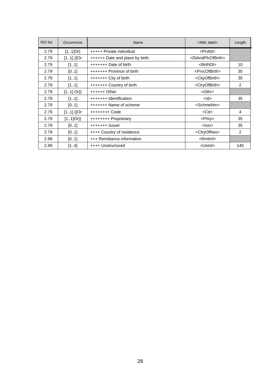| <b>ISO</b> list | Occurrence  | Name                           | <xml label=""></xml>                | Length         |
|-----------------|-------------|--------------------------------|-------------------------------------|----------------|
| 2.79            | $[11]$ Or}  | +++++ Private individual       | <prvtld></prvtld>                   |                |
| 2.79            | $[11]$ {{Or | ++++++ Date and place by birth | <dtandplcofbirth></dtandplcofbirth> |                |
| 2.79            | [11]        | $++++++$ Date of birth         | <birthdt></birthdt>                 | 10             |
| 2.79            | [01]        | +++++++ Province of birth      | <prvcofbirth></prvcofbirth>         | 35             |
| 2.79            | [11]        | $++++++$ City of birth         | <cityofbirth></cityofbirth>         | 35             |
| 2.79            | [11]        | +++++++ Country of birth       | <ctryofbirth></ctryofbirth>         | $\overline{2}$ |
| 2.79            | $[11]$ Or}} | $+++++O$ ther                  | $<$ Othr $>$                        |                |
| 2.79            | [11]        | +++++++ Identification         | $<$ ld $>$                          | 35             |
| 2.79            | [01]        | +++++++ Name of scheme         | <schmenm></schmenm>                 |                |
| 2.79            | $[11]$ {{Or | ++++++++ Code                  | $<$ Cd $>$                          | 4              |
| 2.79            | $[11]Or\}$  | ++++++++ Proprietary           | $<$ Prtry>                          | 35             |
| 2.79            | [01]        | $++++++$ Issuer                | $<$ Issr $>$                        | 35             |
| 2.79            | [01]        | ++++ Country of residence      | <ctryofres></ctryofres>             | $\overline{2}$ |
| 2.98            | [01]        | +++ Remittance information     | $<$ Rmtlnf $>$                      |                |
| 2.99            | [14]        | ++++ Unstructured              | <ustrd></ustrd>                     | 140            |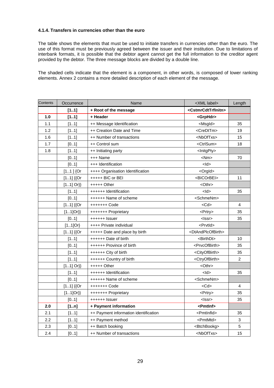## **4.1.4. Transfers in currencies other than the euro**

The table shows the elements that must be used to initiate transfers in currencies other than the euro. The use of this format must be previously agreed between the issuer and their institution. Due to limitations of interbank formats, it is possible that the debtor agent cannot get the full information to the creditor agent provided by the debtor. The three message blocks are divided by a double line.

The shaded cells indicate that the element is a component, in other words, is composed of lower ranking elements. Annex 2 contains a more detailed description of each element of the message.

| Contents | Occurrence  | Name                                  | <xml label=""></xml>                  | Length |
|----------|-------------|---------------------------------------|---------------------------------------|--------|
|          | [11]        | + Root of the message                 | <cstmrcdttrfinitn></cstmrcdttrfinitn> |        |
| 1.0      | [11]        | + Header                              | <grphdr></grphdr>                     |        |
| 1.1      | [11]        | ++ Message Identification             | <msgld></msgld>                       | 35     |
| 1.2      | [11]        | ++ Creation Date and Time             | <credttm></credttm>                   | 19     |
| 1.6      | [11]        | ++ Number of transactions             | <nboftxs></nboftxs>                   | 15     |
| 1.7      | [01]        | ++ Control sum                        | <ctrlsum></ctrlsum>                   | 18     |
| 1.8      | [11]        | ++ Initiating party                   | <lnitgpty></lnitgpty>                 |        |
|          | [01]        | +++ Name                              | $<$ Nm $>$                            | 70     |
|          | [01]        | +++ Identification                    | $<$ ld>                               |        |
|          | $[11]$ {Or  | ++++ Organisation Identification      | <orgld></orgld>                       |        |
|          | $[11]$ {{Or | +++++ BIC or BEI                      | <bicorbei></bicorbei>                 | 11     |
|          | $[11]$ Or}} | +++++ Other                           | <othr></othr>                         |        |
|          | [11]        | ++++++ Identification                 | <ld></ld>                             | 35     |
|          | [01]        | ++++++ Name of scheme                 | <schmenm></schmenm>                   |        |
|          | $[11]$ {{Or | +++++++ Code                          | $<$ Cd $>$                            | 4      |
|          | $[11]Or\}$  | +++++++ Proprietary                   | <prtry></prtry>                       | 35     |
|          | [01]        | ++++++ Issuer                         | <lssr></lssr>                         | 35     |
|          | $[11]$ Or}  | ++++ Private individual               | <prvtld></prvtld>                     |        |
|          | $[11]$ {{Or | +++++ Date and place by birth         | <dtandplcofbirth></dtandplcofbirth>   |        |
|          | [11]        | ++++++ Date of birth                  | <birthdt></birthdt>                   | 10     |
|          | [01]        | ++++++ Province of birth              | <prvcofbirth></prvcofbirth>           | 35     |
|          | [11]        | ++++++ City of birth                  | <cityofbirth></cityofbirth>           | 35     |
|          | [11]        | ++++++ Country of birth               | <ctryofbirth></ctryofbirth>           | 2      |
|          | $[11]$ Or}} | $++++$ Other                          | <othr></othr>                         |        |
|          | [11]        | ++++++ Identification                 | <ld></ld>                             | 35     |
|          | [01]        | ++++++ Name of scheme                 | <schmenm></schmenm>                   |        |
|          | $[11]$ {{Or | +++++++ Code                          | $<$ Cd $>$                            | 4      |
|          | $[11]Or\}$  | +++++++ Proprietary                   | <prtry></prtry>                       | 35     |
|          | [01]        | ++++++ Issuer                         | <lssr></lssr>                         | 35     |
| 2.0      | [1n]        | + Payment information                 | <pmtlnf></pmtlnf>                     |        |
| 2.1      | [11]        | ++ Payment information identification | <pmtlnfld></pmtlnfld>                 | 35     |
| 2.2      | [11]        | ++ Payment method                     | <pmtmtd></pmtmtd>                     | 3      |
| 2.3      | [01]        | ++ Batch booking                      | <btchbookg></btchbookg>               | 5      |
| 2.4      | [01]        | ++ Number of transactions             | <nboftxs></nboftxs>                   | 15     |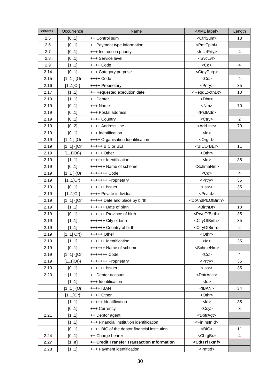| Contents | Occurrence  | Name                                         | <xml label=""></xml>                | Length         |
|----------|-------------|----------------------------------------------|-------------------------------------|----------------|
| 2.5      | [01]        | ++ Control sum                               | <ctrlsum></ctrlsum>                 | 18             |
| 2.6      | [01]        | ++ Payment type information                  | <pmttpinf></pmttpinf>               |                |
| 2.7      | [01]        | +++ Instruction priority                     | <lnstrprty></lnstrprty>             | $\overline{4}$ |
| 2.8      | [01]        | +++ Service level                            | <svclvl></svclvl>                   |                |
| 2.9      | [11]        | ++++ Code                                    | $<$ Cd $>$                          | 4              |
| 2.14     | [01]        | +++ Category purpose                         | <ctgypurp></ctgypurp>               |                |
| 2.15     | $[11]$ {Or  | ++++ Code                                    | $<$ Cd $>$                          | $\overline{4}$ |
| 2.16     | $[11]$ Or}  | ++++ Proprietary                             | <prtry></prtry>                     | 35             |
| 2.17     | [11]        | ++ Requested execution date                  | <reqdexctndt></reqdexctndt>         | 10             |
| 2.19     | [11]        | ++ Debtor                                    | <dbtr></dbtr>                       |                |
| 2.19     | [01]        | +++ Name                                     | $<$ Nm $>$                          | 70             |
| 2.19     | [01]        | +++ Postal address                           | <pstladr></pstladr>                 |                |
| 2.19     | [01]        | ++++ Country                                 | <ctry></ctry>                       | $\overline{c}$ |
| 2.19     | [02]        | ++++ Address line                            | <adrline></adrline>                 | 70             |
| 2.19     | [01]        | +++ Identification                           | $<$ ld $>$                          |                |
| 2.19     | $[11]$ {Or  | ++++ Organisation Identification             | <orgld></orgld>                     |                |
| 2.19     | $[11]$ {{Or | +++++ BIC or BEI                             | <bicorbei></bicorbei>               | 11             |
| 2.19     | $[11]Or\}$  | $++++$ Other                                 | <othr></othr>                       |                |
| 2.19     | [11]        | ++++++ Identification                        | $<$ ld $>$                          | 35             |
| 2.19     | [01]        | ++++++ Name of scheme                        | <schmenm></schmenm>                 |                |
| 2.19     | $[11]$ {Or  | +++++++ Code                                 | $<$ Cd $>$                          | $\overline{4}$ |
| 2.19     | $[11]$ Or}  | +++++++ Proprietary                          | <prtry></prtry>                     | 35             |
| 2.19     | [01]        | ++++++ Issuer                                | $<$ Issr $>$                        | 35             |
| 2.19     | $[11]$ Or}  | ++++ Private individual                      | <prvtid></prvtid>                   |                |
| 2.19     | $[11]$ {{Or | +++++ Date and place by birth                | <dtandplcofbirth></dtandplcofbirth> |                |
| 2.19     | [11]        | ++++++ Date of birth                         | <birthdt></birthdt>                 | 10             |
| 2.19     | [01]        | ++++++ Province of birth                     | <prvcofbirth></prvcofbirth>         | 35             |
| 2.19     | [11]        | ++++++ City of birth                         | <cityofbirth></cityofbirth>         | 35             |
| 2.19     | [11]        | ++++++ Country of birth                      | <ctryofbirth></ctryofbirth>         | $\overline{2}$ |
| 2.19     | $[11]$ Or}} | +++++ Other                                  | <othr></othr>                       |                |
| 2.19     | [11]        | ++++++ Identification                        | $<$ ld $>$                          | 35             |
| 2.19     | [01]        | ++++++ Name of scheme                        | <schmenm></schmenm>                 |                |
| 2.19     | $[11]$ {{Or | +++++++ Code                                 | $<$ Cd $>$                          | 4              |
| 2.19     | $[11]Or\}$  | +++++++ Proprietary                          | <prtry></prtry>                     | 35             |
| 2.19     | [01]        | ++++++ Issuer                                | <lssr></lssr>                       | 35             |
| 2.20     | [11]        | ++ Debtor account                            | <dbtracct></dbtracct>               |                |
|          | [11]        | +++ Identification                           | $<$ ld $>$                          |                |
|          | $[11]$ {Or  | ++++ IBAN                                    | $<$ IBAN $>$                        | 34             |
|          | $[11]$ Or}  | $++++$ Other                                 | <othr></othr>                       |                |
|          | [11]        | +++++ Identification                         | $<$ ld>                             | 35             |
|          | [01]        | +++ Currency                                 | $<$ Ccy $>$                         | 3              |
| 2.21     | [11]        | ++ Debtor agent                              | <dbtragt></dbtragt>                 |                |
|          | [11]        | +++ Financial institution identification     | <fininstnid></fininstnid>           |                |
|          | [01]        | ++++ BIC of the debtor financial institution | $<$ BIC $>$                         | 11             |
| 2.24     | [01]        | ++ Charge bearer                             | <chrgbr></chrgbr>                   | $\overline{4}$ |
| 2.27     | [1n]        | ++ Credit Transfer Transaction Information   | <cdttrftxinf></cdttrftxinf>         |                |
| 2.28     | [11]        | +++ Payment identification                   | <pmtld></pmtld>                     |                |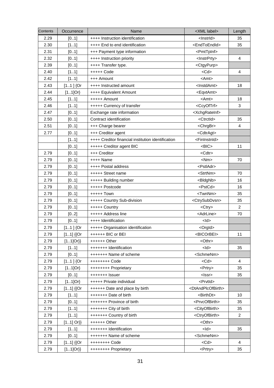| Contents | Occurrence  | Name                                               | <xml label=""></xml>                | Length         |
|----------|-------------|----------------------------------------------------|-------------------------------------|----------------|
| 2.29     | [01]        | ++++ Instruction identification                    | <lnstrld></lnstrld>                 | 35             |
| 2.30     | [11]        | ++++ End to end identification                     | <endtoendid></endtoendid>           | 35             |
| 2.31     | [01]        | +++ Payment type information                       | <pmttpinf></pmttpinf>               |                |
| 2.32     | [01]        | ++++ Instruction priority                          | <lnstrprty></lnstrprty>             | $\overline{4}$ |
| 2.39     | [01]        | ++++ Transfer type.                                | <ctgypurp></ctgypurp>               |                |
| 2.40     | [11]        | +++++ Code                                         | $<$ Cd $>$                          | 4              |
| 2.42     | [11]        | +++ Amount                                         | $<$ Amt $>$                         |                |
| 2.43     | $[11]$ {Or  | ++++ Instructed amount                             | <lnstdamt></lnstdamt>               | 18             |
| 2.44     | $[11]$ Or}  | ++++ Equivalent Amount                             | <eqvtamt></eqvtamt>                 |                |
| 2.45     | [11]        | +++++ Amount                                       | <amt></amt>                         | 18             |
| 2.46     | [11]        | +++++ Currency of transfer                         | <ccyoftrf></ccyoftrf>               | 3              |
| 2.47     | [01]        | Exchange rate information                          | <xchgrateinf></xchgrateinf>         |                |
| 2.50     | [01]        | Contract identification                            | <ctrctid></ctrctid>                 | 35             |
| 2.51     | [01]        | +++ Charge bearer                                  | <chrgbr></chrgbr>                   | $\overline{4}$ |
| 2.77     | [01]        | +++ Creditor agent                                 | <cdtragt></cdtragt>                 |                |
|          | [11]        | ++++ Creditor financial institution identification | <fininstnid></fininstnid>           |                |
|          | [01]        | +++++ Creditor agent BIC                           | $<$ BIC $>$                         | 11             |
| 2.79     | [01]        | +++ Creditor                                       | <cdtr></cdtr>                       |                |
| 2.79     | [01]        | $++++$ Name                                        | $<$ Nm $>$                          | 70             |
| 2.79     | [01]        | ++++ Postal address                                | <pstladr></pstladr>                 |                |
| 2.79     | [01]        | +++++ Street name                                  | <strtnm></strtnm>                   | 70             |
| 2.79     | [01]        | +++++ Building number                              | <bldgnb></bldgnb>                   | 16             |
| 2.79     | [01]        | +++++ Postcode                                     | <pstcd></pstcd>                     | 16             |
| 2.79     | [01]        | +++++ Town                                         | <twnnm></twnnm>                     | 35             |
| 2.79     | [01]        | +++++ Country Sub-division                         | <ctrysubdvsn></ctrysubdvsn>         | 35             |
| 2.79     | [01]        | +++++ Country                                      | <ctry></ctry>                       | 2              |
| 2.79     | [02]        | +++++ Address line                                 | <adrline></adrline>                 | 70             |
| 2.79     | [01]        | ++++ Identification                                | $<$ ld>                             |                |
| 2.79     | $[11]$ {Or  | +++++ Organisation identification                  | <orgld></orgld>                     |                |
| 2.79     | $[11]$ {{Or | ++++++ BIC or BEI                                  | <bicorbei></bicorbei>               | 11             |
| 2.79     | $[11]Or\}$  | ++++++ Other                                       | <othr></othr>                       |                |
| 2.79     | [11]        | +++++++ Identification                             | $<$ ld $>$                          | 35             |
| 2.79     | [01]        | +++++++ Name of scheme                             | <schmenm></schmenm>                 |                |
| 2.79     | $[11]$ {Or  | ++++++++ Code                                      | $<$ Cd $>$                          | $\overline{4}$ |
| 2.79     | $[11]$ Or}  | ++++++++ Proprietary                               | <prtry></prtry>                     | 35             |
| 2.79     | [01]        | +++++++ Issuer                                     | <lssr></lssr>                       | 35             |
| 2.79     | $[11]$ Or}  | +++++ Private individual                           | <prvtld></prvtld>                   |                |
| 2.79     | $[11]$ {{Or | ++++++ Date and place by birth                     | <dtandplcofbirth></dtandplcofbirth> |                |
| 2.79     | [11]        | +++++++ Date of birth                              | <birthdt></birthdt>                 | 10             |
| 2.79     | [01]        | +++++++ Province of birth                          | <prvcofbirth></prvcofbirth>         | 35             |
| 2.79     | [11]        | +++++++ City of birth                              | <cityofbirth></cityofbirth>         | 35             |
| 2.79     | [11]        | +++++++ Country of birth                           | <ctryofbirth></ctryofbirth>         | $\overline{2}$ |
| 2.79     | $[11]$ Or}} | $+++++Other$                                       | <othr></othr>                       |                |
| 2.79     | [11]        | +++++++ Identification                             | $<$ ld $>$                          | 35             |
| 2.79     | [01]        | +++++++ Name of scheme                             | <schmenm></schmenm>                 |                |
| 2.79     | $[11]$ {{Or | +++++++++ Code                                     | $<$ Cd $>$                          | $\overline{4}$ |
| 2.79     | $[11]Or\}$  | ++++++++ Proprietary                               | <prtry></prtry>                     | 35             |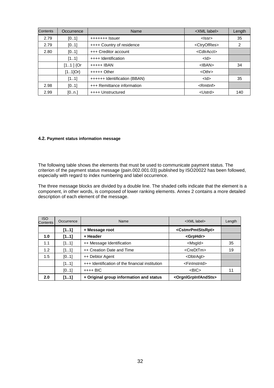| <b>Contents</b> | Occurrence | Name                         | <xml label=""></xml>    | Length |
|-----------------|------------|------------------------------|-------------------------|--------|
| 2.79            | [01]       | $++++++$ Issuer              | <lssr></lssr>           | 35     |
| 2.79            | [01]       | ++++ Country of residence    | <ctryofres></ctryofres> | 2      |
| 2.80            | [01]       | +++ Creditor account         | <cdtracct></cdtracct>   |        |
|                 | [11]       | ++++ Identification          | $<$ ld $>$              |        |
|                 | $[11]$ {Or | +++++ IBAN                   | $<$ IBAN $>$            | 34     |
|                 | $[11]$ Or} | $++++$ Other                 | $<$ Othr $>$            |        |
|                 | [11]       | ++++++ Identification (BBAN) | $<$ ld $>$              | 35     |
| 2.98            | [01]       | +++ Remittance information   | $\le$ Rmtlnf $\ge$      |        |
| 2.99            | [0n.]      | ++++ Unstructured            | <ustrd></ustrd>         | 140    |

#### **4.2. Payment status information message**

The following table shows the elements that must be used to communicate payment status. The criterion of the payment status message (pain.002.001.03) published by ISO20022 has been followed, especially with regard to index numbering and label occurrence.

The three message blocks are divided by a double line. The shaded cells indicate that the element is a component, in other words, is composed of lower ranking elements. Annex 2 contains a more detailed description of each element of the message.

| <b>ISO</b><br>Contents | Occurrence | Name                                            | <xml label=""></xml>                    | Length |
|------------------------|------------|-------------------------------------------------|-----------------------------------------|--------|
|                        | [11]       | + Message root                                  | <cstmrpmtstsrpt></cstmrpmtstsrpt>       |        |
| 1.0                    | [11]       | + Header                                        | <grphdr></grphdr>                       |        |
| 1.1                    | [11]       | ++ Message Identification                       | <msgld></msgld>                         | 35     |
| 1.2                    | [11]       | ++ Creation Date and Time                       | <credttm></credttm>                     | 19     |
| 1.5                    | [01]       | ++ Debtor Agent                                 | <dbtragt></dbtragt>                     |        |
|                        | [11]       | +++ Identification of the financial institution | <fininstnid></fininstnid>               |        |
|                        | [01]       | $+++$ BIC                                       | $<$ BIC $>$                             | 11     |
| 2.0                    | [11]       | + Original group information and status         | <orgnigrpinfandsts></orgnigrpinfandsts> |        |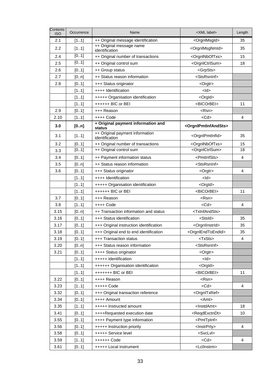| Contents<br><b>ISO</b> | Occurrence | Name                                              | <xml label=""></xml>                    | Length         |
|------------------------|------------|---------------------------------------------------|-----------------------------------------|----------------|
| 2.1                    | [11]       | ++ Original message identification                | <orgnlmsgld></orgnlmsgld>               | 35             |
| 2.2                    | [11]       | ++ Original message name<br>identification        | <orgnlmsgnmld></orgnlmsgnmld>           | 35             |
| 2.4                    | [01]       | ++ Original number of transactions                | <orgninboftxs></orgninboftxs>           | 15             |
| 2.5                    | [01]       | ++ Original control sum                           | <orgnlctrlsum></orgnlctrlsum>           | 18             |
| 2.6                    | [01]       | ++ Group status                                   | <grpsts></grpsts>                       |                |
| 2.7                    | [0n]       | ++ Status reason information                      | <stsrsninf></stsrsninf>                 |                |
| 2.8                    | [01]       | +++ Status originator                             | <orgtr></orgtr>                         |                |
|                        | [11]       | ++++ Identification                               | $<$ ld $>$                              |                |
|                        | [11]       | +++++ Organisation identification                 | <orgld></orgld>                         |                |
|                        | [11]       | ++++++ BIC or BEI                                 | <bicorbei></bicorbei>                   | 11             |
| 2.9                    | [01]       | +++ Reason                                        | <rsn></rsn>                             |                |
| 2.10                   | [11]       | $++++$ Code                                       | $<$ Cd $>$                              | 4              |
| 3.0                    | [0n]       | + Original payment information and<br>status      | <orgnipmtinfandsts></orgnipmtinfandsts> |                |
| 3.1                    | [11]       | ++ Original payment information<br>identification | <orgnlpmtinfld></orgnlpmtinfld>         | 35             |
| 3.2                    | [01]       | ++ Original number of transactions                | <orgninboftxs></orgninboftxs>           | 15             |
| 3.3                    | [01]       | ++ Original control sum                           | <orgnlctrlsum></orgnlctrlsum>           | 18             |
| 3.4                    | [01]       | ++ Payment information status                     | <pmtinfsts></pmtinfsts>                 | $\overline{4}$ |
| 3.5                    | [0n]       | ++ Status reason information                      | <stsrsninf></stsrsninf>                 |                |
| 3.6                    | [01]       | +++ Status originator                             | <orgtr></orgtr>                         | 4              |
|                        | [11]       | ++++ Identification                               | $<$ ld $>$                              |                |
|                        | [11]       | +++++ Organisation identification                 | <orgld></orgld>                         |                |
|                        | [11]       | ++++++ BIC or BEI                                 | <bicorbei></bicorbei>                   | 11             |
| 3.7                    | [01]       | +++ Reason                                        | <rsn></rsn>                             |                |
| 3.8                    | [11]       | ++++ Code                                         | <cd></cd>                               | 4              |
| 3.15                   | [0n]       | ++ Transaction information and status             | <txinfandsts></txinfandsts>             |                |
| 3.16                   | [01]       | +++ Status identification                         | <stsld></stsld>                         | 35             |
| 3.17                   | [01]       | +++ Original instruction identification           | <orgnllnstrld></orgnllnstrld>           | 35             |
| 3.18                   | [01]       | +++ Original end to end identification            | <orgnlendtoendid></orgnlendtoendid>     | 35             |
| 3.19                   | [01]       | +++ Transaction status                            | <txsts></txsts>                         | $\overline{4}$ |
| 3.20                   | [0n]       | +++ Status reason information                     | <stsrsninf></stsrsninf>                 |                |
| 3.21                   | [01]       | ++++ Status originator                            | <orgtr></orgtr>                         |                |
|                        | [11]       | +++++ Identification                              | $<$ ld $>$                              |                |
|                        | [11]       | ++++++ Organisation identification                | <orgld></orgld>                         |                |
|                        | [11]       | +++++++ BIC or BEI                                | <bicorbei></bicorbei>                   | 11             |
| 3.22                   | [01]       | ++++ Reason                                       | <rsn></rsn>                             |                |
| 3.23                   | [11]       | +++++ Code                                        | $<$ Cd $>$                              | 4              |
| 3.32                   | [01]       | +++ Original transaction reference                | <orgnitxref></orgnitxref>               |                |
| 3.34                   | [01]       | ++++ Amount                                       | $<$ Amt $>$                             |                |
| 3.35                   | [11]       | +++++ Instructed amount                           | <lnstdamt></lnstdamt>                   | 18             |
| 3.41                   | [01]       | ++++Requested execution date                      | <reqdexctndt></reqdexctndt>             | 10             |
| 3.55                   | [01]       | ++++ Payment type information                     | <pmttpinf></pmttpinf>                   |                |
| 3.56                   | [01]       | +++++ Instruction priority                        | <lnstrprty></lnstrprty>                 | 4              |
| 3.58                   | [01]       | +++++ Service level                               | <svclvl></svclvl>                       |                |
| 3.59                   | [11]       | ++++++ Code                                       | $<$ Cd $>$                              | 4              |
| 3.61                   | [01]       | +++++ Local instrument                            | <lcllnstrm></lcllnstrm>                 |                |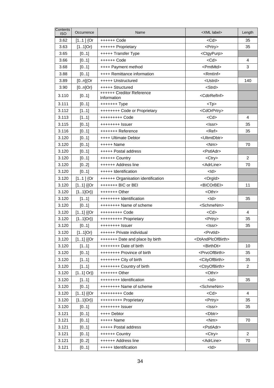| $<$ Cd $>$<br>3.62<br>35<br>$[11]$ {Or<br>++++++ Code<br>3.63<br>$[11]$ Or}<br>35<br>++++++ Proprietary<br><prtry><br/>3.65<br/>[01]<br/>+++++ Transfer Type<br/><ctgypurp><br/><math>&lt;</math>Cd<math>&gt;</math><br/><math>\overline{4}</math><br/>3.66<br/>[01]<br/>++++++ Code<br/>3<br/>3.68<br/><pmtmtd><br/>[01]<br/>++++ Payment method<br/>3.88<br/>++++ Remittance information<br/><rmtlnf><br/>[01]<br/>3.89<br/><math>[0n]{Or}</math><br/>+++++ Unstructured<br/><ustrd><br/>140<br/>3.90<br/>+++++ Structured<br/><strd><br/><math>[0n]Or\}</math><br/>++++++ Creditor Reference<br/>3.110<br/><cdtrrefinf><br/>[01]<br/>Information<br/>3.111<br/>[01]<br/><math>++++++</math> Type<br/><math>&lt;</math>Tp<math>&gt;</math><br/>3.112<br/>[11]<br/>++++++++ Code or Proprietary<br/><cdorprtry><br/>3.113<br/><math>&lt;</math>Cd<math>&gt;</math><br/>[11]<br/>+++++++++ Code<br/><math>\overline{4}</math><br/>3.115<br/>[01]<br/><lssr><br/>35<br/>++++++++ Issuer<br/>3.116<br/>[01]<br/>+++++++ Reference<br/><math>Ref</math><br/>35<br/>3.120<br/><ultmtdbtr><br/>[01]<br/>++++ Ultimate Debtor<br/>3.120<br/><math>++++</math> Name<br/><math>&lt;</math>Nm<math>&gt;</math><br/>70<br/>[01]<br/>3.120<br/><pstladr><br/>[01]<br/>+++++ Postal address<br/>3.120<br/>2<br/>[01]<br/>++++++ Country<br/><math>&lt;</math>Ctry<math>&gt;</math><br/><adrline><br/>3.120<br/>[02]<br/>++++++ Address line<br/>70<br/>3.120<br/>[01]<br/>+++++ Identification<br/><math>&lt;</math>ld<math>&gt;</math><br/>3.120<br/>++++++ Organisation identification<br/><math>[11]</math> {Or<br/><orgld><br/><bicorbei><br/>3.120<br/><math>[11]</math> {{Or<br/>+++++++ BIC or BEI<br/>11<br/>3.120<br/><math>[11]Or\}</math><br/><othr><br/><math>+++++</math> Other<br/>3.120<br/>[11]<br/>++++++++ Identification<br/><math>&lt;</math>ld<math>&gt;</math><br/>35<br/>3.120<br/><schmenm><br/>[01]<br/>++++++++ Name of scheme<br/>3.120<br/><math>[11]</math> {{Or<br/><math>&lt;</math>Cd<math>&gt;</math><br/>4<br/>+++++++++ Code<br/>35<br/>3.120<br/><math>[11]Or\}</math><br/>+++++++++ Proprietary<br/><prtry><br/>3.120<br/><math>&lt;</math>Issr<math>&gt;</math><br/>35<br/>[01]<br/>++++++++ Issuer<br/>3.120<br/><math>[11]</math>Or}<br/>++++++ Private individual<br/><prvtld><br/>3.120<br/><dtandplcofbirth><br/><math>[11]</math> {{Or<br/>+++++++ Date and place by birth<br/>3.120<br/>++++++++ Date of birth<br/><birthdt><br/>10<br/>[11]<br/><prvcofbirth><br/>3.120<br/>[01]<br/>++++++++ Province of birth<br/>35<br/>3.120<br/>[11]<br/>++++++++ City of birth<br/><cityofbirth><br/>35<br/><math>\overline{2}</math><br/>3.120<br/><ctryofbirth><br/>[11]<br/>++++++++ Country of birth<br/>3.120<br/><math>[11]</math> Or}}<br/><othr><br/><math>+++++O</math>ther<br/>3.120<br/>++++++++ Identification<br/><math>&lt;</math>ld<math>&gt;</math><br/>[11]<br/>35<br/><schmenm><br/>3.120<br/>[01]<br/>++++++++ Name of scheme<br/><math>&lt;</math>Cd<math>&gt;</math><br/>3.120<br/><math>[11]</math> {{Or<br/>+++++++++ Code<br/>4<br/>3.120<br/><prtry><br/><math>[11]Or\}</math><br/>+++++++++ Proprietary<br/>35<br/>3.120<br/><lssr><br/>[01]<br/>++++++++ Issuer<br/>35<br/>3.121<br/>[01]<br/>++++ Debtor<br/><dbtr><br/>3.121<br/>[01]<br/>+++++ Name<br/><math>&lt;</math>Nm<math>&gt;</math><br/>70<br/><pstladr><br/>3.121<br/>+++++ Postal address<br/>[01]<br/>3.121<br/>2<br/>++++++ Country<br/><ctry><br/>[01]<br/>3.121<br/>++++++ Address line<br/><adrline><br/>[02]<br/>70<br/>3.121<br/>+++++ Identification<br/><math>&lt;</math>ld<math>&gt;</math><br/>[01]</adrline></ctry></pstladr></dbtr></lssr></prtry></schmenm></othr></ctryofbirth></cityofbirth></prvcofbirth></birthdt></dtandplcofbirth></prvtld></prtry></schmenm></othr></bicorbei></orgld></adrline></pstladr></ultmtdbtr></lssr></cdorprtry></cdtrrefinf></strd></ustrd></rmtlnf></pmtmtd></ctgypurp></prtry> | Contents<br><b>ISO</b> | Occurrence | Name | <xml label=""></xml> | Length |
|--------------------------------------------------------------------------------------------------------------------------------------------------------------------------------------------------------------------------------------------------------------------------------------------------------------------------------------------------------------------------------------------------------------------------------------------------------------------------------------------------------------------------------------------------------------------------------------------------------------------------------------------------------------------------------------------------------------------------------------------------------------------------------------------------------------------------------------------------------------------------------------------------------------------------------------------------------------------------------------------------------------------------------------------------------------------------------------------------------------------------------------------------------------------------------------------------------------------------------------------------------------------------------------------------------------------------------------------------------------------------------------------------------------------------------------------------------------------------------------------------------------------------------------------------------------------------------------------------------------------------------------------------------------------------------------------------------------------------------------------------------------------------------------------------------------------------------------------------------------------------------------------------------------------------------------------------------------------------------------------------------------------------------------------------------------------------------------------------------------------------------------------------------------------------------------------------------------------------------------------------------------------------------------------------------------------------------------------------------------------------------------------------------------------------------------------------------------------------------------------------------------------------------------------------------------------------------------------------------------------------------------------------------------------------------------------------------------------------------------------------------------------------------------------------------------------------------------------------------------------------------------------------------------------------------------------------------------------------------------------------------------------------------------------------------------------------------------------------------------------------------------------------------------------------------------------------------------------------------------------------------------------------------------------------------------------------------------------------------------------------------------------------------------------------------------------------------------------------------------------------------------------------------------------------------------------------------------------------------------------------------------------------------------------------------------------------------------------------------------------------------------------------------------------------------------------------------------------------------------------------------------------------------------------------------------------------|------------------------|------------|------|----------------------|--------|
|                                                                                                                                                                                                                                                                                                                                                                                                                                                                                                                                                                                                                                                                                                                                                                                                                                                                                                                                                                                                                                                                                                                                                                                                                                                                                                                                                                                                                                                                                                                                                                                                                                                                                                                                                                                                                                                                                                                                                                                                                                                                                                                                                                                                                                                                                                                                                                                                                                                                                                                                                                                                                                                                                                                                                                                                                                                                                                                                                                                                                                                                                                                                                                                                                                                                                                                                                                                                                                                                                                                                                                                                                                                                                                                                                                                                                                                                                                                                                  |                        |            |      |                      |        |
|                                                                                                                                                                                                                                                                                                                                                                                                                                                                                                                                                                                                                                                                                                                                                                                                                                                                                                                                                                                                                                                                                                                                                                                                                                                                                                                                                                                                                                                                                                                                                                                                                                                                                                                                                                                                                                                                                                                                                                                                                                                                                                                                                                                                                                                                                                                                                                                                                                                                                                                                                                                                                                                                                                                                                                                                                                                                                                                                                                                                                                                                                                                                                                                                                                                                                                                                                                                                                                                                                                                                                                                                                                                                                                                                                                                                                                                                                                                                                  |                        |            |      |                      |        |
|                                                                                                                                                                                                                                                                                                                                                                                                                                                                                                                                                                                                                                                                                                                                                                                                                                                                                                                                                                                                                                                                                                                                                                                                                                                                                                                                                                                                                                                                                                                                                                                                                                                                                                                                                                                                                                                                                                                                                                                                                                                                                                                                                                                                                                                                                                                                                                                                                                                                                                                                                                                                                                                                                                                                                                                                                                                                                                                                                                                                                                                                                                                                                                                                                                                                                                                                                                                                                                                                                                                                                                                                                                                                                                                                                                                                                                                                                                                                                  |                        |            |      |                      |        |
|                                                                                                                                                                                                                                                                                                                                                                                                                                                                                                                                                                                                                                                                                                                                                                                                                                                                                                                                                                                                                                                                                                                                                                                                                                                                                                                                                                                                                                                                                                                                                                                                                                                                                                                                                                                                                                                                                                                                                                                                                                                                                                                                                                                                                                                                                                                                                                                                                                                                                                                                                                                                                                                                                                                                                                                                                                                                                                                                                                                                                                                                                                                                                                                                                                                                                                                                                                                                                                                                                                                                                                                                                                                                                                                                                                                                                                                                                                                                                  |                        |            |      |                      |        |
|                                                                                                                                                                                                                                                                                                                                                                                                                                                                                                                                                                                                                                                                                                                                                                                                                                                                                                                                                                                                                                                                                                                                                                                                                                                                                                                                                                                                                                                                                                                                                                                                                                                                                                                                                                                                                                                                                                                                                                                                                                                                                                                                                                                                                                                                                                                                                                                                                                                                                                                                                                                                                                                                                                                                                                                                                                                                                                                                                                                                                                                                                                                                                                                                                                                                                                                                                                                                                                                                                                                                                                                                                                                                                                                                                                                                                                                                                                                                                  |                        |            |      |                      |        |
|                                                                                                                                                                                                                                                                                                                                                                                                                                                                                                                                                                                                                                                                                                                                                                                                                                                                                                                                                                                                                                                                                                                                                                                                                                                                                                                                                                                                                                                                                                                                                                                                                                                                                                                                                                                                                                                                                                                                                                                                                                                                                                                                                                                                                                                                                                                                                                                                                                                                                                                                                                                                                                                                                                                                                                                                                                                                                                                                                                                                                                                                                                                                                                                                                                                                                                                                                                                                                                                                                                                                                                                                                                                                                                                                                                                                                                                                                                                                                  |                        |            |      |                      |        |
|                                                                                                                                                                                                                                                                                                                                                                                                                                                                                                                                                                                                                                                                                                                                                                                                                                                                                                                                                                                                                                                                                                                                                                                                                                                                                                                                                                                                                                                                                                                                                                                                                                                                                                                                                                                                                                                                                                                                                                                                                                                                                                                                                                                                                                                                                                                                                                                                                                                                                                                                                                                                                                                                                                                                                                                                                                                                                                                                                                                                                                                                                                                                                                                                                                                                                                                                                                                                                                                                                                                                                                                                                                                                                                                                                                                                                                                                                                                                                  |                        |            |      |                      |        |
|                                                                                                                                                                                                                                                                                                                                                                                                                                                                                                                                                                                                                                                                                                                                                                                                                                                                                                                                                                                                                                                                                                                                                                                                                                                                                                                                                                                                                                                                                                                                                                                                                                                                                                                                                                                                                                                                                                                                                                                                                                                                                                                                                                                                                                                                                                                                                                                                                                                                                                                                                                                                                                                                                                                                                                                                                                                                                                                                                                                                                                                                                                                                                                                                                                                                                                                                                                                                                                                                                                                                                                                                                                                                                                                                                                                                                                                                                                                                                  |                        |            |      |                      |        |
|                                                                                                                                                                                                                                                                                                                                                                                                                                                                                                                                                                                                                                                                                                                                                                                                                                                                                                                                                                                                                                                                                                                                                                                                                                                                                                                                                                                                                                                                                                                                                                                                                                                                                                                                                                                                                                                                                                                                                                                                                                                                                                                                                                                                                                                                                                                                                                                                                                                                                                                                                                                                                                                                                                                                                                                                                                                                                                                                                                                                                                                                                                                                                                                                                                                                                                                                                                                                                                                                                                                                                                                                                                                                                                                                                                                                                                                                                                                                                  |                        |            |      |                      |        |
|                                                                                                                                                                                                                                                                                                                                                                                                                                                                                                                                                                                                                                                                                                                                                                                                                                                                                                                                                                                                                                                                                                                                                                                                                                                                                                                                                                                                                                                                                                                                                                                                                                                                                                                                                                                                                                                                                                                                                                                                                                                                                                                                                                                                                                                                                                                                                                                                                                                                                                                                                                                                                                                                                                                                                                                                                                                                                                                                                                                                                                                                                                                                                                                                                                                                                                                                                                                                                                                                                                                                                                                                                                                                                                                                                                                                                                                                                                                                                  |                        |            |      |                      |        |
|                                                                                                                                                                                                                                                                                                                                                                                                                                                                                                                                                                                                                                                                                                                                                                                                                                                                                                                                                                                                                                                                                                                                                                                                                                                                                                                                                                                                                                                                                                                                                                                                                                                                                                                                                                                                                                                                                                                                                                                                                                                                                                                                                                                                                                                                                                                                                                                                                                                                                                                                                                                                                                                                                                                                                                                                                                                                                                                                                                                                                                                                                                                                                                                                                                                                                                                                                                                                                                                                                                                                                                                                                                                                                                                                                                                                                                                                                                                                                  |                        |            |      |                      |        |
|                                                                                                                                                                                                                                                                                                                                                                                                                                                                                                                                                                                                                                                                                                                                                                                                                                                                                                                                                                                                                                                                                                                                                                                                                                                                                                                                                                                                                                                                                                                                                                                                                                                                                                                                                                                                                                                                                                                                                                                                                                                                                                                                                                                                                                                                                                                                                                                                                                                                                                                                                                                                                                                                                                                                                                                                                                                                                                                                                                                                                                                                                                                                                                                                                                                                                                                                                                                                                                                                                                                                                                                                                                                                                                                                                                                                                                                                                                                                                  |                        |            |      |                      |        |
|                                                                                                                                                                                                                                                                                                                                                                                                                                                                                                                                                                                                                                                                                                                                                                                                                                                                                                                                                                                                                                                                                                                                                                                                                                                                                                                                                                                                                                                                                                                                                                                                                                                                                                                                                                                                                                                                                                                                                                                                                                                                                                                                                                                                                                                                                                                                                                                                                                                                                                                                                                                                                                                                                                                                                                                                                                                                                                                                                                                                                                                                                                                                                                                                                                                                                                                                                                                                                                                                                                                                                                                                                                                                                                                                                                                                                                                                                                                                                  |                        |            |      |                      |        |
|                                                                                                                                                                                                                                                                                                                                                                                                                                                                                                                                                                                                                                                                                                                                                                                                                                                                                                                                                                                                                                                                                                                                                                                                                                                                                                                                                                                                                                                                                                                                                                                                                                                                                                                                                                                                                                                                                                                                                                                                                                                                                                                                                                                                                                                                                                                                                                                                                                                                                                                                                                                                                                                                                                                                                                                                                                                                                                                                                                                                                                                                                                                                                                                                                                                                                                                                                                                                                                                                                                                                                                                                                                                                                                                                                                                                                                                                                                                                                  |                        |            |      |                      |        |
|                                                                                                                                                                                                                                                                                                                                                                                                                                                                                                                                                                                                                                                                                                                                                                                                                                                                                                                                                                                                                                                                                                                                                                                                                                                                                                                                                                                                                                                                                                                                                                                                                                                                                                                                                                                                                                                                                                                                                                                                                                                                                                                                                                                                                                                                                                                                                                                                                                                                                                                                                                                                                                                                                                                                                                                                                                                                                                                                                                                                                                                                                                                                                                                                                                                                                                                                                                                                                                                                                                                                                                                                                                                                                                                                                                                                                                                                                                                                                  |                        |            |      |                      |        |
|                                                                                                                                                                                                                                                                                                                                                                                                                                                                                                                                                                                                                                                                                                                                                                                                                                                                                                                                                                                                                                                                                                                                                                                                                                                                                                                                                                                                                                                                                                                                                                                                                                                                                                                                                                                                                                                                                                                                                                                                                                                                                                                                                                                                                                                                                                                                                                                                                                                                                                                                                                                                                                                                                                                                                                                                                                                                                                                                                                                                                                                                                                                                                                                                                                                                                                                                                                                                                                                                                                                                                                                                                                                                                                                                                                                                                                                                                                                                                  |                        |            |      |                      |        |
|                                                                                                                                                                                                                                                                                                                                                                                                                                                                                                                                                                                                                                                                                                                                                                                                                                                                                                                                                                                                                                                                                                                                                                                                                                                                                                                                                                                                                                                                                                                                                                                                                                                                                                                                                                                                                                                                                                                                                                                                                                                                                                                                                                                                                                                                                                                                                                                                                                                                                                                                                                                                                                                                                                                                                                                                                                                                                                                                                                                                                                                                                                                                                                                                                                                                                                                                                                                                                                                                                                                                                                                                                                                                                                                                                                                                                                                                                                                                                  |                        |            |      |                      |        |
|                                                                                                                                                                                                                                                                                                                                                                                                                                                                                                                                                                                                                                                                                                                                                                                                                                                                                                                                                                                                                                                                                                                                                                                                                                                                                                                                                                                                                                                                                                                                                                                                                                                                                                                                                                                                                                                                                                                                                                                                                                                                                                                                                                                                                                                                                                                                                                                                                                                                                                                                                                                                                                                                                                                                                                                                                                                                                                                                                                                                                                                                                                                                                                                                                                                                                                                                                                                                                                                                                                                                                                                                                                                                                                                                                                                                                                                                                                                                                  |                        |            |      |                      |        |
|                                                                                                                                                                                                                                                                                                                                                                                                                                                                                                                                                                                                                                                                                                                                                                                                                                                                                                                                                                                                                                                                                                                                                                                                                                                                                                                                                                                                                                                                                                                                                                                                                                                                                                                                                                                                                                                                                                                                                                                                                                                                                                                                                                                                                                                                                                                                                                                                                                                                                                                                                                                                                                                                                                                                                                                                                                                                                                                                                                                                                                                                                                                                                                                                                                                                                                                                                                                                                                                                                                                                                                                                                                                                                                                                                                                                                                                                                                                                                  |                        |            |      |                      |        |
|                                                                                                                                                                                                                                                                                                                                                                                                                                                                                                                                                                                                                                                                                                                                                                                                                                                                                                                                                                                                                                                                                                                                                                                                                                                                                                                                                                                                                                                                                                                                                                                                                                                                                                                                                                                                                                                                                                                                                                                                                                                                                                                                                                                                                                                                                                                                                                                                                                                                                                                                                                                                                                                                                                                                                                                                                                                                                                                                                                                                                                                                                                                                                                                                                                                                                                                                                                                                                                                                                                                                                                                                                                                                                                                                                                                                                                                                                                                                                  |                        |            |      |                      |        |
|                                                                                                                                                                                                                                                                                                                                                                                                                                                                                                                                                                                                                                                                                                                                                                                                                                                                                                                                                                                                                                                                                                                                                                                                                                                                                                                                                                                                                                                                                                                                                                                                                                                                                                                                                                                                                                                                                                                                                                                                                                                                                                                                                                                                                                                                                                                                                                                                                                                                                                                                                                                                                                                                                                                                                                                                                                                                                                                                                                                                                                                                                                                                                                                                                                                                                                                                                                                                                                                                                                                                                                                                                                                                                                                                                                                                                                                                                                                                                  |                        |            |      |                      |        |
|                                                                                                                                                                                                                                                                                                                                                                                                                                                                                                                                                                                                                                                                                                                                                                                                                                                                                                                                                                                                                                                                                                                                                                                                                                                                                                                                                                                                                                                                                                                                                                                                                                                                                                                                                                                                                                                                                                                                                                                                                                                                                                                                                                                                                                                                                                                                                                                                                                                                                                                                                                                                                                                                                                                                                                                                                                                                                                                                                                                                                                                                                                                                                                                                                                                                                                                                                                                                                                                                                                                                                                                                                                                                                                                                                                                                                                                                                                                                                  |                        |            |      |                      |        |
|                                                                                                                                                                                                                                                                                                                                                                                                                                                                                                                                                                                                                                                                                                                                                                                                                                                                                                                                                                                                                                                                                                                                                                                                                                                                                                                                                                                                                                                                                                                                                                                                                                                                                                                                                                                                                                                                                                                                                                                                                                                                                                                                                                                                                                                                                                                                                                                                                                                                                                                                                                                                                                                                                                                                                                                                                                                                                                                                                                                                                                                                                                                                                                                                                                                                                                                                                                                                                                                                                                                                                                                                                                                                                                                                                                                                                                                                                                                                                  |                        |            |      |                      |        |
|                                                                                                                                                                                                                                                                                                                                                                                                                                                                                                                                                                                                                                                                                                                                                                                                                                                                                                                                                                                                                                                                                                                                                                                                                                                                                                                                                                                                                                                                                                                                                                                                                                                                                                                                                                                                                                                                                                                                                                                                                                                                                                                                                                                                                                                                                                                                                                                                                                                                                                                                                                                                                                                                                                                                                                                                                                                                                                                                                                                                                                                                                                                                                                                                                                                                                                                                                                                                                                                                                                                                                                                                                                                                                                                                                                                                                                                                                                                                                  |                        |            |      |                      |        |
|                                                                                                                                                                                                                                                                                                                                                                                                                                                                                                                                                                                                                                                                                                                                                                                                                                                                                                                                                                                                                                                                                                                                                                                                                                                                                                                                                                                                                                                                                                                                                                                                                                                                                                                                                                                                                                                                                                                                                                                                                                                                                                                                                                                                                                                                                                                                                                                                                                                                                                                                                                                                                                                                                                                                                                                                                                                                                                                                                                                                                                                                                                                                                                                                                                                                                                                                                                                                                                                                                                                                                                                                                                                                                                                                                                                                                                                                                                                                                  |                        |            |      |                      |        |
|                                                                                                                                                                                                                                                                                                                                                                                                                                                                                                                                                                                                                                                                                                                                                                                                                                                                                                                                                                                                                                                                                                                                                                                                                                                                                                                                                                                                                                                                                                                                                                                                                                                                                                                                                                                                                                                                                                                                                                                                                                                                                                                                                                                                                                                                                                                                                                                                                                                                                                                                                                                                                                                                                                                                                                                                                                                                                                                                                                                                                                                                                                                                                                                                                                                                                                                                                                                                                                                                                                                                                                                                                                                                                                                                                                                                                                                                                                                                                  |                        |            |      |                      |        |
|                                                                                                                                                                                                                                                                                                                                                                                                                                                                                                                                                                                                                                                                                                                                                                                                                                                                                                                                                                                                                                                                                                                                                                                                                                                                                                                                                                                                                                                                                                                                                                                                                                                                                                                                                                                                                                                                                                                                                                                                                                                                                                                                                                                                                                                                                                                                                                                                                                                                                                                                                                                                                                                                                                                                                                                                                                                                                                                                                                                                                                                                                                                                                                                                                                                                                                                                                                                                                                                                                                                                                                                                                                                                                                                                                                                                                                                                                                                                                  |                        |            |      |                      |        |
|                                                                                                                                                                                                                                                                                                                                                                                                                                                                                                                                                                                                                                                                                                                                                                                                                                                                                                                                                                                                                                                                                                                                                                                                                                                                                                                                                                                                                                                                                                                                                                                                                                                                                                                                                                                                                                                                                                                                                                                                                                                                                                                                                                                                                                                                                                                                                                                                                                                                                                                                                                                                                                                                                                                                                                                                                                                                                                                                                                                                                                                                                                                                                                                                                                                                                                                                                                                                                                                                                                                                                                                                                                                                                                                                                                                                                                                                                                                                                  |                        |            |      |                      |        |
|                                                                                                                                                                                                                                                                                                                                                                                                                                                                                                                                                                                                                                                                                                                                                                                                                                                                                                                                                                                                                                                                                                                                                                                                                                                                                                                                                                                                                                                                                                                                                                                                                                                                                                                                                                                                                                                                                                                                                                                                                                                                                                                                                                                                                                                                                                                                                                                                                                                                                                                                                                                                                                                                                                                                                                                                                                                                                                                                                                                                                                                                                                                                                                                                                                                                                                                                                                                                                                                                                                                                                                                                                                                                                                                                                                                                                                                                                                                                                  |                        |            |      |                      |        |
|                                                                                                                                                                                                                                                                                                                                                                                                                                                                                                                                                                                                                                                                                                                                                                                                                                                                                                                                                                                                                                                                                                                                                                                                                                                                                                                                                                                                                                                                                                                                                                                                                                                                                                                                                                                                                                                                                                                                                                                                                                                                                                                                                                                                                                                                                                                                                                                                                                                                                                                                                                                                                                                                                                                                                                                                                                                                                                                                                                                                                                                                                                                                                                                                                                                                                                                                                                                                                                                                                                                                                                                                                                                                                                                                                                                                                                                                                                                                                  |                        |            |      |                      |        |
|                                                                                                                                                                                                                                                                                                                                                                                                                                                                                                                                                                                                                                                                                                                                                                                                                                                                                                                                                                                                                                                                                                                                                                                                                                                                                                                                                                                                                                                                                                                                                                                                                                                                                                                                                                                                                                                                                                                                                                                                                                                                                                                                                                                                                                                                                                                                                                                                                                                                                                                                                                                                                                                                                                                                                                                                                                                                                                                                                                                                                                                                                                                                                                                                                                                                                                                                                                                                                                                                                                                                                                                                                                                                                                                                                                                                                                                                                                                                                  |                        |            |      |                      |        |
|                                                                                                                                                                                                                                                                                                                                                                                                                                                                                                                                                                                                                                                                                                                                                                                                                                                                                                                                                                                                                                                                                                                                                                                                                                                                                                                                                                                                                                                                                                                                                                                                                                                                                                                                                                                                                                                                                                                                                                                                                                                                                                                                                                                                                                                                                                                                                                                                                                                                                                                                                                                                                                                                                                                                                                                                                                                                                                                                                                                                                                                                                                                                                                                                                                                                                                                                                                                                                                                                                                                                                                                                                                                                                                                                                                                                                                                                                                                                                  |                        |            |      |                      |        |
|                                                                                                                                                                                                                                                                                                                                                                                                                                                                                                                                                                                                                                                                                                                                                                                                                                                                                                                                                                                                                                                                                                                                                                                                                                                                                                                                                                                                                                                                                                                                                                                                                                                                                                                                                                                                                                                                                                                                                                                                                                                                                                                                                                                                                                                                                                                                                                                                                                                                                                                                                                                                                                                                                                                                                                                                                                                                                                                                                                                                                                                                                                                                                                                                                                                                                                                                                                                                                                                                                                                                                                                                                                                                                                                                                                                                                                                                                                                                                  |                        |            |      |                      |        |
|                                                                                                                                                                                                                                                                                                                                                                                                                                                                                                                                                                                                                                                                                                                                                                                                                                                                                                                                                                                                                                                                                                                                                                                                                                                                                                                                                                                                                                                                                                                                                                                                                                                                                                                                                                                                                                                                                                                                                                                                                                                                                                                                                                                                                                                                                                                                                                                                                                                                                                                                                                                                                                                                                                                                                                                                                                                                                                                                                                                                                                                                                                                                                                                                                                                                                                                                                                                                                                                                                                                                                                                                                                                                                                                                                                                                                                                                                                                                                  |                        |            |      |                      |        |
|                                                                                                                                                                                                                                                                                                                                                                                                                                                                                                                                                                                                                                                                                                                                                                                                                                                                                                                                                                                                                                                                                                                                                                                                                                                                                                                                                                                                                                                                                                                                                                                                                                                                                                                                                                                                                                                                                                                                                                                                                                                                                                                                                                                                                                                                                                                                                                                                                                                                                                                                                                                                                                                                                                                                                                                                                                                                                                                                                                                                                                                                                                                                                                                                                                                                                                                                                                                                                                                                                                                                                                                                                                                                                                                                                                                                                                                                                                                                                  |                        |            |      |                      |        |
|                                                                                                                                                                                                                                                                                                                                                                                                                                                                                                                                                                                                                                                                                                                                                                                                                                                                                                                                                                                                                                                                                                                                                                                                                                                                                                                                                                                                                                                                                                                                                                                                                                                                                                                                                                                                                                                                                                                                                                                                                                                                                                                                                                                                                                                                                                                                                                                                                                                                                                                                                                                                                                                                                                                                                                                                                                                                                                                                                                                                                                                                                                                                                                                                                                                                                                                                                                                                                                                                                                                                                                                                                                                                                                                                                                                                                                                                                                                                                  |                        |            |      |                      |        |
|                                                                                                                                                                                                                                                                                                                                                                                                                                                                                                                                                                                                                                                                                                                                                                                                                                                                                                                                                                                                                                                                                                                                                                                                                                                                                                                                                                                                                                                                                                                                                                                                                                                                                                                                                                                                                                                                                                                                                                                                                                                                                                                                                                                                                                                                                                                                                                                                                                                                                                                                                                                                                                                                                                                                                                                                                                                                                                                                                                                                                                                                                                                                                                                                                                                                                                                                                                                                                                                                                                                                                                                                                                                                                                                                                                                                                                                                                                                                                  |                        |            |      |                      |        |
|                                                                                                                                                                                                                                                                                                                                                                                                                                                                                                                                                                                                                                                                                                                                                                                                                                                                                                                                                                                                                                                                                                                                                                                                                                                                                                                                                                                                                                                                                                                                                                                                                                                                                                                                                                                                                                                                                                                                                                                                                                                                                                                                                                                                                                                                                                                                                                                                                                                                                                                                                                                                                                                                                                                                                                                                                                                                                                                                                                                                                                                                                                                                                                                                                                                                                                                                                                                                                                                                                                                                                                                                                                                                                                                                                                                                                                                                                                                                                  |                        |            |      |                      |        |
|                                                                                                                                                                                                                                                                                                                                                                                                                                                                                                                                                                                                                                                                                                                                                                                                                                                                                                                                                                                                                                                                                                                                                                                                                                                                                                                                                                                                                                                                                                                                                                                                                                                                                                                                                                                                                                                                                                                                                                                                                                                                                                                                                                                                                                                                                                                                                                                                                                                                                                                                                                                                                                                                                                                                                                                                                                                                                                                                                                                                                                                                                                                                                                                                                                                                                                                                                                                                                                                                                                                                                                                                                                                                                                                                                                                                                                                                                                                                                  |                        |            |      |                      |        |
|                                                                                                                                                                                                                                                                                                                                                                                                                                                                                                                                                                                                                                                                                                                                                                                                                                                                                                                                                                                                                                                                                                                                                                                                                                                                                                                                                                                                                                                                                                                                                                                                                                                                                                                                                                                                                                                                                                                                                                                                                                                                                                                                                                                                                                                                                                                                                                                                                                                                                                                                                                                                                                                                                                                                                                                                                                                                                                                                                                                                                                                                                                                                                                                                                                                                                                                                                                                                                                                                                                                                                                                                                                                                                                                                                                                                                                                                                                                                                  |                        |            |      |                      |        |
|                                                                                                                                                                                                                                                                                                                                                                                                                                                                                                                                                                                                                                                                                                                                                                                                                                                                                                                                                                                                                                                                                                                                                                                                                                                                                                                                                                                                                                                                                                                                                                                                                                                                                                                                                                                                                                                                                                                                                                                                                                                                                                                                                                                                                                                                                                                                                                                                                                                                                                                                                                                                                                                                                                                                                                                                                                                                                                                                                                                                                                                                                                                                                                                                                                                                                                                                                                                                                                                                                                                                                                                                                                                                                                                                                                                                                                                                                                                                                  |                        |            |      |                      |        |
|                                                                                                                                                                                                                                                                                                                                                                                                                                                                                                                                                                                                                                                                                                                                                                                                                                                                                                                                                                                                                                                                                                                                                                                                                                                                                                                                                                                                                                                                                                                                                                                                                                                                                                                                                                                                                                                                                                                                                                                                                                                                                                                                                                                                                                                                                                                                                                                                                                                                                                                                                                                                                                                                                                                                                                                                                                                                                                                                                                                                                                                                                                                                                                                                                                                                                                                                                                                                                                                                                                                                                                                                                                                                                                                                                                                                                                                                                                                                                  |                        |            |      |                      |        |
|                                                                                                                                                                                                                                                                                                                                                                                                                                                                                                                                                                                                                                                                                                                                                                                                                                                                                                                                                                                                                                                                                                                                                                                                                                                                                                                                                                                                                                                                                                                                                                                                                                                                                                                                                                                                                                                                                                                                                                                                                                                                                                                                                                                                                                                                                                                                                                                                                                                                                                                                                                                                                                                                                                                                                                                                                                                                                                                                                                                                                                                                                                                                                                                                                                                                                                                                                                                                                                                                                                                                                                                                                                                                                                                                                                                                                                                                                                                                                  |                        |            |      |                      |        |
|                                                                                                                                                                                                                                                                                                                                                                                                                                                                                                                                                                                                                                                                                                                                                                                                                                                                                                                                                                                                                                                                                                                                                                                                                                                                                                                                                                                                                                                                                                                                                                                                                                                                                                                                                                                                                                                                                                                                                                                                                                                                                                                                                                                                                                                                                                                                                                                                                                                                                                                                                                                                                                                                                                                                                                                                                                                                                                                                                                                                                                                                                                                                                                                                                                                                                                                                                                                                                                                                                                                                                                                                                                                                                                                                                                                                                                                                                                                                                  |                        |            |      |                      |        |
|                                                                                                                                                                                                                                                                                                                                                                                                                                                                                                                                                                                                                                                                                                                                                                                                                                                                                                                                                                                                                                                                                                                                                                                                                                                                                                                                                                                                                                                                                                                                                                                                                                                                                                                                                                                                                                                                                                                                                                                                                                                                                                                                                                                                                                                                                                                                                                                                                                                                                                                                                                                                                                                                                                                                                                                                                                                                                                                                                                                                                                                                                                                                                                                                                                                                                                                                                                                                                                                                                                                                                                                                                                                                                                                                                                                                                                                                                                                                                  |                        |            |      |                      |        |
|                                                                                                                                                                                                                                                                                                                                                                                                                                                                                                                                                                                                                                                                                                                                                                                                                                                                                                                                                                                                                                                                                                                                                                                                                                                                                                                                                                                                                                                                                                                                                                                                                                                                                                                                                                                                                                                                                                                                                                                                                                                                                                                                                                                                                                                                                                                                                                                                                                                                                                                                                                                                                                                                                                                                                                                                                                                                                                                                                                                                                                                                                                                                                                                                                                                                                                                                                                                                                                                                                                                                                                                                                                                                                                                                                                                                                                                                                                                                                  |                        |            |      |                      |        |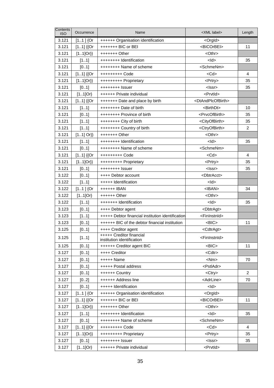| Contents<br><b>ISO</b> | Occurrence  | Name                                                   | <xml label=""></xml>                | Length         |
|------------------------|-------------|--------------------------------------------------------|-------------------------------------|----------------|
| 3.121                  | $[11]$ {Or  | ++++++ Organisation identification                     | <orgld></orgld>                     |                |
| 3.121                  | $[11]$ {{Or | +++++++ BIC or BEI                                     | <bicorbei></bicorbei>               | 11             |
| 3.121                  | $[11]Or\}$  | $+++++$ Other                                          | <othr></othr>                       |                |
| 3.121                  | [11]        | ++++++++ Identification                                | $<$ ld $>$                          | 35             |
| 3.121                  | [01]        | ++++++++ Name of scheme                                | <schmenm></schmenm>                 |                |
| 3.121                  | $[11]$ {{Or | +++++++++ Code                                         | <cd></cd>                           | $\overline{4}$ |
| 3.121                  | $[11]Or\}$  | +++++++++ Proprietary                                  | <prtry></prtry>                     | 35             |
| 3.121                  | [01]        | ++++++++ Issuer                                        | $<$ Issr $>$                        | 35             |
| 3.121                  | $[11]$ Or}  | ++++++ Private individual                              | <prvtld></prvtld>                   |                |
| 3.121                  | $[11]$ {{Or | +++++++ Date and place by birth                        | <dtandplcofbirth></dtandplcofbirth> |                |
| 3.121                  | [11]        | ++++++++ Date of birth                                 | <birthdt></birthdt>                 | 10             |
| 3.121                  | [01]        | ++++++++ Province of birth                             | <prvcofbirth></prvcofbirth>         | 35             |
| 3.121                  | [11]        | ++++++++ City of birth                                 | <cityofbirth></cityofbirth>         | 35             |
| 3.121                  | [11]        | ++++++++ Country of birth                              | <ctryofbirth></ctryofbirth>         | $\overline{c}$ |
| 3.121                  | $[11]$ Or}} | $+++++O$ ther                                          | <othr></othr>                       |                |
| 3.121                  | [11]        | ++++++++ Identification                                | $<$ ld $>$                          | 35             |
| 3.121                  | [01]        | ++++++++ Name of scheme                                | <schmenm></schmenm>                 |                |
| 3.121                  | $[11]$ {{Or | +++++++++ Code                                         | $<$ Cd $>$                          | 4              |
| 3.121                  | $[11]Or\}$  | +++++++++ Proprietary                                  | <prtry></prtry>                     | 35             |
| 3.121                  | [01]        | ++++++++ Issuer                                        | <lssr></lssr>                       | 35             |
| 3.122                  | [01]        | ++++ Debtor account                                    | <dbtracct></dbtracct>               |                |
| 3.122                  | [11]        | +++++ Identification                                   | $<$ ld $>$                          |                |
| 3.122                  | $[11]$ {Or  | ++++++ IBAN                                            | <iban></iban>                       | 34             |
| 3.122                  | $[11]$ Or}  | $+++++$ Other                                          | <othr></othr>                       |                |
| 3.122                  | [11]        | +++++++ Identification                                 | $<$ ld>                             | 35             |
| 3.123                  | [01]        | ++++ Debtor agent                                      | <dbtragt></dbtragt>                 |                |
| 3.123                  | [11]        | +++++ Debtor financial institution identification      | <fininstnid></fininstnid>           |                |
| 3.123                  | [01]        | ++++++ BIC of the debtor financial institution         | $<$ BIC $>$                         | 11             |
| 3.125                  | [01]        | ++++ Creditor agent                                    | <cdtragt></cdtragt>                 |                |
| 3.125                  | [11]        | +++++ Creditor financial<br>institution identification | <fininstnid></fininstnid>           |                |
| 3.125                  | [01]        | ++++++ Creditor agent BIC                              | $<$ BIC $>$                         | 11             |
| 3.127                  | [01]        | ++++ Creditor                                          | <cdtr></cdtr>                       |                |
| 3.127                  | [01]        | +++++ Name                                             | $<$ Nm $>$                          | 70             |
| 3.127                  | [01]        | +++++ Postal address                                   | <pstladr></pstladr>                 |                |
| 3.127                  | [01]        | ++++++ Country                                         | $<$ Ctry $>$                        | 2              |
| 3.127                  | [02]        | ++++++ Address line                                    | <adrline></adrline>                 | 70             |
| 3.127                  | [01]        | +++++ Identification                                   | $<$ ld $>$                          |                |
| 3.127                  | $[11]$ {Or  | ++++++ Organisation identification                     | <orgld></orgld>                     |                |
| 3.127                  | $[11]$ {{Or | +++++++ BIC or BEI                                     | <bicorbei></bicorbei>               | 11             |
| 3.127                  | $[11]Or\}$  | $+++++O$ ther                                          | <othr></othr>                       |                |
| 3.127                  | [11]        | ++++++++ Identification                                | $<$ ld $>$                          | 35             |
| 3.127                  | [01]        | ++++++++ Name of scheme                                | <schmenm></schmenm>                 |                |
| 3.127                  | $[11]$ {{Or | +++++++++ Code                                         | $<$ Cd $>$                          | 4              |
| 3.127                  | $[11]Or\}$  | +++++++++ Proprietary                                  | <prtry></prtry>                     | 35             |
| 3.127                  | [01]        | ++++++++ Issuer                                        | <lssr></lssr>                       | 35             |
| 3.127                  | $[11]$ Or}  | ++++++ Private individual                              | <prvtid></prvtid>                   |                |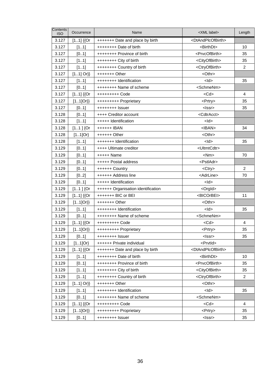| Contents<br><b>ISO</b> | Occurrence  | Name                               | <xml label=""></xml>                | Length         |
|------------------------|-------------|------------------------------------|-------------------------------------|----------------|
| 3.127                  | $[11]$ {{Or | +++++++ Date and place by birth    | <dtandplcofbirth></dtandplcofbirth> |                |
| 3.127                  | [11]        | ++++++++ Date of birth             | <birthdt></birthdt>                 | 10             |
| 3.127                  | [01]        | ++++++++ Province of birth         | <prvcofbirth></prvcofbirth>         | 35             |
| 3.127                  | [11]        | ++++++++ City of birth             | <cityofbirth></cityofbirth>         | 35             |
| 3.127                  | [11]        | ++++++++ Country of birth          | <ctryofbirth></ctryofbirth>         | $\overline{2}$ |
| 3.127                  | $[11]$ Or}} | $+++++$ Other                      | <othr></othr>                       |                |
| 3.127                  | [11]        | ++++++++ Identification            | $<$ ld $>$                          | 35             |
| 3.127                  | [01]        | ++++++++ Name of scheme            | <schmenm></schmenm>                 |                |
| 3.127                  | $[11]$ {{Or | +++++++++ Code                     | $<$ Cd $>$                          | 4              |
| 3.127                  | $[11]Or\}$  | +++++++++ Proprietary              | <prtry></prtry>                     | 35             |
| 3.127                  | [01]        | ++++++++ Issuer                    | <lssr></lssr>                       | 35             |
| 3.128                  | [01]        | ++++ Creditor account              | <cdtracct></cdtracct>               |                |
| 3.128                  | [11]        | +++++ Identification               | $<$ ld>                             |                |
| 3.128                  | $[11]$ {Or  | ++++++ IBAN                        | $<$ IBAN $>$                        | 34             |
| 3.128                  | $[11]$ Or}  | $+++++Other$                       | <othr></othr>                       |                |
| 3.128                  | [11]        | +++++++ Identification             | $<$ ld>                             | 35             |
| 3.129                  | [01]        | ++++ Ultimate creditor             | <ultmtcdtr></ultmtcdtr>             |                |
| 3.129                  | [01]        | +++++ Name                         | <nm></nm>                           | 70             |
| 3.129                  | [01]        | +++++ Postal address               | <pstladr></pstladr>                 |                |
| 3.129                  | [01]        | ++++++ Country                     | <ctry></ctry>                       | 2              |
| 3.129                  | [02]        | ++++++ Address line                | <adrline></adrline>                 | 70             |
| 3.129                  | [01]        | +++++ Identification               | $<$ ld $>$                          |                |
| 3.129                  | $[11]$ {Or  | ++++++ Organisation identification | <orgld></orgld>                     |                |
| 3.129                  | $[11]$ {{Or | +++++++ BIC or BEI                 | <bicorbei></bicorbei>               | 11             |
| 3.129                  | $[11]Or\}$  | $+++++$ Other                      | <othr></othr>                       |                |
| 3.129                  | [11]        | ++++++++ Identification            | $<$ Id $>$                          | 35             |
| 3.129                  | [01]        | ++++++++ Name of scheme            | <schmenm></schmenm>                 |                |
| 3.129                  | $[11]$ {{Or | $++++++++$ Code                    | $<$ Cd $>$                          | 4              |
| 3.129                  | $[11]Or\}$  | +++++++++ Proprietary              | <prtry></prtry>                     | 35             |
| 3.129                  | [01]        | ++++++++ Issuer                    | <lssr></lssr>                       | 35             |
| 3.129                  | $[11]$ Or}  | ++++++ Private individual          | <prvtld></prvtld>                   |                |
| 3.129                  | $[11]$ {{Or | +++++++ Date and place by birth    | <dtandplcofbirth></dtandplcofbirth> |                |
| 3.129                  | [11]        | ++++++++ Date of birth             | <birthdt></birthdt>                 | 10             |
| 3.129                  | [01]        | ++++++++ Province of birth         | <prvcofbirth></prvcofbirth>         | 35             |
| 3.129                  | [11]        | ++++++++ City of birth             | <cityofbirth></cityofbirth>         | 35             |
| 3.129                  | [11]        | ++++++++ Country of birth          | <ctryofbirth></ctryofbirth>         | 2              |
| 3.129                  | $[11]$ Or}} | $+++++$ Other                      | <othr></othr>                       |                |
| 3.129                  | [11]        | ++++++++ Identification            | <ld></ld>                           | 35             |
| 3.129                  | [01]        | ++++++++ Name of scheme            | <schmenm></schmenm>                 |                |
| 3.129                  | $[11]$ {{Or | +++++++++ Code                     | $<$ Cd $>$                          | $\overline{4}$ |
| 3.129                  | $[11]Or\}$  | +++++++++ Proprietary              | <prtry></prtry>                     | 35             |
| 3.129                  | [01]        | ++++++++ Issuer                    | <lssr></lssr>                       | 35             |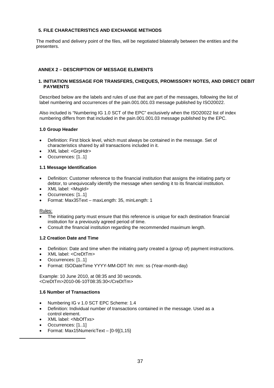## **5. FILE CHARACTERISTICS AND EXCHANGE METHODS**

The method and delivery point of the files, will be negotiated bilaterally between the entities and the presenters.

## **ANNEX 2 – DESCRIPTION OF MESSAGE ELEMENTS**

#### **1. INITIATION MESSAGE FOR TRANSFERS, CHEQUES, PROMISSORY NOTES, AND DIRECT DEBIT PAYMENTS**

Described below are the labels and rules of use that are part of the messages, following the list of label numbering and occurrences of the pain.001.001.03 message published by ISO20022.

Also included is "Numbering IG 1.0 SCT of the EPC" exclusively when the ISO20022 list of index numbering differs from that included in the pain.001.001.03 message published by the EPC.

#### **1.0 Group Header**

- Definition: First block level, which must always be contained in the message. Set of characteristics shared by all transactions included in it.
- XML label: <GrpHdr>
- Occurrences: [1..1]

#### **1.1 Message Identification**

- Definition: Customer reference to the financial institution that assigns the initiating party or debtor, to unequivocally identify the message when sending it to its financial institution.
- XML label: <MsgId>
- Occurrences: [1..1]
- Format: Max35Text maxLength: 35, minLength: 1

#### Rules:

- The initiating party must ensure that this reference is unique for each destination financial institution for a previously agreed period of time.
- Consult the financial institution regarding the recommended maximum length.

## **1.2 Creation Date and Time**

- Definition: Date and time when the initiating party created a (group of) payment instructions.
- XML label: <CreDtTm>
- Occurrences: [1..1]
- Format: ISODateTime YYYY-MM-DDT hh: mm: ss (Year-month-day)

Example: 10 June 2010, at 08:35 and 30 seconds. <CreDtTm>2010-06-10T08:35:30</CreDtTm>

#### **1.6 Number of Transactions**

- Numbering IG v 1.0 SCT EPC Scheme: 1.4
- Definition: Individual number of transactions contained in the message. Used as a control element.
- XML label: <NbOfTxs>
- Occurrences: [1..1]
- Format: Max15NumericText [0-9]{1,15}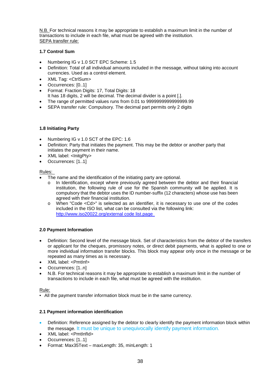N.B. For technical reasons it may be appropriate to establish a maximum limit in the number of transactions to include in each file, what must be agreed with the institution. SEPA transfer rule:

# **1.7 Control Sum**

- Numbering IG v 1.0 SCT EPC Scheme: 1.5
- Definition: Total of all individual amounts included in the message, without taking into account currencies. Used as a control element.
- XML Tag: <CtrlSum>
- Occurrences: [0..1]
- Format: Fraction Digits: 17, Total Digits: 18
- It has 18 digits, 2 will be decimal. The decimal divider is a point [.].
- The range of permitted values runs from 0.01 to 9999999999999999.99 SEPA transfer rule: Compulsory. The decimal part permits only 2 digits

#### **1.8 Initiating Party**

- Numbering IG v 1.0 SCT of the EPC: 1.6
- Definition: Party that initiates the payment. This may be the debtor or another party that initiates the payment in their name.
- XML label: <InitgPty>
- Occurrences: [1..1]

#### Rules:

- The name and the identification of the initiating party are optional.
	- o In Identification, except where previously agreed between the debtor and their financial institution, the following rule of use for the Spanish community will be applied. It is compulsory that the debtor uses the ID number-suffix (12 characters) whose use has been agreed with their financial institution.
	- o When "Code <Cd>" is selected as an identifier, it is necessary to use one of the codes included in the ISO list, what can be consulted via the following link: http://www.iso20022.org/external code list.page

# **2.0 Payment Information**

- Definition: Second level of the message block. Set of characteristics from the debtor of the transfers or applicant for the cheques, promissory notes, or direct debit payments, what is applied to one or more individual information transfer blocks. This block may appear only once in the message or be repeated as many times as is necessary.
- XML label: <PmtInf>
- Occurrences: [1..n]
- N.B. For technical reasons it may be appropriate to establish a maximum limit in the number of transactions to include in each file, what must be agreed with the institution.

#### Rule:

• All the payment transfer information block must be in the same currency.

# **2.1 Payment information identification**

- Definition: Reference assigned by the debtor to clearly identify the payment information block within the message. It must be unique to unequivocally identify payment information.
- XML label: <PmtInfId>
- Occurrences: [1..1]
- Format: Max35Text maxLength: 35, minLength: 1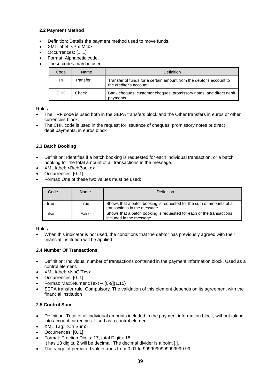# **2.2 Payment Method**

- Definition: Details the payment method used to move funds.
- XML label: <PmtMtd>
- Occurrences: [1..1]
- Format: Alphabetic code.
- These codes may be used:

| Code | Name     | Definition                                                                                     |
|------|----------|------------------------------------------------------------------------------------------------|
| TRF  | Transfer | Transfer of funds for a certain amount from the debtor's account to<br>the creditor's account. |
| CHK  | Check    | Bank cheques, customer cheques, promissory notes, and direct debit<br>payments                 |

# Rules:

- The TRF code is used both in the SEPA transfers block and the Other transfers in euros or other currencies block.
- The CHK code is used in the request for issuance of cheques, promissory notes or direct debit payments, in euros block

# **2.3 Batch Booking**

- Definition: Identifies if a batch booking is requested for each individual transaction, or a batch booking for the total amount of all transactions in the message.
- XML label: <BtchBookg>
- Occurrences: [0..1]
- Format: One of these two values must be used:

| Code  | Name  | Definition                                                                                            |
|-------|-------|-------------------------------------------------------------------------------------------------------|
| true  | True  | Shows that a batch booking is requested for the sum of amounts of all<br>transactions in the message. |
| false | False | Shows that a batch booking is requested for each of the transactions<br>included in the message.      |

# Rules:

 When this indicator is not used, the conditions that the debtor has previously agreed with their financial institution will be applied.

# **2.4 Number Of Transactions**

- Definition: Individual number of transactions contained in the payment information block. Used as a control element.
- XML label: <NbOfTxs>
- Occurrences: [0..1]
- Format: Max5NumericText [0-9]{1,15}
- SEPA transfer rule: Compulsory. The validation of this element depends on its agreement with the financial institution

# **2.5 Control Sum**

- Definition: Total of all individual amounts included in the payment information block, without taking into account currencies. Used as a control element.
- XML Tag: <CtrlSum>
- Occurrences: [0..1]
- Format: Fraction Digits: 17, total Digits: 18
	- It has 18 digits, 2 will be decimal. The decimal divider is a point [.].
- The range of permitted values runs from 0.01 to 9999999999999999.99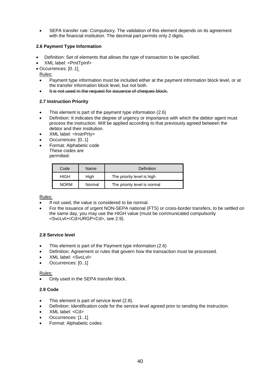SEPA transfer rule: Compulsory. The validation of this element depends on its agreement with the financial institution. The decimal part permits only 2 digits.

# **2.6 Payment Type Information**

- Definition: Set of elements that allows the type of transaction to be specified.
- XML label: <PmtTpInf>
- Occurrences: [0..1]

Rules:

- Payment type information must be included either at the payment information block level, or at the transfer information block level, but not both.
- It is not used in the request for issuance of cheques block.

# **2.7 Instruction Priority**

- This element is part of the payment type information (2.6)
- Definition: It indicates the degree of urgency or importance with which the debtor agent must process the instruction. Will be applied according to that previously agreed between the debtor and their institution.
- XML label: <InstrPrty>
- Occurrences: [0..1]
- Format: Alphabetic code These codes are permitted:

| Code        | Name   | Definition                   |
|-------------|--------|------------------------------|
| HIGH        | High   | The priority level is high   |
| <b>NORM</b> | Normal | The priority level is normal |

# Rules:

- If not used, the value is considered to be normal.
- For the issuance of urgent NON-SEPA national (FTS) or cross-border transfers, to be settled on the same day, you may use the HIGH value (must be communicated compulsorily <SvcLvl><Cd>URGP<Cd>, see 2.9).

# **2.8 Service level**

- This element is part of the Payment type information (2.6)
- Definition: Agreement or rules that govern how the transaction must be processed.
- XML label: <SvcLvl>
- Occurrences: [0..1]

# Rules:

Only used in the SEPA transfer block.

# **2.9 Code**

- This element is part of service level (2.8).
- Definition: Identification code for the service level agreed prior to sending the instruction.
- XML label: <Cd>
- Occurrences: [1..1]
- Format: Alphabetic codes: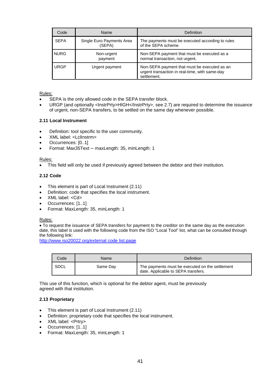| Code        | Name                                | Definition                                                                                                    |
|-------------|-------------------------------------|---------------------------------------------------------------------------------------------------------------|
| <b>SEPA</b> | Single Euro Payments Area<br>(SEPA) | The payments must be executed according to rules<br>of the SEPA scheme                                        |
| <b>NURG</b> | Non-urgent<br>payment               | Non-SEPA payment that must be executed as a<br>normal transaction, not urgent.                                |
| <b>URGP</b> | Urgent payment                      | Non-SEPA payment that must be executed as an<br>urgent transaction in real-time, with same-day<br>settlement. |

#### Rules:

- SEPA is the only allowed code in the SEPA transfer block.
- URGP (and optionally <InstrPrty>HIGH</InstrPrty>, see 2.7) are required to determine the issuance of urgent, non-SEPA transfers, to be settled on the same day whenever possible.

#### **2.11 Local Instrument**

- Definition: tool specific to the user community.
- XML label: <LclInstrm>
- Occurrences: [0..1]
- Format: Max35Text maxLength: 35, minLength: 1

#### Rules:

This field will only be used if previously agreed between the debtor and their institution.

#### **2.12 Code**

- This element is part of Local Instrument (2.11)
- Definition: code that specifies the local instrument.
- XML label: <Cd>
- Occurrences: [1..1]
- Format: MaxLength: 35, minLength: 1

#### Rules:

 To request the issuance of SEPA transfers for payment to the creditor on the same day as the execution date, this label is used with the following code from the ISO "Local Tool" list, what can be consulted through the following link:

http://www.iso20022.org/external code list.page

| Code | Name     | Definition                                                                             |
|------|----------|----------------------------------------------------------------------------------------|
| SDCL | Same Day | The payments must be executed on the settlement<br>date. Applicable to SEPA transfers. |

This use of this function, which is optional for the debtor agent, must be previously agreed with that institution.

#### **2.13 Proprietary**

- This element is part of Local Instrument (2.11)
- Definition: proprietary code that specifies the local instrument.
- XML label: <Prtry>
- Occurrences: [1..1]
- Format: MaxLength: 35, minLength: 1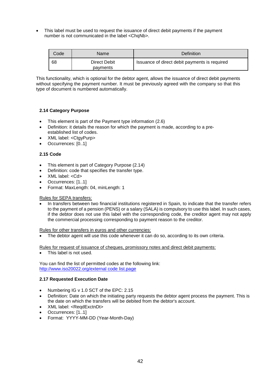This label must be used to request the issuance of direct debit payments if the payment number is not communicated in the label <ChqNb>.

| Code | <b>Name</b>              | Definition                                    |
|------|--------------------------|-----------------------------------------------|
| 68   | Direct Debit<br>payments | Issuance of direct debit payments is required |

This functionality, which is optional for the debtor agent, allows the issuance of direct debit payments without specifying the payment number. It must be previously agreed with the company so that this type of document is numbered automatically.

# **2.14 Category Purpose**

- This element is part of the Payment type information (2.6)
- Definition: it details the reason for which the payment is made, according to a preestablished list of codes.
- XML label: <CtgyPurp>
- Occurrences: [0..1]

# **2.15 Code**

- This element is part of Category Purpose (2.14)
- Definition: code that specifies the transfer type.
- XML label: <Cd>
- Occurrences: [1..1]
- Format: MaxLength: 04, minLength: 1

#### Rules for SEPA transfers:

 In transfers between two financial institutions registered in Spain, to indicate that the transfer refers to the payment of a pension (PENS) or a salary (SALA) is compulsory to use this label. In such cases, if the debtor does not use this label with the corresponding code, the creditor agent may not apply the commercial processing corresponding to payment reason to the creditor.

Rules for other transfers in euros and other currencies:

The debtor agent will use this code whenever it can do so, according to its own criteria.

Rules for request of issuance of cheques, promissory notes and direct debit payments:

This label is not used.

You can find the list of permitted codes at the following link: http://www.iso20022.org/external code list.page

#### **2.17 Requested Execution Date**

- Numbering IG v 1.0 SCT of the EPC: 2.15
- Definition: Date on which the initiating party requests the debtor agent process the payment. This is the date on which the transfers will be debited from the debtor's account.
- XML label: <ReqdExctnDt>
- Occurrences: [1..1]
- Format: YYYY-MM-DD (Year-Month-Day)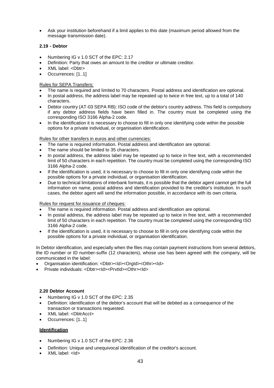Ask your institution beforehand if a limit applies to this date (maximum period allowed from the message transmission date).

# **2.19 - Debtor**

- Numbering IG v 1.0 SCT of the EPC: 2.17
- Definition: Party that owes an amount to the creditor or ultimate creditor.
- XML label: <Dbtr>
- Occurrences: [1..1]

# Rules for SEPA Transfers:

- The name is required and limited to 70 characters. Postal address and identification are optional.
- In postal address, the address label may be repeated up to twice in free text, up to a total of 140 characters.
- Debtor country (AT-03 SEPA RB): ISO code of the debtor's country address. This field is compulsory if any debtor address fields have been filled in. The country must be completed using the corresponding ISO 3166 Alpha-2 code.
- In the identification it is necessary to choose to fill in only one identifying code within the possible options for a private individual, or organisation identification.

# Rules for other transfers in euros and other currencies:

- The name is required information. Postal address and identification are optional.
- The name should be limited to 35 characters.
- In postal address, the address label may be repeated up to twice in free text, with a recommended limit of 50 characters in each repetition. The country must be completed using the corresponding ISO 3166 Alpha-2 code.
- If the identification is used, it is necessary to choose to fill in only one identifying code within the possible options for a private individual, or organisation identification.
- Due to technical limitations of interbank formats, it is possible that the debtor agent cannot get the full information on name, postal address and identification provided to the creditor's institution. In such cases, the debtor agent will send the information possible, in accordance with its own criteria.

# Rules for request for issuance of cheques:

- The name is required information. Postal address and identification are optional.
- In postal address, the address label may be repeated up to twice in free text, with a recommended limit of 50 characters in each repetition. The country must be completed using the corresponding ISO 3166 Alpha-2 code.
- If the identification is used, it is necessary to choose to fill in only one identifying code within the possible options for a private individual, or organisation identification.

In Debtor identification, and especially when the files may contain payment instructions from several debtors, the ID number or ID number-suffix (12 characters), whose use has been agreed with the company, will be communicated in the label:

- Organisation identification: <Dbtr><ld><OrgId><Othr><ld>
- Private individuals: <Dbtr><Id><PrvtId><Othr><Id>

# **2.20 Debtor Account**

- Numbering IG v 1.0 SCT of the EPC: 2.35
- Definition: identification of the debtor's account that will be debited as a consequence of the transaction or transactions requested.
- XML label: <DbtrAcct>
- Occurrences: [1..1]

# **Identification**

- Numbering IG v 1.0 SCT of the EPC: 2.36
- Definition: Unique and unequivocal identification of the creditor's account.
- XML label: <Id>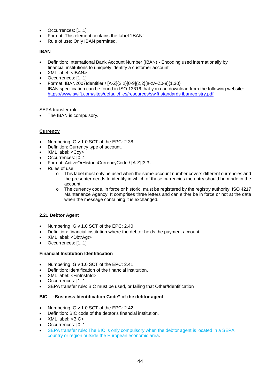- Occurrences: [1..1]
- Format: This element contains the label 'IBAN'.
- Rule of use: Only IBAN permitted.

# **IBAN**

- Definition: International Bank Account Number (IBAN) Encoding used internationally by financial institutions to uniquely identify a customer account.
- XML label: <IBAN>
- Occurrences: [1..1]
- Format: IBAN2007Identifier / [A-Z]{2.2}[0-9]{2,2}[a-zA-Z0-9]{1,30} IBAN specification can be found in ISO 13616 that you can download from the following website: https://www.swift.com/sites/default/files/resources/swift standards ibanregistry.pdf

# SEPA transfer rule:

The IBAN is compulsory.

# **Currency**

- Numbering IG v 1.0 SCT of the EPC: 2.38
- Definition: Currency type of account.
- XML label: <Ccy>
- Occurrences: [0..1]
- Format: ActiveOrHistoricCurrencyCode / [A-Z]{3,3}
- Rules of use:
	- o This label must only be used when the same account number covers different currencies and the presenter needs to identify in which of these currencies the entry should be made in the account.
	- o The currency code, in force or historic, must be registered by the registry authority, ISO 4217 Maintenance Agency. It comprises three letters and can either be in force or not at the date when the message containing it is exchanged.

# **2.21 Debtor Agent**

- Numbering IG v 1.0 SCT of the EPC: 2.40
- Definition: financial institution where the debtor holds the payment account.
- XML label: <DbtrAgt>
- Occurrences: [1..1]

# **Financial Institution Identification**

- Numbering IG v 1.0 SCT of the EPC: 2.41
- Definition: identification of the financial institution.
- XML label: <FinInstnId>
- Occurrences: [1..1]
- SEPA transfer rule: BIC must be used, or failing that Other/Identification

# **BIC – "Business Identification Code" of the debtor agent**

- Numbering IG v 1.0 SCT of the EPC: 2.42
- Definition: BIC code of the debtor's financial institution.
- XML label: <BIC>
- Occurrences: [0..1]
- SEPA transfer rule: The BIC is only compulsory when the debtor agent is located in a SEPA country or region outside the European economic area.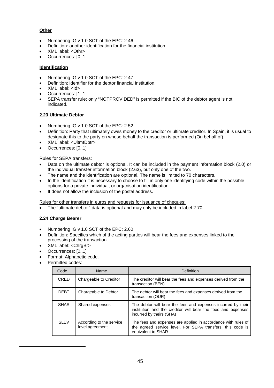# **Other**

- Numbering IG v 1.0 SCT of the EPC: 2.46
- Definition: another identification for the financial institution.
- XML label: <Othr>
- Occurrences: [0..1]

# **Identification**

- Numbering IG v 1.0 SCT of the EPC: 2.47
- Definition: identifier for the debtor financial institution.
- XML label: <Id>
- Occurrences: [1..1]
- SEPA transfer rule: only "NOTPROVIDED" is permitted if the BIC of the debtor agent is not indicated.

# **2.23 Ultimate Debtor**

- Numbering IG v 1.0 SCT of the EPC: 2.52
- Definition: Party that ultimately owes money to the creditor or ultimate creditor. In Spain, it is usual to designate this to the party on whose behalf the transaction is performed (On behalf of).
- XML label: <UltmtDbtr>
- Occurrences: [0..1]

# Rules for SEPA transfers:

- Data on the ultimate debtor is optional. It can be included in the payment information block (2.0) or the individual transfer information block (2.63), but only one of the two.
- The name and the identification are optional. The name is limited to 70 characters.
- In the identification it is necessary to choose to fill in only one identifying code within the possible options for a private individual, or organisation identification.
- It does not allow the inclusion of the postal address.

Rules for other transfers in euros and requests for issuance of cheques:

The "ultimate debtor" data is optional and may only be included in label 2.70.

# **2.24 Charge Bearer**

- Numbering IG v 1.0 SCT of the EPC: 2.60
- Definition: Specifies which of the acting parties will bear the fees and expenses linked to the processing of the transaction.
- XML label: <ChraBr>
- Occurrences: [0..1]
- Format: Alphabetic code.
- Permitted codes:

| Code        | Name                                        | Definition                                                                                                                                               |
|-------------|---------------------------------------------|----------------------------------------------------------------------------------------------------------------------------------------------------------|
| <b>CRED</b> | Chargeable to Creditor                      | The creditor will bear the fees and expenses derived from the<br>transaction (BEN)                                                                       |
| <b>DEBT</b> | Chargeable to Debtor                        | The debtor will bear the fees and expenses derived from the<br>transaction (OUR)                                                                         |
| <b>SHAR</b> | Shared expenses                             | The debtor will bear the fees and expenses incurred by their<br>institution and the creditor will bear the fees and expenses<br>incurred by theirs (SHA) |
| <b>SLEV</b> | According to the service<br>level agreement | The fees and expenses are applied in accordance with rules of<br>the agreed service level. For SEPA transfers, this code is<br>equivalent to SHAR.       |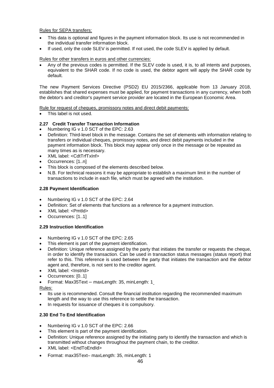#### Rules for SEPA transfers:

- This data is optional and figures in the payment information block. Its use is not recommended in the individual transfer information block.
- If used, only the code SLEV is permitted. If not used, the code SLEV is applied by default.

#### Rules for other transfers in euros and other currencies:

 Any of the previous codes is permitted. If the SLEV code is used, it is, to all intents and purposes, equivalent to the SHAR code. If no code is used, the debtor agent will apply the SHAR code by default.

The new Payment Services Directive (PSD2) EU 2015/2366, applicable from 13 January 2018, establishes that shared expenses must be applied, for payment transactions in any currency, when both the debtor's and creditor's payment service provider are located in the European Economic Area.

Rule for request of cheques, promissory notes and direct debit payments:

This label is not used.

# **2.27 Credit Transfer Transaction Information**

- Numbering IG v 1.0 SCT of the EPC: 2.63
- Definition: Third-level block in the message. Contains the set of elements with information relating to transfers or individual cheques, promissory notes, and direct debit payments included in the payment information block. This block may appear only once in the message or be repeated as many times as is necessary.
- XML label: <CdtTrfTxInf>
- Occurrences: [1..n]
- This block is composed of the elements described below.
- N.B. For technical reasons it may be appropriate to establish a maximum limit in the number of transactions to include in each file, which must be agreed with the institution.

#### **2.28 Payment Identification**

- Numbering IG v 1.0 SCT of the EPC: 2.64
- Definition: Set of elements that functions as a reference for a payment instruction.
- XML label: <PmtId>
- Occurrences: [1..1]

# **2.29 Instruction Identification**

- Numbering IG v 1.0 SCT of the EPC: 2.65
- This element is part of the payment identification.
- Definition: Unique reference assigned by the party that initiates the transfer or requests the cheque, in order to identify the transaction. Can be used in transaction status messages (status report) that refer to this. This reference is used between the party that initiates the transaction and the debtor agent and, therefore, is not sent to the creditor agent.
- XML label: <InstrId>
- Occurrences: [0..1]
- Format: Max35Text maxLength: 35, minLength: 1

Rules:

- Its use is recommended. Consult the financial institution regarding the recommended maximum length and the way to use this reference to settle the transaction.
- In requests for issuance of cheques it is compulsory.

# **2.30 End To End Identification**

- Numbering IG v 1.0 SCT of the EPC: 2.66
- This element is part of the payment identification.
- Definition: Unique reference assigned by the initiating party to identify the transaction and which is transmitted without changes throughout the payment chain, to the creditor.
- XML label: <EndToEndId>
- Format: max35Text– maxLength: 35, minLength: 1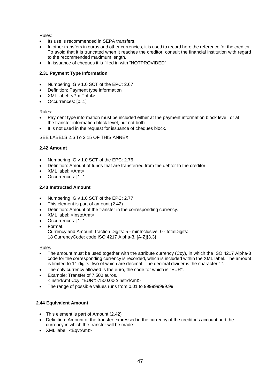# Rules:

- Its use is recommended in SEPA transfers.
- In other transfers in euros and other currencies, it is used to record here the reference for the creditor. To avoid that it is truncated when it reaches the creditor, consult the financial institution with regard to the recommended maximum length.
- In issuance of cheques it is filled in with "NOTPROVIDED"

# **2.31 Payment Type Information**

- Numbering IG v 1.0 SCT of the EPC: 2.67
- Definition: Payment type information
- XML label: <PmtTpInf>
- Occurrences: [0..1]

# Rules:

- Payment type information must be included either at the payment information block level, or at the transfer information block level, but not both.
- It is not used in the request for issuance of cheques block.

SEE LABELS 2.6 To 2.15 OF THIS ANNEX.

# **2.42 Amount**

- Numbering IG v 1.0 SCT of the EPC: 2.76
- Definition: Amount of funds that are transferred from the debtor to the creditor.
- XML label: <Amt>
- Occurrences: [1..1]

# **2.43 Instructed Amount**

- Numbering IG v 1.0 SCT of the EPC: 2.77
- This element is part of amount (2.42)
- Definition: Amount of the transfer in the corresponding currency.
- XML label: <InstdAmt>
- Occurrences: [1..1]
- Format: Currency and Amount: fraction Digits: 5 - minInclusive: 0 - totalDigits: 18 CurrencyCode: code ISO 4217 Alpha-3, [A-Z]{3.3}

# Rules

- The amount must be used together with the attribute currency (Ccy), in which the ISO 4217 Alpha-3 code for the corresponding currency is recorded, which is included within the XML label. The amount is limited to 11 digits, two of which are decimal. The decimal divider is the character ".".
- The only currency allowed is the euro, the code for which is "EUR".
- Example: Transfer of 7,500 euros. <InstrdAmt Ccy="EUR">7500.00</InstrdAmt>
- The range of possible values runs from 0.01 to 999999999.99

# **2.44 Equivalent Amount**

- This element is part of Amount (2.42)
- Definition: Amount of the transfer expressed in the currency of the creditor's account and the currency in which the transfer will be made.
- XML label: <EqvtAmt>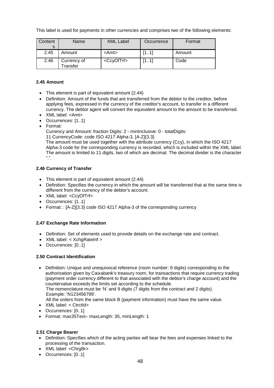This label is used for payments in other currencies and comprises two of the following elements:

| Content<br>S | Name                    | <b>XML Label</b>      | Occurrence | Format |
|--------------|-------------------------|-----------------------|------------|--------|
| 2.45         | Amount                  | <amt></amt>           | [11]       | Amount |
| 2.46         | Currency of<br>Transfer | <ccyoftrf></ccyoftrf> | (11)       | Code   |

# **2.45 Amount**

- This element is part of equivalent amount (2.44)
- Definition: Amount of the funds that are transferred from the debtor to the creditor, before applying fees, expressed in the currency of the creditor's account, to transfer in a different currency. The debtor agent will convert the equivalent amount to the amount to be transferred.
- XML label: <Amt>
- Occurrences: [1..1]
- Format:

Currency and Amount: fraction Digits: 2 - minInclusive: 0 - totalDigits:

11 CurrencyCode: code ISO 4217 Alpha-3, [A-Z]{3.3}

The amount must be used together with the attribute currency (Ccy), in which the ISO 4217 Alpha-3 code for the corresponding currency is recorded, which is included within the XML label. The amount is limited to 11 digits, two of which are decimal. The decimal divider is the character  $"$ .

# **2.46 Currency of Transfer**

- This element is part of equivalent amount (2.44)
- Definition: Specifies the currency in which the amount will be transferred that at the same time is different from the currency of the debtor's account.
- XML label: <CcyOfTrf>
- Occurrences: [1..1]
- Format: : [A-Z]{3.3} code ISO 4217 Alpha-3 of the corresponding currency

# **2.47 Exchange Rate Information**

- Definition: Set of elements used to provide details on the exchange rate and contract.
- XML label: < XchgRateInf >
- Occurrences: [0..1]

# **2.50 Contract Identification**

- Definition: Unique and unequivocal reference (room number: 9 digits) corresponding to the authorisation given by Caixabank's treasury room, for transactions that require currency trading (payment order currency different to that associated with the debtor's charge account) and the countervalue exceeds the limits set according to the schedule. The nomenclature must be 'N' and 9 digits (7 digits from the contract and 2 digits). Example: 'N123456789'.
	- All the orders from the same block B (payment information) must have the same value.
- XML label: < CtrctId>
- Occurrences: [0..1]
- Format: max35Text– maxLength: 35, minLength: 1

# **2.51 Charge Bearer**

- Definition: Specifies which of the acting parties will bear the fees and expenses linked to the processing of the transaction.
- XML label: <ChrgBr>
- Occurrences: [0..1]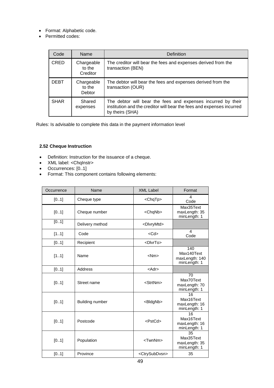- Format: Alphabetic code.
- Permitted codes:

| Code        | Name                                  | Definition                                                                                                                                               |
|-------------|---------------------------------------|----------------------------------------------------------------------------------------------------------------------------------------------------------|
| <b>CRED</b> | Chargeable<br>to the<br>Creditor      | The creditor will bear the fees and expenses derived from the<br>transaction (BEN)                                                                       |
| <b>DEBT</b> | Chargeable<br>to the<br><b>Debtor</b> | The debtor will bear the fees and expenses derived from the<br>transaction (OUR)                                                                         |
| <b>SHAR</b> | Shared<br>expenses                    | The debtor will bear the fees and expenses incurred by their<br>institution and the creditor will bear the fees and expenses incurred<br>by theirs (SHA) |

Rules: Is advisable to complete this data in the payment information level

# **2.52 Cheque Instruction**

- Definition: Instruction for the issuance of a cheque.
- XML label: <ChqInstr>
- Occurrences: [0..1]
- Format: This component contains following elements:

| Occurrence | Name            | <b>XML Label</b>            | Format                                              |
|------------|-----------------|-----------------------------|-----------------------------------------------------|
| [01]       | Cheque type     | <chqtp></chqtp>             | $\boldsymbol{\Lambda}$<br>Code                      |
| [01]       | Cheque number   | <chqnb></chqnb>             | Max35Text<br>maxLength: 35<br>minLength: 1          |
| [01]       | Delivery method | <dlvrymtd></dlvrymtd>       |                                                     |
| [11]       | Code            | $<$ Cd $>$                  | $\boldsymbol{\Lambda}$<br>Code                      |
| [01]       | Recipient       | <dlvrto></dlvrto>           |                                                     |
| [11]       | Name            | $<$ Nm $>$                  | 140<br>Max140Text<br>maxLength: 140<br>minLength: 1 |
| [01]       | Address         | $<$ Adr $>$                 |                                                     |
| [01]       | Street name     | <strtnm></strtnm>           | 70<br>Max70Text<br>maxLength: 70<br>minLength: 1    |
| [01]       | Building number | <bldgnb></bldgnb>           | 16<br>Max16Text<br>maxLength: 16<br>minLength: 1    |
| [01]       | Postcode        | $<$ PstCd $>$               | 16<br>Max16Text<br>maxLength: 16<br>minLength: 1    |
| [01]       | Population      | <twnnm></twnnm>             | 35<br>Max35Text<br>maxLength: 35<br>minLength: 1    |
| [01]       | Province        | <ctrysubdvsn></ctrysubdvsn> | 35                                                  |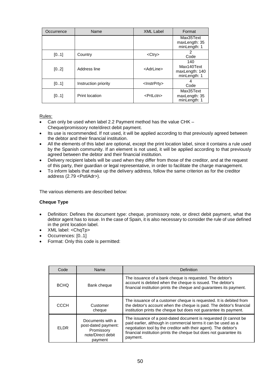| Occurrence | Name                 | <b>XML Label</b>        | Format                                              |
|------------|----------------------|-------------------------|-----------------------------------------------------|
|            |                      |                         | Max35Text<br>maxLength: 35<br>minLength: 1          |
| [01]       | Country              | <ctry></ctry>           | 2<br>Code                                           |
| [02]       | Address line         | <adrline></adrline>     | 140<br>Max140Text<br>maxLength: 140<br>minLength: 1 |
| [01]       | Instruction priority | <lnstrprty></lnstrprty> | Code                                                |
| [01]       | Print location       | <prtlctn></prtlctn>     | Max35Text<br>maxLength: 35<br>minLength: 1          |

Rules:

- Can only be used when label 2.2 Payment method has the value CHK Cheque/promissory note/direct debit payment.
- Its use is recommended. If not used, it will be applied according to that previously agreed between the debtor and their financial institution.
- All the elements of this label are optional, except the print location label, since it contains a rule used by the Spanish community. If an element is not used, it will be applied according to that previously agreed between the debtor and their financial institution.
- Delivery recipient labels will be used when they differ from those of the creditor, and at the request of this party, their guardian or legal representative, in order to facilitate the charge management.
- To inform labels that make up the delivery address, follow the same criterion as for the creditor address (2.79 <PstlAdr>).

The various elements are described below:

# **Cheque Type**

- Definition: Defines the document type: cheque, promissory note, or direct debit payment, what the debtor agent has to issue. In the case of Spain, it is also necessary to consider the rule of use defined in the print location label.
- XML label: <ChqTp>
- Occurrences: [0..1]
- Format: Only this code is permitted:

| Code        | Name                                                                                  | Definition                                                                                                                                                                                                                                                                               |
|-------------|---------------------------------------------------------------------------------------|------------------------------------------------------------------------------------------------------------------------------------------------------------------------------------------------------------------------------------------------------------------------------------------|
| <b>BCHO</b> | Bank cheque                                                                           | The issuance of a bank cheque is requested. The debtor's<br>account is debited when the cheque is issued. The debtor's<br>financial institution prints the cheque and guarantees its payment.                                                                                            |
| CCCH        | Customer<br>cheque                                                                    | The issuance of a customer cheque is requested. It is debited from<br>the debtor's account when the cheque is paid. The debtor's financial<br>institution prints the cheque but does not guarantee its payment.                                                                          |
| <b>FLDR</b> | Documents with a<br>post-dated payment:<br>Promissory<br>note/Direct debit<br>payment | The issuance of a post-dated document is requested (it cannot be<br>paid earlier, although in commercial terms it can be used as a<br>negotiation tool by the creditor with their agent). The debtor's<br>financial institution prints the cheque but does not guarantee its<br>payment. |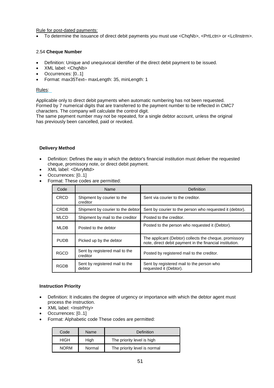Rule for post-dated payments:

To determine the issuance of direct debit payments you must use <ChqNb>, <PrtLctn> or <Lcllnstrm>.

# 2.54 **Cheque Number**

- Definition: Unique and unequivocal identifier of the direct debit payment to be issued.
- XML label: <ChqNb>
- Occurrences: [0..1]
- Format: max35Text– maxLength: 35, minLength: 1

# Rules:

Applicable only to direct debit payments when automatic numbering has not been requested. Formed by 7 numerical digits that are transferred to the payment number to be reflected in CMC7 characters. The company will calculate the control digit.

The same payment number may not be repeated, for a single debtor account, unless the original has previously been cancelled, paid or revoked.

# **Delivery Method**

- Definition: Defines the way in which the debtor's financial institution must deliver the requested cheque, promissory note, or direct debit payment.
- XML label: <DlvryMtd>
- Occurrences: [0..1]
- Format: These codes are permitted:

| Code        | Name                                       | Definition                                                                                                         |
|-------------|--------------------------------------------|--------------------------------------------------------------------------------------------------------------------|
| <b>CRCD</b> | Shipment by courier to the<br>creditor     | Sent via courier to the creditor.                                                                                  |
| <b>CRDB</b> | Shipment by courier to the debtor          | Sent by courier to the person who requested it (debtor).                                                           |
| <b>MLCD</b> | Shipment by mail to the creditor           | Posted to the creditor.                                                                                            |
| ML DB.      | Posted to the debtor                       | Posted to the person who requested it (Debtor).                                                                    |
| <b>PUDB</b> | Picked up by the debtor                    | The applicant (Debtor) collects the cheque, promissory<br>note, direct debit payment in the financial institution. |
| <b>RGCD</b> | Sent by registered mail to the<br>creditor | Posted by registered mail to the creditor.                                                                         |
| RGDB        | Sent by registered mail to the<br>debtor   | Sent by registered mail to the person who<br>requested it (Debtor).                                                |

# **Instruction Priority**

- Definition: It indicates the degree of urgency or importance with which the debtor agent must process the instruction.
- XML label: <InstrPrty>
- Occurrences: [0..1]
- Format: Alphabetic code These codes are permitted:

| Code        | Name   | Definition                   |
|-------------|--------|------------------------------|
| <b>HIGH</b> | High   | The priority level is high   |
| <b>NORM</b> | Normal | The priority level is normal |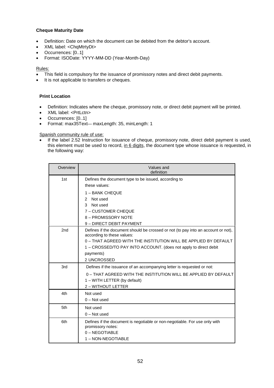# **Cheque Maturity Date**

- Definition: Date on which the document can be debited from the debtor's account.
- XML label: <ChqMtrtyDt>
- Occurrences: [0..1]
- Format: ISODate: YYYY-MM-DD (Year-Month-Day)

# Rules:

- This field is compulsory for the issuance of promissory notes and direct debit payments.
- It is not applicable to transfers or cheques.

# **Print Location**

- Definition: Indicates where the cheque, promissory note, or direct debit payment will be printed.
- XML label: <PrtLctn>
- Occurrences: [0..1]
- Format: max35Text— maxLength: 35, minLength: 1

Spanish community rule of use:

 If the label 2.52 Instruction for issuance of cheque, promissory note, direct debit payment is used, this element must be used to record, in 6 digits, the document type whose issuance is requested, in the following way:

| Overview | Values and<br>definition                                                                                                                                                                                                                                                           |
|----------|------------------------------------------------------------------------------------------------------------------------------------------------------------------------------------------------------------------------------------------------------------------------------------|
| 1st      | Defines the document type to be issued, according to<br>these values:                                                                                                                                                                                                              |
|          | 1 - BANK CHEQUE<br>Not used<br>2<br>Not used<br>3<br>7 - CUSTOMER CHEQUE<br>8 - PROMISSORY NOTE<br>9 - DIRECT DEBIT PAYMENT                                                                                                                                                        |
| 2nd      | Defines if the document should be crossed or not (to pay into an account or not),<br>according to these values:<br>0 - THAT AGREED WITH THE INSTITUTION WILL BE APPLIED BY DEFAULT<br>1 – CROSSED/TO PAY INTO ACCOUNT. (does not apply to direct debit<br>payments)<br>2 UNCROSSED |
| 3rd      | Defines if the issuance of an accompanying letter is requested or not:<br>0 - THAT AGREED WITH THE INSTITUTION WILL BE APPLIED BY DEFAULT<br>1 - WITH LETTER (by default)<br>2 - WITHOUT LETTER                                                                                    |
| 4th      | Not used<br>$0 - Not used$                                                                                                                                                                                                                                                         |
| 5th      | Not used<br>$0 - Not used$                                                                                                                                                                                                                                                         |
| 6th      | Defines if the document is negotiable or non-negotiable. For use only with<br>promissory notes:<br>0 - NEGOTIABLE<br>1 - NON-NEGOTIABLE                                                                                                                                            |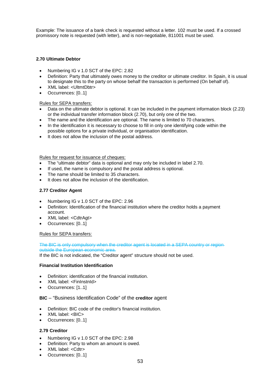Example: The issuance of a bank check is requested without a letter. 102 must be used. If a crossed promissory note is requested (with letter), and is non-negotiable, 811001 must be used.

# **2.70 Ultimate Debtor**

- Numbering IG v 1.0 SCT of the EPC: 2.82
- Definition: Party that ultimately owes money to the creditor or ultimate creditor. In Spain, it is usual to designate this to the party on whose behalf the transaction is performed (On behalf of).
- XML label: <UltmtDbtr>
- Occurrences: [0..1]

# Rules for SEPA transfers:

- Data on the ultimate debtor is optional. It can be included in the payment information block (2.23) or the individual transfer information block (2.70), but only one of the two.
- The name and the identification are optional. The name is limited to 70 characters.
- In the identification it is necessary to choose to fill in only one identifying code within the possible options for a private individual, or organisation identification.
- It does not allow the inclusion of the postal address.

#### Rules for request for issuance of cheques:

- The "ultimate debtor" data is optional and may only be included in label 2.70.
- If used, the name is compulsory and the postal address is optional.
- The name should be limited to 35 characters.
- It does not allow the inclusion of the identification.

# **2.77 Creditor Agent**

- Numbering IG v 1.0 SCT of the EPC: 2.96
- Definition: Identification of the financial institution where the creditor holds a payment account.
- XML label: <CdtrAgt>
- Occurrences: [0..1]

# Rules for SEPA transfers:

The BIC is only compulsory when the creditor agent is located in a SEPA country or region outside the European economic area.

If the BIC is not indicated, the "Creditor agent" structure should not be used.

# **Financial Institution Identification**

- Definition: identification of the financial institution.
- XML label: <FinInstnId>
- Occurrences: [1..1]

# **BIC** – "Business Identification Code" of the **creditor** agent

- Definition: BIC code of the creditor's financial institution.
- XML label: <BIC>
- Occurrences: [0..1]

# **2.79 Creditor**

- Numbering IG v 1.0 SCT of the EPC: 2.98
- Definition: Party to whom an amount is owed.
- XML label: <Cdtr>
- Occurrences: [0..1]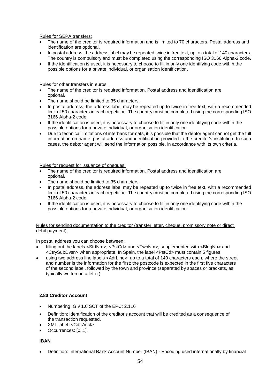Rules for SEPA transfers:

- The name of the creditor is required information and is limited to 70 characters. Postal address and identification are optional.
- In postal address, the address label may be repeated twice in free text, up to a total of 140 characters. The country is compulsory and must be completed using the corresponding ISO 3166 Alpha-2 code.
- If the identification is used, it is necessary to choose to fill in only one identifying code within the possible options for a private individual, or organisation identification.

Rules for other transfers in euros:

- The name of the creditor is required information. Postal address and identification are optional.
- The name should be limited to 35 characters.
- In postal address, the address label may be repeated up to twice in free text, with a recommended limit of 50 characters in each repetition. The country must be completed using the corresponding ISO 3166 Alpha-2 code.
- If the identification is used, it is necessary to choose to fill in only one identifying code within the possible options for a private individual, or organisation identification.
- Due to technical limitations of interbank formats, it is possible that the debtor agent cannot get the full information on name, postal address and identification provided to the creditor's institution. In such cases, the debtor agent will send the information possible, in accordance with its own criteria.

Rules for request for issuance of cheques:

- The name of the creditor is required information. Postal address and identification are optional.
- The name should be limited to 35 characters.
- In postal address, the address label may be repeated up to twice in free text, with a recommended limit of 50 characters in each repetition. The country must be completed using the corresponding ISO 3166 Alpha-2 code.
- If the identification is used, it is necessary to choose to fill in only one identifying code within the possible options for a private individual, or organisation identification.

#### Rules for sending documentation to the creditor (transfer letter, cheque, promissory note or direct debit payment)

In postal address you can choose between:

- filling out the labels <StrtNm>, <PstCd> and <TwnNm>, supplemented with <BldgNb> and <CtrySubDvsn> when appropriate. In Spain, the label <PstCd> must contain 5 figures.
- using two address line labels <AdrLine>, up to a total of 140 characters each, where the street and number is the information for the first; the postcode is expected in the first five characters of the second label, followed by the town and province (separated by spaces or brackets, as typically written on a letter).

# **2.80 Creditor Account**

- Numbering IG v 1.0 SCT of the EPC: 2.116
- Definition: identification of the creditor's account that will be credited as a consequence of the transaction requested.
- XML label: <CdtrAcct>
- Occurrences: [0..1].

#### **IBAN**

Definition: International Bank Account Number (IBAN) - Encoding used internationally by financial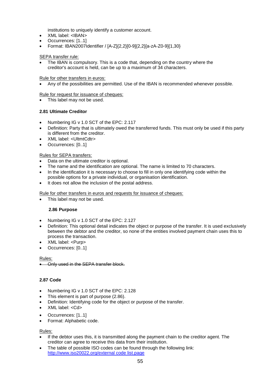institutions to uniquely identify a customer account.

- XML label: <IBAN>
- Occurrences: [1..1]
- Format: IBAN2007Identifier / [A-Z]{2,2}[0-9]{2,2}[a-zA-Z0-9]{1,30}

# SEPA transfer rule:

 The IBAN is compulsory. This is a code that, depending on the country where the creditor's account is held, can be up to a maximum of 34 characters.

Rule for other transfers in euros:

Any of the possibilities are permitted. Use of the IBAN is recommended whenever possible.

Rule for request for issuance of cheques:

This label may not be used.

# **2.81 Ultimate Creditor**

- Numbering IG v 1.0 SCT of the EPC: 2.117
- Definition: Party that is ultimately owed the transferred funds. This must only be used if this party is different from the creditor.
- XML label: <UltmtCdtr>
- Occurrences: [0..1]

# Rules for SEPA transfers:

- Data on the ultimate creditor is optional.
- The name and the identification are optional. The name is limited to 70 characters.
- In the identification it is necessary to choose to fill in only one identifying code within the possible options for a private individual, or organisation identification.
- It does not allow the inclusion of the postal address.

Rule for other transfers in euros and requests for issuance of cheques:

This label may not be used.

# **2.86 Purpose**

- Numbering IG v 1.0 SCT of the EPC: 2.127
- Definition: This optional detail indicates the object or purpose of the transfer. It is used exclusively between the debtor and the creditor, so none of the entities involved payment chain uses this to process the transaction.
- XML label: <Purp>
- Occurrences: [0..1]

Rules:

Only used in the SEPA transfer block.

# **2.87 Code**

- Numbering IG v 1.0 SCT of the EPC: 2.128
- This element is part of purpose (2.86).
- Definition: Identifying code for the object or purpose of the transfer.
- XML label: <Cd>
- Occurrences: [1..1]
- Format: Alphabetic code.

Rules:

- If the debtor uses this, it is transmitted along the payment chain to the creditor agent. The creditor can agree to receive this data from their institution.
- The table of possible ISO codes can be found through the following link: http://www.iso20022.org/external code list.page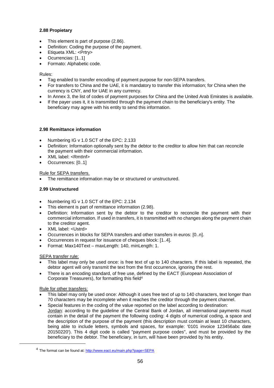# **2.88 Propietary**

- This element is part of purpose (2.86).
- Definition: Coding the purpose of the payment.
- Etiqueta XML: <Prtry>
- Ocurrencias: [1..1]
- Formato: Alphabetic code.

#### Rules:

- Tag enabled to transfer encoding of payment purpose for non-SEPA transfers.
- For transfers to China and the UAE, it is mandatory to transfer this information; for China when the currency is CNY, and for UAE in any currency.
- In Annex 3, the list of codes of payment purposes for China and the United Arab Emirates is available.
- If the payer uses it, it is transmitted through the payment chain to the beneficiary's entity. The beneficiary may agree with his entity to send this information.

# **2.98 Remittance information**

- Numbering IG v 1.0 SCT of the EPC: 2.133
- Definition: Information optionally sent by the debtor to the creditor to allow him that can reconcile the payment with their commercial information.
- XML label: <RmtInf>
- Occurrences: [0..1]

#### Rule for SEPA transfers.

The remittance information may be or structured or unstructured.

# **2.99 Unstructured**

- Numbering IG v 1.0 SCT of the EPC: 2.134
- This element is part of remittance information (2.98).
- Definition: Information sent by the debtor to the creditor to reconcile the payment with their commercial information. If used in transfers, it is transmitted with no changes along the payment chain to the creditor agent.
- XML label: <Ustrd>
- Occurrences in blocks for SEPA transfers and other transfers in euros: [0..n].
- Occurrences in request for issuance of cheques block: [1..4].
- Format: Max140Text maxLength: 140, minLength: 1.

# SEPA transfer rule:

- This label may only be used once: is free text of up to 140 characters. If this label is repeated, the debtor agent will only transmit the text from the first occurrence, ignoring the rest.
- There is an encoding standard, of free use, defined by the EACT (European Association of Corporate Treasurers), for formatting this field<sup>4</sup>

#### Rule for other transfers:

- This label may only be used once: Although it uses free text of up to 140 characters, text longer than 70 characters may be incomplete when it reaches the creditor through the payment channel.
- Special features in the coding of the value reported on the label according to destination: Jordan: according to the guideline of the Central Bank of Jordan, all international payments must contain in the detail of the payment the following coding: 4 digits of numerical coding, a space and the description of the purpose of the payment (this description must contain at least 10 characters, being able to include letters, symbols and spaces, for example: '0101 invoice 123456abc date 20150220'). This 4 digit code is called "payment purpose codes", and must be provided by the beneficiary to the debtor. The beneficiary, in turn, will have been provided by his entity.

<sup>&</sup>lt;sup>4</sup> The format can be found at: http://www.eact.eu/main.php?page=SEPA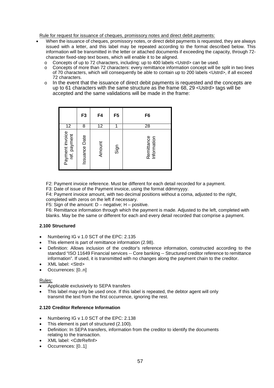Rule for request for issuance of cheques, promissory notes and direct debit payments:

- When the issuance of cheques, promissory notes, or direct debit payments is requested, they are always issued with a letter, and this label may be repeated according to the format described below. This information will be transmitted in the letter or attached documents if exceeding the capacity, through 72 character fixed-step text boxes, which will enable it to be aligned.
	- o Concepts of up to 72 characters, including: up to 400 labels <Ustrd> can be used.
	- o Concepts of more than 72 characters: every remittance information concept will be split in two lines of 70 characters, which will consequently be able to contain up to 200 labels <Ustrd>, if all exceed 72 characters.
	- $\circ$  In the event that the issuance of direct debit payments is requested and the concepts are up to 61 characters with the same structure as the frame 68, 29 <Ustrd> tags will be accepted and the same validations will be made in the frame:

|                                 | F3                   | F4     | F5   | F6                        |
|---------------------------------|----------------------|--------|------|---------------------------|
| 12                              | 8                    | 12     | 1    | 28                        |
| Payment invoice<br>ref. payment | <b>Issuance Date</b> | Amount | Sign | Remittance<br>Information |

F2: Payment invoice reference. Must be different for each detail recorded for a payment.

F3: Date of issue of the Payment invoice, using the format ddmmyyyy.

F4: Payment invoice amount, with two decimal positions without a coma, adjusted to the right, completed with zeros on the left if necessary.

F5: Sign of the amount:  $D$  – negative:  $H$  – positive.

F6: Remittance information through which the payment is made. Adjusted to the left, completed with blanks. May be the same or different for each and every detail recorded that comprise a payment.

# **2.100 Structured**

- Numbering IG v 1.0 SCT of the EPC: 2.135
- This element is part of remittance information (2.98).
- Definition: Allows inclusion of the creditor's reference information, constructed according to the standard "ISO 11649 Financial services -- Core banking -- Structured creditor reference to remittance information". If used, it is transmitted with no changes along the payment chain to the creditor.
- XML label: <Strd>
- Occurrences: [0..n]

# Rules:

- Applicable exclusively to SEPA transfers
- This label may only be used once. If this label is repeated, the debtor agent will only transmit the text from the first occurrence, ignoring the rest.

# **2.120 Creditor Reference Information**

- Numbering IG v 1.0 SCT of the EPC: 2.138
- This element is part of structured (2.100).
- Definition: In SEPA transfers, information from the creditor to identify the documents relating to the transaction.
- XML label: <CdtrRefInf>
- Occurrences: [0..1]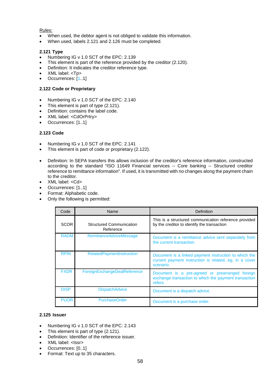# Rules:

- When used, the debtor agent is not obliged to validate this information.
- When used, labels 2.121 and 2.126 must be completed.

# **2.121 Type**

- Numbering IG v 1.0 SCT of the EPC: 2.139
- This element is part of the reference provided by the creditor (2.120).
- Definition: It indicates the creditor reference type.
- XML label: <Tp>
- Occurrences: [1..1]

# **2.122 Code or Proprietary**

- Numbering IG v 1.0 SCT of the EPC: 2.140
- This element is part of type (2.121).
- Definition: contains the label code.
- XML label: < CdOrPrtry>
- Occurrences: [1..1]

# **2.123 Code**

- Numbering IG v 1.0 SCT of the EPC: 2.141
- This element is part of code or proprietary (2.122).
- Definition: In SEPA transfers this allows inclusion of the creditor's reference information, constructed according to the standard "ISO 11649 Financial services -- Core banking -- Structured creditor reference to remittance information". If used, it is transmitted with no changes along the payment chain to the creditor.
- XML label: <Cd>
- Occurrences: [1..1]
- Format: Alphabetic code.
- Only the following is permitted:

| Code        | Name                                         | Definition                                                                                                                   |
|-------------|----------------------------------------------|------------------------------------------------------------------------------------------------------------------------------|
| <b>SCOR</b> | <b>Structured Communication</b><br>Reference | This is a structured communication reference provided<br>by the creditor to identify the transaction                         |
| <b>RADM</b> | <b>RemittanceAdviceMessage</b>               | Document is a remittance advice sent separately from<br>the current transaction.                                             |
| <b>RPIN</b> | <b>RelatedPaymentInstruction</b>             | Document is a linked payment instruction to which the<br>current payment instruction is related, eg, in a cover<br>scenario. |
| <b>FXDR</b> | ForeignExchangeDealReference                 | Document is a pre-agreed or prearranged foreign<br>exchange transaction to which the payment transaction<br>refers.          |
| <b>DISP</b> | <b>DispatchAdvice</b>                        | Document is a dispatch advice.                                                                                               |
| <b>PUOR</b> | <b>PurchaseOrder</b>                         | Document is a purchase order.                                                                                                |

# **2.125 Issuer**

- Numbering IG v 1.0 SCT of the EPC: 2.143
- This element is part of type (2.121).
- Definition: Identifier of the reference issuer.
- XML label: <Issr>
- Occurrences: [0..1]
- Format: Text up to 35 characters.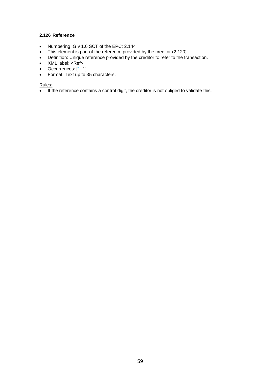# **2.126 Reference**

- Numbering IG v 1.0 SCT of the EPC: 2.144
- This element is part of the reference provided by the creditor (2.120).
- Definition: Unique reference provided by the creditor to refer to the transaction.
- XML label: <Ref>
- Occurrences: [1..1]
- Format: Text up to 35 characters.

# Rules:

If the reference contains a control digit, the creditor is not obliged to validate this.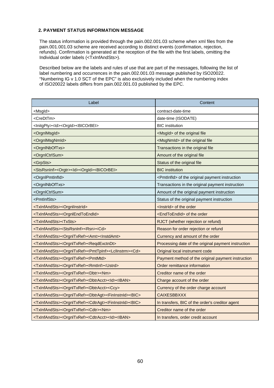# **2. PAYMENT STATUS INFORMATION MESSAGE**

The status information is provided through the pain.002.001.03 scheme when xml files from the pain.001.001.03 scheme are received according to distinct events (confirmation, rejection, refunds). Confirmation is generated at the reception of the file with the first labels, omitting the Individual order labels (<TxInfAndSts>).

Described below are the labels and rules of use that are part of the messages, following the list of label numbering and occurrences in the pain.002.001.03 message published by ISO20022. "Numbering IG v 1.0 SCT of the EPC" is also exclusively included when the numbering index of ISO20022 labels differs from pain.002.001.03 published by the EPC.

| Label                                                                                                       | Content                                                   |
|-------------------------------------------------------------------------------------------------------------|-----------------------------------------------------------|
| <msgld></msgld>                                                                                             | contract-date-time                                        |
| <credttm></credttm>                                                                                         | date-time (ISODATE)                                       |
| <lnitgpty><ld><orgld><bicorbei></bicorbei></orgld></ld></lnitgpty>                                          | <b>BIC</b> institution                                    |
| <orgnlmsgld></orgnlmsgld>                                                                                   | <msgld> of the original file</msgld>                      |
| <orgnlmsgnmld></orgnlmsgnmld>                                                                               | <msgnmid> of the original file</msgnmid>                  |
| <orgnlnboftxs></orgnlnboftxs>                                                                               | Transactions in the original file                         |
| <orgnlctrlsum></orgnlctrlsum>                                                                               | Amount of the original file                               |
| <grpsts></grpsts>                                                                                           | Status of the original file                               |
| <stsrsninf><orgtr><ld><orgid><bicorbei></bicorbei></orgid></ld></orgtr></stsrsninf>                         | <b>BIC</b> institution                                    |
| <orgnlpmtinfld></orgnlpmtinfld>                                                                             | <pmtinfld> of the original payment instruction</pmtinfld> |
| <orgnlnboftxs></orgnlnboftxs>                                                                               | Transactions in the original payment instruction          |
| <orgnlctrlsum></orgnlctrlsum>                                                                               | Amount of the original payment instruction                |
| <pmtinfsts></pmtinfsts>                                                                                     | Status of the original payment instruction                |
| <txinfandsts><orgnlinstrid></orgnlinstrid></txinfandsts>                                                    | <lnstrld> of the order</lnstrld>                          |
| <txinfandsts><orgnlendtoendid></orgnlendtoendid></txinfandsts>                                              | <endtoendid> of the order</endtoendid>                    |
| <txinfandsts><txsts></txsts></txinfandsts>                                                                  | RJCT (whether rejection or refund)                        |
| <txinfandsts><stsrsninf><rsn><cd></cd></rsn></stsrsninf></txinfandsts>                                      | Reason for order rejection or refund                      |
| <txinfandsts><orgnltxref><amt><instdamt></instdamt></amt></orgnltxref></txinfandsts>                        | Currency and amount of the order                          |
| <txinfandsts><orgnltxref><reqdexctndt></reqdexctndt></orgnltxref></txinfandsts>                             | Processing date of the original payment instruction       |
| <txinfandsts><orgnitxref><pmttpinf><lciinstrm><cd></cd></lciinstrm></pmttpinf></orgnitxref></txinfandsts>   | Original local instrument code                            |
| <txinfandsts><orgnltxref><pmtmtd></pmtmtd></orgnltxref></txinfandsts>                                       | Payment method of the original payment instruction        |
| <txinfandsts><orgnltxref><rmtinf><ustrd></ustrd></rmtinf></orgnltxref></txinfandsts>                        | Order remittance information                              |
| <txinfandsts><orgnltxref><dbtr><nm></nm></dbtr></orgnltxref></txinfandsts>                                  | Creditor name of the order                                |
| <txinfandsts><orgnltxref><dbtracct><ld><lban></lban></ld></dbtracct></orgnltxref></txinfandsts>             | Charge account of the order                               |
| <txinfandsts><orgnltxref><dbtracct><ccy></ccy></dbtracct></orgnltxref></txinfandsts>                        | Currency of the order charge account                      |
| <txinfandsts><orgnltxref><dbtragt><fininstnid><bic></bic></fininstnid></dbtragt></orgnltxref></txinfandsts> | <b>CAIXESBBXXX</b>                                        |
| <txinfandsts><orgnltxref><cdtragt><fininstnid><bic></bic></fininstnid></cdtragt></orgnltxref></txinfandsts> | In transfers, BIC of the order's creditor agent           |
| <txinfandsts><orgnltxref><cdtr><nm></nm></cdtr></orgnltxref></txinfandsts>                                  | Creditor name of the order                                |
| <txinfandsts><orgnltxref><cdtracct><id><iban></iban></id></cdtracct></orgnltxref></txinfandsts>             | In transfers, order credit account                        |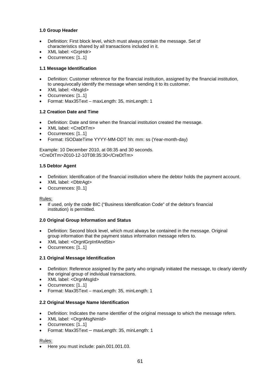# **1.0 Group Header**

- Definition: First block level, which must always contain the message. Set of characteristics shared by all transactions included in it.
- XML label: <GrpHdr>
- Occurrences: [1..1]

# **1.1 Message Identification**

- Definition: Customer reference for the financial institution, assigned by the financial institution, to unequivocally identify the message when sending it to its customer.
- XML label: <MsgId>
- Occurrences: [1..1]
- Format: Max35Text maxLength: 35, minLength: 1

# **1.2 Creation Date and Time**

- Definition: Date and time when the financial institution created the message.
- XML label: <CreDtTm>
- Occurrences: [1..1]
- Format: ISODateTime YYYY-MM-DDT hh: mm: ss (Year-month-day)

Example: 10 December 2010, at 08:35 and 30 seconds. <CreDtTm>2010-12-10T08:35:30</CreDtTm>

# **1.5 Debtor Agent**

- Definition: Identification of the financial institution where the debtor holds the payment account.
- XML label: <DbtrAgt>
- Occurrences: [0..1]

# Rules:

 If used, only the code BIC ("Business Identification Code" of the debtor's financial institution) is permitted.

# **2.0 Original Group Information and Status**

- Definition: Second block level, which must always be contained in the message. Original group information that the payment status information message refers to.
- XML label: <OrgnlGrpInfAndSts>
- Occurrences: [1..1]

# **2.1 Original Message Identification**

- Definition: Reference assigned by the party who originally initiated the message, to clearly identify the original group of individual transactions.
- XML label: <OrgnMsgId>
- Occurrences: [1..1]
- Format: Max35Text maxLength: 35, minLength: 1

# **2.2 Original Message Name Identification**

- Definition: Indicates the name identifier of the original message to which the message refers.
- XML label: < OrgnMsgNmId>
- Occurrences: [1..1]
- Format: Max35Text maxLength: 35, minLength: 1

# Rules:

Here you must include: pain.001.001.03.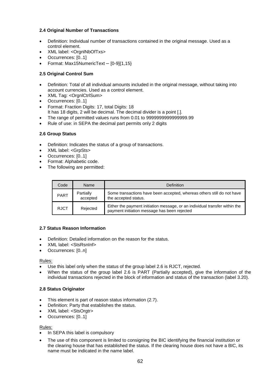# **2.4 Original Number of Transactions**

- Definition: Individual number of transactions contained in the original message. Used as a control element.
- XML label: <OrgnlNbOfTxs>
- Occurrences: [0..1]
- Format: Max15NumericText [0-9]{1,15}

# **2.5 Original Control Sum**

- Definition: Total of all individual amounts included in the original message, without taking into account currencies. Used as a control element.
- XML Tag: <OrgnlCtrlSum>
- Occurrences: [0..1]
- Format: Fraction Digits: 17, total Digits: 18
- It has 18 digits, 2 will be decimal. The decimal divider is a point [.].
- The range of permitted values runs from 0.01 to 9999999999999999.99
- Rule of use: in SEPA the decimal part permits only 2 digits

# **2.6 Group Status**

- Definition: Indicates the status of a group of transactions.
- XML label: <GrpSts>
- Occurrences: [0..1]
- Format: Alphabetic code.
- The following are permitted:

| Code        | Name                  | <b>Definition</b>                                                                                                           |
|-------------|-----------------------|-----------------------------------------------------------------------------------------------------------------------------|
| <b>PART</b> | Partially<br>accepted | Some transactions have been accepted, whereas others still do not have<br>the accepted status.                              |
| <b>RJCT</b> | Rejected              | Either the payment initiation message, or an individual transfer within the<br>payment initiation message has been rejected |

# **2.7 Status Reason Information**

- Definition: Detailed information on the reason for the status.
- XML label: <StsRsnInf>
- Occurrences: [0..n]

#### Rules:

- Use this label only when the status of the group label 2.6 is RJCT, rejected.
- When the status of the group label 2.6 is PART (Partially accepted), give the information of the individual transactions rejected in the block of information and status of the transaction (label 3.20).

# **2.8 Status Originator**

- This element is part of reason status information (2.7).
- Definition: Party that establishes the status.
- XML label: <StsOrgtr>
- Occurrences: [0..1]

# Rules:

- In SEPA this label is compulsory
- The use of this component is limited to consigning the BIC identifying the financial institution or the clearing house that has established the status. If the clearing house does not have a BIC, its name must be indicated in the name label.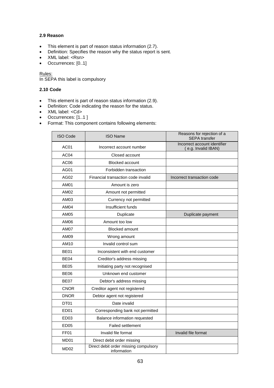# **2.9 Reason**

- This element is part of reason status information (2.7).
- Definition: Specifies the reason why the status report is sent.
- XML label: <Rsn>
- Occurrences: [0..1]

Rules:

In SEPA this label is compulsory

# **2.10 Code**

- This element is part of reason status information (2.9).
- Definition: Code indicating the reason for the status.
- XML label: <Cd>
- Occurrences: [1..1 ]
- Format: This component contains following elements:

| <b>ISO Code</b>  | <b>ISO Name</b>                                      | Reasons for rejection of a<br><b>SEPA</b> transfer  |
|------------------|------------------------------------------------------|-----------------------------------------------------|
| AC01             | Incorrect account number                             | Incorrect account identifier<br>(e.g. Invalid IBAN) |
| AC <sub>04</sub> | Closed account                                       |                                                     |
| AC <sub>06</sub> | <b>Blocked account</b>                               |                                                     |
| AG01             | Forbidden transaction                                |                                                     |
| AG02             | Financial transaction code invalid                   | Incorrect transaction code                          |
| AM01             | Amount is zero                                       |                                                     |
| AM02             | Amount not permitted                                 |                                                     |
| AM03             | Currency not permitted                               |                                                     |
| <b>AM04</b>      | Insufficient funds                                   |                                                     |
| <b>AM05</b>      | Duplicate                                            | Duplicate payment                                   |
| AM06             | Amount too low                                       |                                                     |
| AM07             | <b>Blocked amount</b>                                |                                                     |
| AM09             | Wrong amount                                         |                                                     |
| AM10             | Invalid control sum                                  |                                                     |
| <b>BE01</b>      | Inconsistent with end customer                       |                                                     |
| <b>BE04</b>      | Creditor's address missing                           |                                                     |
| <b>BE05</b>      | Initiating party not recognised                      |                                                     |
| <b>BE06</b>      | Unknown end customer                                 |                                                     |
| <b>BE07</b>      | Debtor's address missing                             |                                                     |
| <b>CNOR</b>      | Creditor agent not registered                        |                                                     |
| <b>DNOR</b>      | Debtor agent not registered                          |                                                     |
| DT01             | Date invalid                                         |                                                     |
| ED <sub>01</sub> | Corresponding bank not permitted                     |                                                     |
| ED <sub>03</sub> | Balance information requested                        |                                                     |
| ED05             | <b>Failed settlement</b>                             |                                                     |
| FF01             | Invalid file format                                  | Invalid file format                                 |
| MD01             | Direct debit order missing                           |                                                     |
| MD <sub>02</sub> | Direct debit order missing compulsory<br>information |                                                     |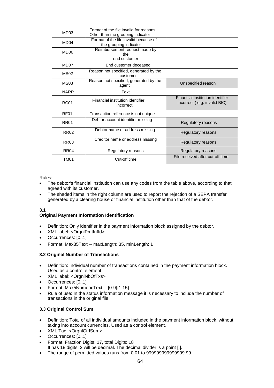| MD <sub>03</sub> | Format of the file invalid for reasons<br>Other than the grouping indicator |                                                                  |
|------------------|-----------------------------------------------------------------------------|------------------------------------------------------------------|
| MD <sub>04</sub> | Format of the file invalid because of<br>the grouping indicator             |                                                                  |
| MD <sub>06</sub> | Reimbursement request made by<br>the<br>end customer                        |                                                                  |
| MD07             | End customer deceased                                                       |                                                                  |
| <b>MS02</b>      | Reason not specified, generated by the<br>customer                          |                                                                  |
| MS <sub>03</sub> | Reason not specified, generated by the<br>agent                             | Unspecified reason                                               |
| <b>NARR</b>      | Text                                                                        |                                                                  |
| <b>RC01</b>      | Financial institution identifier<br>incorrect                               | Financial institution identifier<br>incorrect (e.g. invalid BIC) |
| RF <sub>01</sub> | Transaction reference is not unique                                         |                                                                  |
| <b>RR01</b>      | Debtor account identifier missing                                           | Regulatory reasons                                               |
| <b>RR02</b>      | Debtor name or address missing                                              | Regulatory reasons                                               |
| <b>RR03</b>      | Creditor name or address missing                                            | Regulatory reasons                                               |
| <b>RR04</b>      | Regulatory reasons                                                          | Regulatory reasons                                               |
| TM <sub>01</sub> | Cut-off time                                                                | File received after cut-off time                                 |

Rules:

- The debtor's financial institution can use any codes from the table above, according to that agreed with its customer.
- The shaded items in the right column are used to report the rejection of a SEPA transfer generated by a clearing house or financial institution other than that of the debtor.

# **3.1**

# **Original Payment Information Identification**

- Definition: Only identifier in the payment information block assigned by the debtor.
- XML label: <OrgnlPmtInfId>
- Occurrences: [0..1]
- Format: Max35Text maxLength: 35, minLength: 1

# **3.2 Original Number of Transactions**

- Definition: Individual number of transactions contained in the payment information block. Used as a control element.
- XML label: <OrgnlNbOfTxs>
- Occurrences: [0..1]
- Format: Max5NumericText [0-9]{1,15}
- Rule of use: In the status information message it is necessary to include the number of transactions in the original file

# **3.3 Original Control Sum**

- Definition: Total of all individual amounts included in the payment information block, without taking into account currencies. Used as a control element.
- XML Tag: <OrgnlCtrlSum>
- Occurrences: [0..1]
- Format: Fraction Digits: 17, total Digits: 18 It has 18 digits, 2 will be decimal. The decimal divider is a point [.].
- The range of permitted values runs from 0.01 to 999999999999999.99.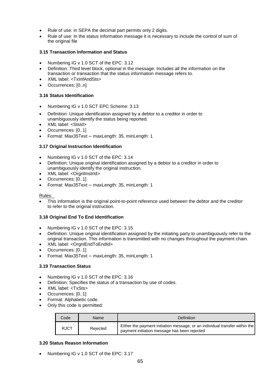- Rule of use: in SEPA the decimal part permits only 2 digits.
- Rule of use: In the status information message it is necessary to include the control of sum of the original file

# **3.15 Transaction Information and Status**

- Numbering IG v 1.0 SCT of the EPC: 3.12
- Definition: Third level block, optional in the message. Includes all the information on the transaction or transaction that the status information message refers to.
- XML label: <TxInfAndSts>
- Occurrences: [0..n]

# **3.16 Status Identification**

- Numbering IG v 1.0 SCT EPC Scheme: 3.13
- Definition: Unique identification assigned by a debtor to a creditor in order to unambiguously identify the status being reported.
- XML label: <StsId>
- Occurrences: [0..1]
- Format: Max35Text maxLength: 35, minLength: 1

# **3.17 Original Instruction Identification**

- Numbering IG v 1.0 SCT of the EPC: 3.14
- Definition: Unique original identification assigned by a debtor to a creditor in order to unambiguously identify the original instruction.
- XML label: <OrgnlInstrId>
- Occurrences: [0..1]
- Format: Max35Text maxLength: 35, minLength: 1

#### Rules:

 This information is the original point-to-point reference used between the debtor and the creditor to refer to the original instruction.

# **3.18 Original End To End Identification**

- Numbering IG v 1.0 SCT of the EPC: 3.15
- Definition: Unique original identification assigned by the initiating party to unambiguously refer to the original transaction. This information is transmitted with no changes throughout the payment chain.
- XML label: <OrgnlEndToEndId>
- Occurrences: [0..1]
- Format: Max35Text maxLength: 35, minLength: 1

# **3.19 Transaction Status**

- Numbering IG v 1.0 SCT of the EPC: 3.16
- Definition: Specifies the status of a transaction by use of codes.
- XML label: <TxSts>
- Occurrences: [0..1]
- Format: Alphabetic code.
- Only this code is permitted:

| Code        | Name     | Definition                                                                                                                  |
|-------------|----------|-----------------------------------------------------------------------------------------------------------------------------|
| <b>RJCT</b> | Rejected | Either the payment initiation message, or an individual transfer within the<br>payment initiation message has been rejected |

# **3.20 Status Reason Information**

Numbering IG v 1.0 SCT of the EPC: 3.17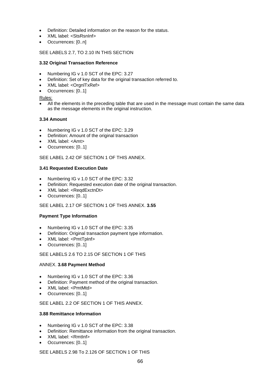- Definition: Detailed information on the reason for the status.
- XML label: <StsRsnInf>
- Occurrences: [0..n]

# SEE LABELS 2.7, TO 2.10 IN THIS SECTION

# **3.32 Original Transaction Reference**

- Numbering IG v 1.0 SCT of the EPC: 3.27
- Definition: Set of key data for the original transaction referred to.
- XML label: <OrgnlTxRef>
- Occurrences: [0..1]

Rules:

 All the elements in the preceding table that are used in the message must contain the same data as the message elements in the original instruction.

# **3.34 Amount**

- Numbering IG v 1.0 SCT of the EPC: 3.29
- Definition: Amount of the original transaction
- XML label: <Amt>
- Occurrences: [0..1]

SEE LABEL 2.42 OF SECTION 1 OF THIS ANNEX.

# **3.41 Requested Execution Date**

- Numbering IG v 1.0 SCT of the EPC: 3.32
- Definition: Requested execution date of the original transaction.
- XML label: <ReqdExctnDt>
- Occurrences: [0..1]

# SEE LABEL 2.17 OF SECTION 1 OF THIS ANNEX. **3.55**

# **Payment Type Information**

- Numbering IG v 1.0 SCT of the EPC: 3.35
- Definition: Original transaction payment type information.
- XML label: <PmtTpInf>
- Occurrences: [0..1]

# SEE LABELS 2.6 TO 2.15 OF SECTION 1 OF THIS

# ANNEX. **3.68 Payment Method**

- Numbering IG v 1.0 SCT of the EPC: 3.36
- Definition: Payment method of the original transaction.
- XML label: <PmtMtd>
- Occurrences: [0..1]

# SEE LABEL 2.2 OF SECTION 1 OF THIS ANNEX.

# **3.88 Remittance Information**

- Numbering IG v 1.0 SCT of the EPC: 3.38
- Definition: Remittance information from the original transaction.
- XML label: <RmtInf>
- Occurrences: [0..1]

SEE LABELS 2.98 To 2.126 OF SECTION 1 OF THIS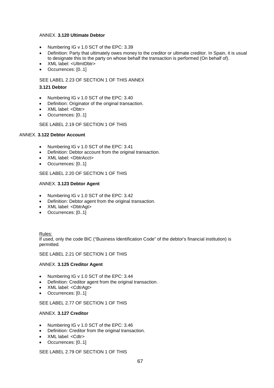#### ANNEX. **3.120 Ultimate Debtor**

- Numbering IG v 1.0 SCT of the EPC: 3.39
- Definition: Party that ultimately owes money to the creditor or ultimate creditor. In Spain, it is usual to designate this to the party on whose behalf the transaction is performed (On behalf of).
- XML label: <UltmtDbtr>
- Occurrences: [0..1]

#### SEE LABEL 2.23 OF SECTION 1 OF THIS ANNEX

#### **3.121 Debtor**

- Numbering IG v 1.0 SCT of the EPC: 3.40
- Definition: Originator of the original transaction.
- XML label: <Dbtr>
- Occurrences: [0..1]

#### SEE LABEL 2.19 OF SECTION 1 OF THIS

# ANNEX. **3.122 Debtor Account**

- Numbering IG v 1.0 SCT of the EPC: 3.41
- Definition: Debtor account from the original transaction.
- XML label: <DbtrAcct>
- Occurrences: [0..1]

#### SEE LABEL 2.20 OF SECTION 1 OF THIS

#### ANNEX. **3.123 Debtor Agent**

- Numbering IG v 1.0 SCT of the EPC: 3.42
- Definition: Debtor agent from the original transaction.
- XML label: <DbtrAgt>
- Occurrences: [0..1]

#### Rules:

If used, only the code BIC ("Business Identification Code" of the debtor's financial institution) is permitted.

#### SEE LABEL 2.21 OF SECTION 1 OF THIS

#### ANNEX. **3.125 Creditor Agent**

- Numbering IG v 1.0 SCT of the EPC: 3.44
- Definition: Creditor agent from the original transaction.
- XML label: <CdtrAgt>
- Occurrences: [0..1]

# SEE LABEL 2.77 OF SECTION 1 OF THIS

#### ANNEX. **3.127 Creditor**

- Numbering IG v 1.0 SCT of the EPC: 3.46
- Definition: Creditor from the original transaction.
- XML label: <Cdtr>
- Occurrences: [0..1]

# SEE LABEL 2.79 OF SECTION 1 OF THIS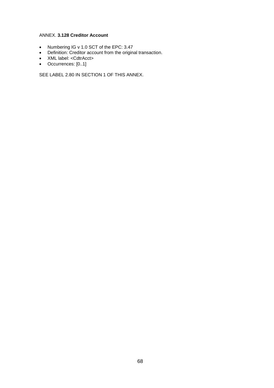#### ANNEX. **3.128 Creditor Account**

- Numbering IG v 1.0 SCT of the EPC: 3.47
- Definition: Creditor account from the original transaction.
- XML label: <CdtrAcct>
- Occurrences: [0..1]

SEE LABEL 2.80 IN SECTION 1 OF THIS ANNEX.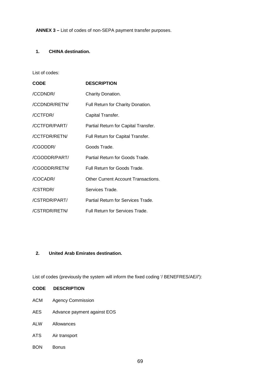# **1. CHINA destination.**

#### List of codes:

| <b>CODE</b>   | <b>DESCRIPTION</b>                         |
|---------------|--------------------------------------------|
| /CCDNDR/      | Charity Donation.                          |
| /CCDNDR/RETN/ | Full Return for Charity Donation.          |
| /CCTFDR/      | Capital Transfer.                          |
| /CCTFDR/PART/ | Partial Return for Capital Transfer.       |
| /CCTFDR/RETN/ | Full Return for Capital Transfer.          |
| /CGODDR/      | Goods Trade.                               |
| /CGODDR/PART/ | Partial Return for Goods Trade.            |
| /CGODDR/RETN/ | Full Return for Goods Trade.               |
| /COCADR/      | <b>Other Current Account Transactions.</b> |
| /CSTRDR/      | Services Trade.                            |
| /CSTRDR/PART/ | Partial Return for Services Trade.         |
| /CSTRDR/RETN/ | <b>Full Return for Services Trade.</b>     |

# **2. United Arab Emirates destination.**

List of codes (previously the system will inform the fixed coding '/ BENEFRES/AE//'):

| <b>CODE</b> | <b>DESCRIPTION</b>          |
|-------------|-----------------------------|
| ACM         | <b>Agency Commission</b>    |
| <b>AES</b>  | Advance payment against EOS |
| <b>ALW</b>  | Allowances                  |
| ATS.        | Air transport               |

BON Bonus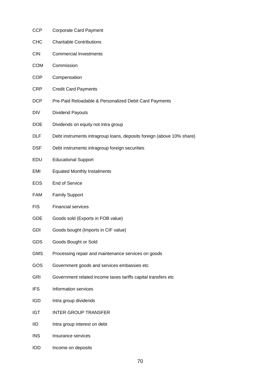- CCP Corporate Card Payment
- CHC Charitable Contributions
- CIN Commercial Investments
- COM Commission
- COP Compensation
- CRP Credit Card Payments
- DCP Pre-Paid Reloadable & Personalized Debit Card Payments
- DIV Dividend Payouts
- DOE Dividends on equity not intra group
- DLF Debt instruments intragroup loans, deposits foreign (above 10% share)
- DSF Debt instruments intragroup foreign securities
- EDU Educational Support
- EMI Equated Monthly Instalments
- EOS End of Service
- FAM Family Support
- FIS Financial services
- GDE Goods sold (Exports in FOB value)
- GDI Goods bought (Imports in CIF value)
- GDS Goods Bought or Sold
- GMS Processing repair and maintenance services on goods
- GOS Government goods and services embassies etc
- GRI Government related income taxes tariffs capital transfers etc
- IFS Information services
- IGD Intra group dividends
- IGT INTER GROUP TRANSFER
- IID Intra group interest on debt
- INS Insurance services
- IOD Income on deposits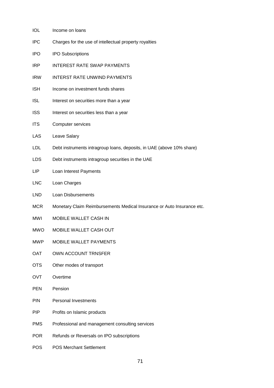- IOL Income on loans
- IPC Charges for the use of intellectual property royalties
- IPO IPO Subscriptions
- IRP INTEREST RATE SWAP PAYMENTS
- IRW INTERST RATE UNWIND PAYMENTS
- ISH Income on investment funds shares
- ISL Interest on securities more than a year
- ISS Interest on securities less than a year
- ITS Computer services
- LAS Leave Salary
- LDL Debt instruments intragroup loans, deposits, in UAE (above 10% share)
- LDS Debt instruments intragroup securities in the UAE
- LIP Loan Interest Payments
- LNC Loan Charges
- LND Loan Disbursements
- MCR Monetary Claim Reimbursements Medical Insurance or Auto Insurance etc.
- MWI MOBILE WALLET CASH IN
- MWO MOBILE WALLET CASH OUT
- MWP MOBILE WALLET PAYMENTS
- OAT OWN ACCOUNT TRNSFER
- OTS Other modes of transport
- OVT Overtime
- PEN Pension
- PIN Personal Investments
- PIP Profits on Islamic products
- PMS Professional and management consulting services
- POR Refunds or Reversals on IPO subscriptions
- POS POS Merchant Settlement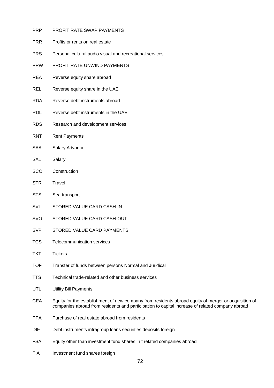- PRP PROFIT RATE SWAP PAYMENTS
- PRR Profits or rents on real estate
- PRS Personal cultural audio visual and recreational services
- PRW PROFIT RATE UNWIND PAYMENTS
- REA Reverse equity share abroad
- REL Reverse equity share in the UAE
- RDA Reverse debt instruments abroad
- RDL Reverse debt instruments in the UAE
- RDS Research and development services
- RNT Rent Payments
- SAA Salary Advance
- SAL Salary
- SCO Construction
- STR Travel
- STS Sea transport
- SVI STORED VALUE CARD CASH-IN
- SVO STORED VALUE CARD CASH‐OUT
- SVP STORED VALUE CARD PAYMENTS
- TCS Telecommunication services
- TKT Tickets
- TOF Transfer of funds between persons Normal and Juridical
- TTS Technical trade‐related and other business services
- UTL Utility Bill Payments
- CEA Equity for the establishment of new company from residents abroad equity of merger or acquisition of companies abroad from residents and participation to capital increase of related company abroad
- PPA Purchase of real estate abroad from residents
- DIF Debt instruments intragroup loans securities deposits foreign
- FSA Equity other than investment fund shares in t related companies abroad
- FIA Investment fund shares foreign